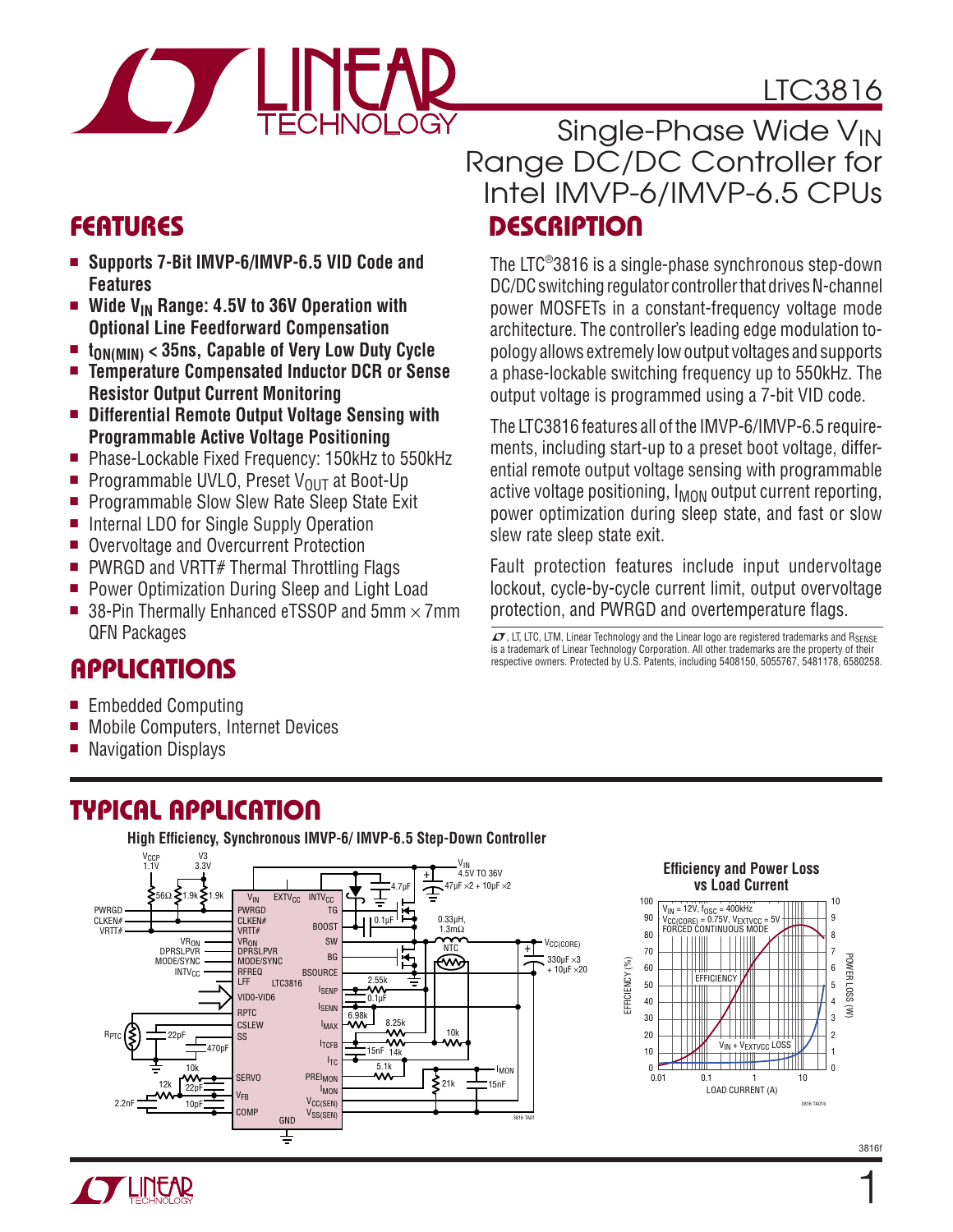

# LTC3816

- Supports 7-Bit IMVP-6/IMVP-6.5 VID Code and **Features**
- Wide V<sub>IN</sub> Range: 4.5V to 36V Operation with **Optional Line Feedforward Compensation**
- t<sub>ON(MIN)</sub> < 35ns, Capable of Very Low Duty Cycle<br>■ Temnerature Comnensated Inductor DCB or Sens
- <sup>n</sup> **Temperature Compensated Inductor DCR or Sense Resistor Output Current Monitoring**
- Differential Remote Output Voltage Sensing with **Programmable Active Voltage Positioning**
- Phase-Lockable Fixed Frequency: 150kHz to 550kHz
- Programmable UVLO, Preset V<sub>OUT</sub> at Boot-Up
- **Programmable Slow Slew Rate Sleep State Exit**
- Internal LDO for Single Supply Operation
- Overvoltage and Overcurrent Protection
- $\blacksquare$  PWRGD and VRTT# Thermal Throttling Flags
- Power Optimization During Sleep and Light Load
- 38-Pin Thermally Enhanced eTSSOP and  $5mm \times 7mm$ QFN Packages

### **APPLICATIONS**

- Embedded Computing
- <sup>n</sup> Mobile Computers, Internet Devices
- $\blacksquare$  Navigation Displays

### Typical Application

**High Efficiency, Synchronous IMVP-6/ IMVP-6.5 Step-Down Controller** V3 V<sub>CCP</sub>



### Features Description Single-Phase Wide V<sub>IN</sub> Range DC/DC Controller for Intel IMVP-6/IMVP-6.5 CPUs

The LTC®3816 is a single-phase synchronous step-down DC/DC switching regulator controller that drives N-channel power MOSFETs in a constant-frequency voltage mode architecture. The controller's leading edge modulation topology allows extremely low output voltages and supports a phase-lockable switching frequency up to 550kHz. The output voltage is programmed using a 7-bit VID code.

The LTC3816 features all of the IMVP-6/IMVP-6.5 requirements, including start-up to a preset boot voltage, differential remote output voltage sensing with programmable active voltage positioning,  $I_{MON}$  output current reporting, power optimization during sleep state, and fast or slow slew rate sleep state exit.

Fault protection features include input undervoltage lockout, cycle-by-cycle current limit, output overvoltage protection, and PWRGD and overtemperature flags.

 $\mathcal{I}$ , LT, LTC, LTM, Linear Technology and the Linear logo are registered trademarks and RSENSE is a trademark of Linear Technology Corporation. All other trademarks are the property of their respective owners. Protected by U.S. Patents, including 5408150, 5055767, 5481178, 6580258.



 $\mathbf{1}$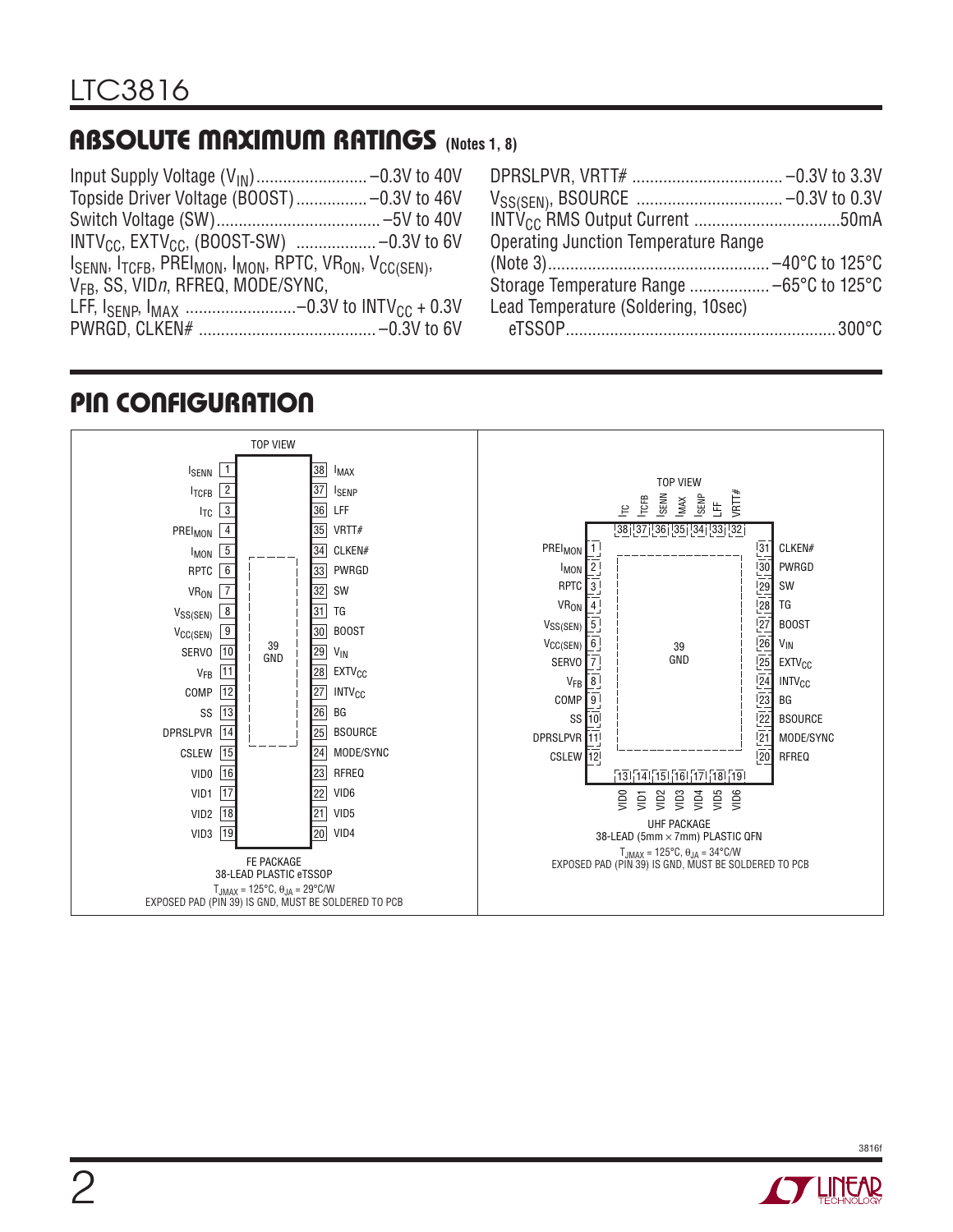### Absolute Maximum Ratings **(Notes 1, 8)**

|                                                                                                                                  | DPRSLPVR, VRTT#                  |
|----------------------------------------------------------------------------------------------------------------------------------|----------------------------------|
| Topside Driver Voltage (BOOST) -0.3V to 46V                                                                                      | $V_{SS(SEN)}$ , BSOURCE          |
|                                                                                                                                  | INTV <sub>CC</sub> RMS Output Cu |
|                                                                                                                                  | <b>Operating Junction Ten</b>    |
| $I_{\text{SENN}}$ , $I_{\text{TCFB}}$ , PREI <sub>MON</sub> , I <sub>MON</sub> , RPTC, VR <sub>ON</sub> , V <sub>CC(SEN)</sub> , |                                  |
| V <sub>FB</sub> , SS, VIDn, RFREQ, MODE/SYNC,                                                                                    | Storage Temperature R            |
|                                                                                                                                  | Lead Temperature (Sold           |
|                                                                                                                                  | eTSSOP                           |
|                                                                                                                                  |                                  |

| <b>Operating Junction Temperature Range</b> |  |
|---------------------------------------------|--|
|                                             |  |
| Storage Temperature Range  -65°C to 125°C   |  |
| Lead Temperature (Soldering, 10sec)         |  |
|                                             |  |
|                                             |  |

### Pin Configuration



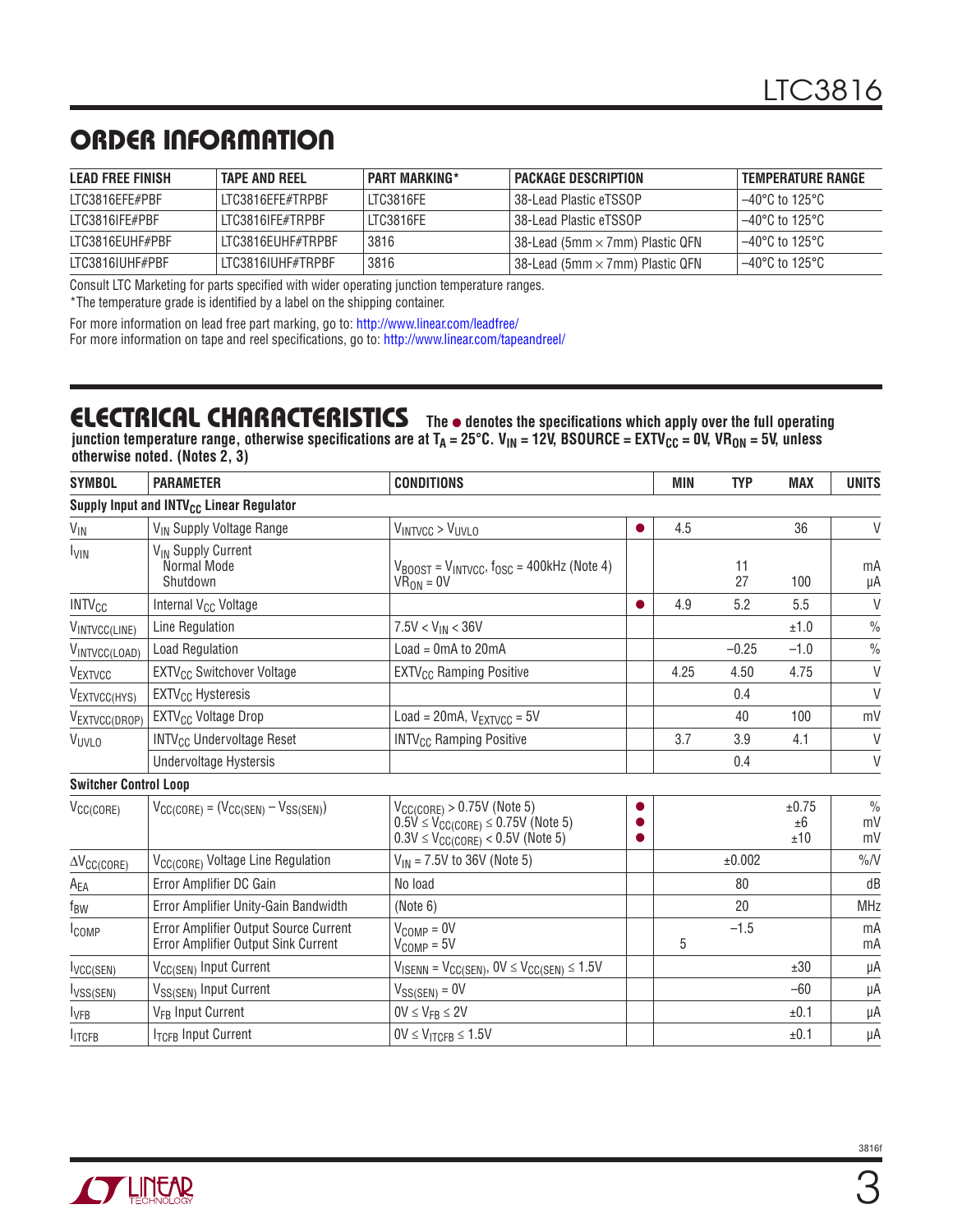# ORDER INFORMATION

| LEAD FREE FINISH | <b>TAPE AND REEL</b> | <b>PART MARKING*</b> | <b>PACKAGE DESCRIPTION</b>             | <b>TEMPERATURE RANGE</b> |
|------------------|----------------------|----------------------|----------------------------------------|--------------------------|
| LTC3816EFE#PBF   | LTC3816EFE#TRPBF     | LTC3816FE            | 38-Lead Plastic eTSSOP                 | $-40^{\circ}$ C to 125°C |
| ITC3816IFF#PBF   | LTC3816IFE#TRPBF     | LTC3816FE            | l 38-Lead Plastic eTSSOP               | $-40^{\circ}$ C to 125°C |
| ITC3816FUHF#PBF  | ITC3816FUHF#TRPBF    | 3816                 | 38-Lead (5mm $\times$ 7mm) Plastic QFN | $-40^{\circ}$ C to 125°C |
| LTC3816IUHF#PBF  | LTC3816IUHF#TRPBF    | 3816                 | 38-Lead (5mm $\times$ 7mm) Plastic QFN | −40°C to 125°C           |

Consult LTC Marketing for parts specified with wider operating junction temperature ranges.

\*The temperature grade is identified by a label on the shipping container.

For more information on lead free part marking, go to: http://www.linear.com/leadfree/ For more information on tape and reel specifications, go to: http://www.linear.com/tapeandreel/

#### **ELECTRICAL CHARACTERISTICS** The  $\bullet$  denotes the specifications which apply over the full operating junction temperature range, otherwise specifications are at T<sub>A</sub> = 25°C. V<sub>IN</sub> = 12V, BSOURCE = EXTV<sub>CC</sub> = 0V, VR<sub>ON</sub> = 5V, unless

**otherwise noted. (Notes 2, 3)**

| <b>SYMBOL</b>                | <b>PARAMETER</b>                                                             | <b>CONDITIONS</b>                                                                                                                        |                | <b>MIN</b> | <b>TYP</b> | <b>MAX</b>         | <b>UNITS</b>              |
|------------------------------|------------------------------------------------------------------------------|------------------------------------------------------------------------------------------------------------------------------------------|----------------|------------|------------|--------------------|---------------------------|
|                              | Supply Input and INTV <sub>CC</sub> Linear Regulator                         |                                                                                                                                          |                |            |            |                    |                           |
| $V_{\text{IN}}$              | V <sub>IN</sub> Supply Voltage Range                                         | $V_{INTVCC}$ > $V_{UVLO}$                                                                                                                | $\bullet$      | 4.5        |            | 36                 | V                         |
| <b>I<sub>VIN</sub></b>       | V <sub>IN</sub> Supply Current<br>Normal Mode<br>Shutdown                    | $V_{\text{BOOST}} = V_{\text{INTVCC}}$ , $f_{\text{OSC}} = 400$ kHz (Note 4)<br>$VR_{ON} = 0V$                                           |                |            | 11<br>27   | 100                | mA<br>μA                  |
| <b>INTV<sub>CC</sub></b>     | Internal V <sub>CC</sub> Voltage                                             |                                                                                                                                          | $\bullet$      | 4.9        | 5.2        | 5.5                | V                         |
| VINTVCC(LINE)                | Line Regulation                                                              | $7.5V < V_{IN} < 36V$                                                                                                                    |                |            |            | ±1.0               | $\frac{0}{0}$             |
| VINTVCC(LOAD)                | <b>Load Regulation</b>                                                       | $Load = OmA$ to $20mA$                                                                                                                   |                |            | $-0.25$    | $-1.0$             | $\frac{0}{0}$             |
| VEXTVCC                      | <b>EXTV<sub>CC</sub></b> Switchover Voltage                                  | EXTV <sub>CC</sub> Ramping Positive                                                                                                      |                | 4.25       | 4.50       | 4.75               | $\vee$                    |
| VEXTVCC(HYS)                 | EXTV <sub>CC</sub> Hysteresis                                                |                                                                                                                                          |                |            | 0.4        |                    | $\vee$                    |
| VEXTVCC(DROP)                | EXTV <sub>CC</sub> Voltage Drop                                              | Load = $20mA$ , $V_{EXTVCC} = 5V$                                                                                                        |                |            | 40         | 100                | mV                        |
| VUVLO                        | <b>INTV<sub>CC</sub></b> Undervoltage Reset                                  | <b>INTV<sub>CC</sub></b> Ramping Positive                                                                                                |                | 3.7        | 3.9        | 4.1                | V                         |
|                              | Undervoltage Hystersis                                                       |                                                                                                                                          |                |            | 0.4        |                    | $\vee$                    |
| <b>Switcher Control Loop</b> |                                                                              |                                                                                                                                          |                |            |            |                    |                           |
| $V_{CC(CORE)}$               | $V_{CC(CORE)} = (V_{CC(SEN)} - V_{SS(SEN)})$                                 | $V_{CC(CORE)} > 0.75V$ (Note 5)<br>$0.5\dot{V} \leq V_{\text{CC(CORE)}} \leq 0.75V$ (Note 5)<br>$0.3V \leq V_{CC(CORE)} < 0.5V$ (Note 5) | $\bullet$<br>0 |            |            | ±0.75<br>±6<br>±10 | $\frac{0}{0}$<br>mV<br>mV |
| $\Delta V_{\text{CC(CORE)}}$ | V <sub>CC(CORE)</sub> Voltage Line Regulation                                | $V_{IN}$ = 7.5V to 36V (Note 5)                                                                                                          |                |            | ±0.002     |                    | $\%N$                     |
| A <sub>EA</sub>              | Error Amplifier DC Gain                                                      | No load                                                                                                                                  |                |            | 80         |                    | dB                        |
| f <sub>BW</sub>              | Error Amplifier Unity-Gain Bandwidth                                         | (Note 6)                                                                                                                                 |                |            | 20         |                    | <b>MHz</b>                |
| <b>ICOMP</b>                 | Error Amplifier Output Source Current<br>Error Amplifier Output Sink Current | $V_{COMP}=0V$<br>$V_{COMP}=5V$                                                                                                           |                | 5          | $-1.5$     |                    | mA<br>mA                  |
| $I_{VCC(SEN)}$               | V <sub>CC(SEN)</sub> Input Current                                           | $V_{\text{ISENN}} = V_{\text{CC(SEN)}}$ , $0V \leq V_{\text{CC(SEN)}} \leq 1.5V$                                                         |                |            |            | ±30                | μA                        |
| $I_{VSS(SEN)}$               | V <sub>SS(SEN)</sub> Input Current                                           | $V_{SS(SEN)} = 0V$                                                                                                                       |                |            |            | $-60$              | μA                        |
| $I_{VFB}$                    | V <sub>FR</sub> Input Current                                                | $0V \leq V_{FR} \leq 2V$                                                                                                                 |                |            |            | ±0.1               | μA                        |
| <b>ITCFB</b>                 | <b>ITCFB Input Current</b>                                                   | $0V \leq V_{ITCFR} \leq 1.5V$                                                                                                            |                |            |            | ±0.1               | μA                        |

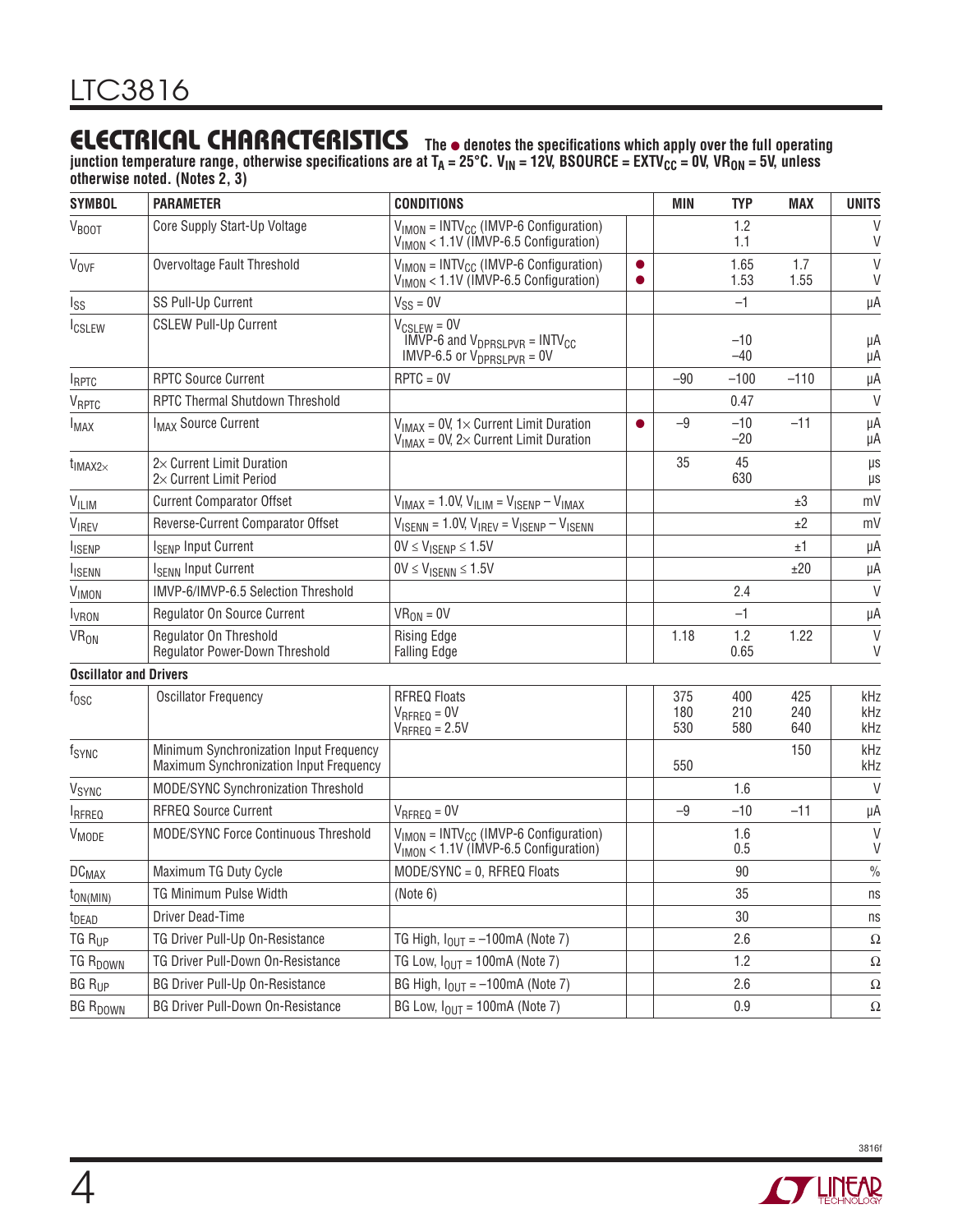### **ELECTRICAL CHARACTERISTICS** The  $\bullet$  denotes the specifications which apply over the full operating

junction temperature range, otherwise specifications are at T<sub>A</sub> = 25°C. V<sub>IN</sub> = 12V, BSOURCE = EXTV<sub>CC</sub> = 0V, VR<sub>ON</sub> = 5V, unless **otherwise noted. (Notes 2, 3)**

| <b>SYMBOL</b>                 | <b>PARAMETER</b>                                                                   | <b>CONDITIONS</b>                                                                                           |                        | <b>MIN</b>        | <b>TYP</b>        | <b>MAX</b>        | <b>UNITS</b>      |
|-------------------------------|------------------------------------------------------------------------------------|-------------------------------------------------------------------------------------------------------------|------------------------|-------------------|-------------------|-------------------|-------------------|
| <b>VBOOT</b>                  | Core Supply Start-Up Voltage                                                       | $V_{IMON}$ = INTV <sub>CC</sub> (IMVP-6 Configuration)<br>$V_{IMON}$ < 1.1V (IMVP-6.5 Configuration)        |                        |                   | 1.2<br>1.1        |                   | $\vee$<br>V       |
| <b>V<sub>OVF</sub></b>        | Overvoltage Fault Threshold                                                        | $V_{IMON}$ = INTV <sub>CC</sub> (IMVP-6 Configuration)<br>V <sub>IMON</sub> < 1.1V (IMVP-6.5 Configuration) | $\bullet$<br>$\bullet$ |                   | 1.65<br>1.53      | 1.7<br>1.55       | $\vee$<br>V       |
| I <sub>SS</sub>               | SS Pull-Up Current                                                                 | $V_{SS} = 0V$                                                                                               |                        |                   | $-1$              |                   | μA                |
| <b>ICSLEW</b>                 | <b>CSLEW Pull-Up Current</b>                                                       | $V_{CSLEW} = 0V$<br>$IMVP-6$ and $V_{DPRSLPVR} = INTV_{CC}$<br>IMVP-6.5 or $V_{DPRSLPVR} = 0V$              |                        |                   | $-10$<br>$-40$    |                   | μA<br>μA          |
| <b>IRPTC</b>                  | <b>RPTC Source Current</b>                                                         | $RPTC = 0V$                                                                                                 |                        | $-90$             | $-100$            | $-110$            | μA                |
| $V_{\text{RPTC}}$             | RPTC Thermal Shutdown Threshold                                                    |                                                                                                             |                        |                   | 0.47              |                   | $\vee$            |
| <b>IMAX</b>                   | <b>IMAX Source Current</b>                                                         | $V_{IMAX}$ = 0V, 1× Current Limit Duration<br>$V_{IMAX}$ = 0V, 2× Current Limit Duration                    | $\bullet$              | $-9$              | $-10$<br>$-20$    | $-11$             | μA<br>μA          |
| $t_{IMAX2\times}$             | $2\times$ Current Limit Duration<br>2x Current Limit Period                        |                                                                                                             |                        | 35                | 45<br>630         |                   | μs<br>μs          |
| VILIM                         | <b>Current Comparator Offset</b>                                                   | $V_{IMAX}$ = 1.0V, $V_{ILIM}$ = $V_{ISENP}$ – $V_{IMAX}$                                                    |                        |                   |                   | ±3                | mV                |
| VIREV                         | Reverse-Current Comparator Offset                                                  | $V_{\text{ISENN}} = 1.0 V, V_{\text{IREV}} = V_{\text{ISENP}} - V_{\text{ISENN}}$                           |                        |                   |                   | ±2                | mV                |
| <b>ISENP</b>                  | <b>ISENP Input Current</b>                                                         | $0V \leq V_{\text{ISENP}} \leq 1.5V$                                                                        |                        |                   |                   | ±1                | μA                |
| <b>I</b> ISENN                | <b>ISENN Input Current</b>                                                         | $0V \leq V_{\text{ISENN}} \leq 1.5V$                                                                        |                        |                   |                   | ±20               | μA                |
| <b>VIMON</b>                  | IMVP-6/IMVP-6.5 Selection Threshold                                                |                                                                                                             |                        |                   | 2.4               |                   | $\vee$            |
| <b>I</b> VRON                 | Regulator On Source Current                                                        | $VR_{ON} = 0V$                                                                                              |                        |                   | $-1$              |                   | μA                |
| <b>VR<sub>ON</sub></b>        | Regulator On Threshold<br>Regulator Power-Down Threshold                           | <b>Rising Edge</b><br><b>Falling Edge</b>                                                                   |                        | 1.18              | 1.2<br>0.65       | 1.22              | V<br>V            |
| <b>Oscillator and Drivers</b> |                                                                                    |                                                                                                             |                        |                   |                   |                   |                   |
| tosc                          | <b>Oscillator Frequency</b>                                                        | <b>RFREQ Floats</b><br>$V_{RFREO} = 0V$<br>$V_{RFREO} = 2.5V$                                               |                        | 375<br>180<br>530 | 400<br>210<br>580 | 425<br>240<br>640 | kHz<br>kHz<br>kHz |
| fsync                         | Minimum Synchronization Input Frequency<br>Maximum Synchronization Input Frequency |                                                                                                             |                        | 550               |                   | 150               | kHz<br>kHz        |
| V <sub>SYNC</sub>             | MODE/SYNC Synchronization Threshold                                                |                                                                                                             |                        |                   | 1.6               |                   | $\vee$            |
| <b>IRFREQ</b>                 | <b>RFREQ Source Current</b>                                                        | $V_{RFREQ} = 0V$                                                                                            |                        | $-9$              | $-10$             | $-11$             | μA                |
| V <sub>MODE</sub>             | <b>MODE/SYNC Force Continuous Threshold</b>                                        | $V_{IMON}$ = INTV <sub>CC</sub> (IMVP-6 Configuration)<br>$V_{IMON}$ < 1.1V (IMVP-6.5 Configuration)        |                        |                   | 1.6<br>0.5        |                   | V<br>V            |
| <b>DC<sub>MAX</sub></b>       | Maximum TG Duty Cycle                                                              | MODE/SYNC = 0, RFREQ Floats                                                                                 |                        |                   | 90                |                   | $\frac{0}{0}$     |
| $\text{ION}(\text{MIN})$      | TG Minimum Pulse Width                                                             | (Note 6)                                                                                                    |                        |                   | $35\,$            |                   | ns                |
| t <sub>DEAD</sub>             | Driver Dead-Time                                                                   |                                                                                                             |                        |                   | 30                |                   | ns                |
| TG R <sub>UP</sub>            | TG Driver Pull-Up On-Resistance                                                    | TG High, $I_{OUT} = -100 \text{mA}$ (Note 7)                                                                |                        |                   | 2.6               |                   | Ω                 |
| TG R <sub>DOWN</sub>          | TG Driver Pull-Down On-Resistance                                                  | TG Low, $I_{OUT}$ = 100mA (Note 7)                                                                          |                        |                   | 1.2               |                   | $\Omega$          |
| <b>BG RUP</b>                 | <b>BG Driver Pull-Up On-Resistance</b>                                             | BG High, $I_{OUT} = -100$ mA (Note 7)                                                                       |                        |                   | 2.6               |                   | Ω                 |
| <b>BG RDOWN</b>               | <b>BG Driver Pull-Down On-Resistance</b>                                           | BG Low, $I_{OUT} = 100mA$ (Note 7)                                                                          |                        |                   | 0.9               |                   | Ω                 |

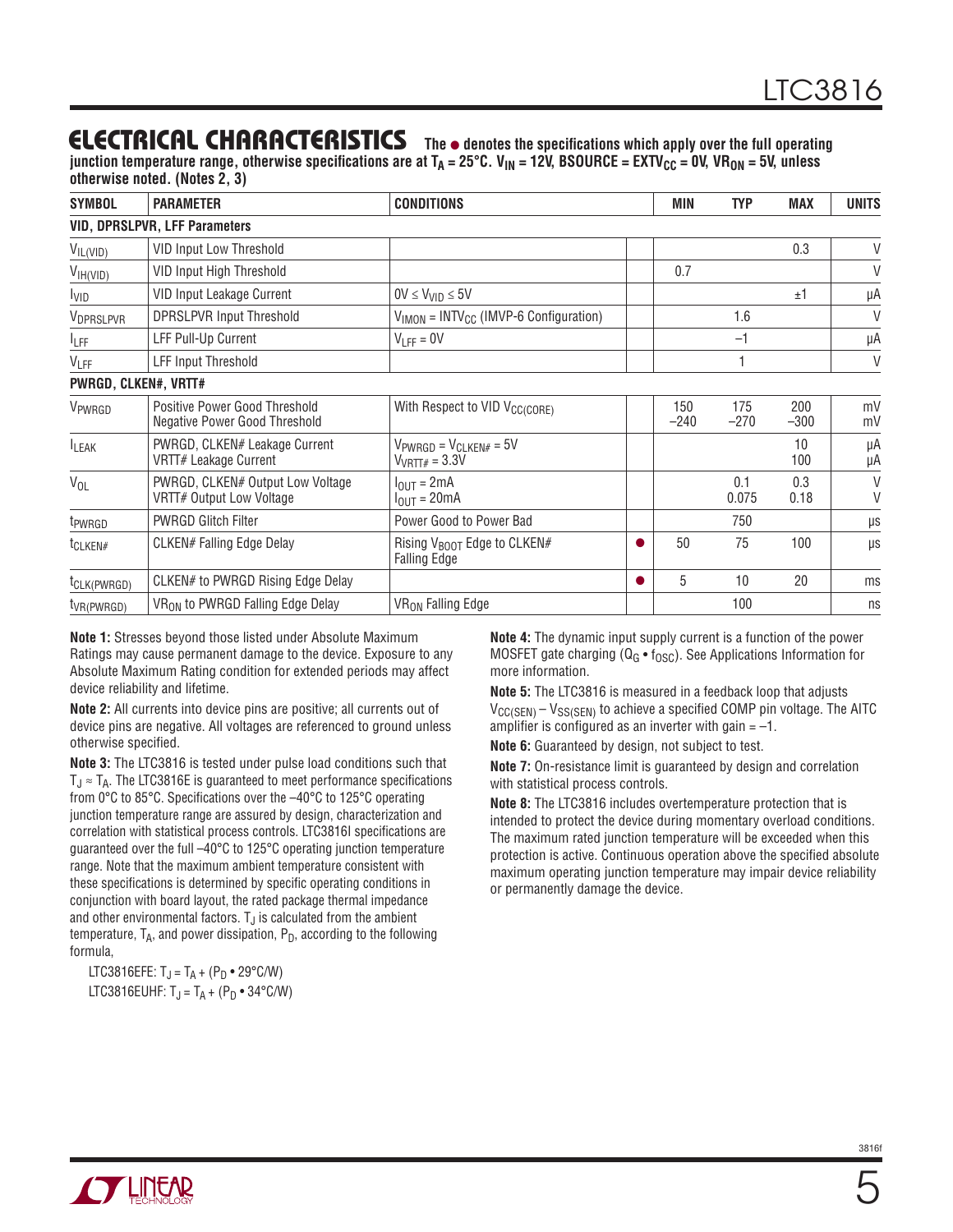### **ELECTRICAL CHARACTERISTICS** The  $\bullet$  denotes the specifications which apply over the full operating

junction temperature range, otherwise specifications are at T<sub>A</sub> = 25°C. V<sub>IN</sub> = 12V, BSOURCE = EXTV<sub>CC</sub> = 0V, VR<sub>ON</sub> = 5V, unless **otherwise noted. (Notes 2, 3)**

| <b>SYMBOL</b>            | <b>PARAMETER</b>                                               | <b>CONDITIONS</b>                                                 |   | <b>MIN</b>    | <b>TYP</b>    | <b>MAX</b>    | <b>UNITS</b> |  |
|--------------------------|----------------------------------------------------------------|-------------------------------------------------------------------|---|---------------|---------------|---------------|--------------|--|
|                          | <b>VID, DPRSLPVR, LFF Parameters</b>                           |                                                                   |   |               |               |               |              |  |
| $V_{IL(VID)}$            | <b>VID Input Low Threshold</b>                                 |                                                                   |   |               |               | 0.3           | V            |  |
| V <sub>IH(VID)</sub>     | <b>VID Input High Threshold</b>                                |                                                                   |   | 0.7           |               |               | V            |  |
| <b>I</b> VID             | VID Input Leakage Current                                      | $0V \leq V_{VID} \leq 5V$                                         |   |               |               | ±1            | μA           |  |
| VDPRSLPVR                | <b>DPRSLPVR Input Threshold</b>                                | $V_{IMON}$ = INTV <sub>CC</sub> (IMVP-6 Configuration)            |   |               | 1.6           |               | V            |  |
| <b>LFF</b>               | <b>LFF Pull-Up Current</b>                                     | $V_{LFF} = 0V$                                                    |   |               | $-1$          |               | μA           |  |
| VLFF                     | <b>LFF Input Threshold</b>                                     |                                                                   |   |               |               |               | V            |  |
| PWRGD, CLKEN#, VRTT#     |                                                                |                                                                   |   |               |               |               |              |  |
| VPWRGD                   | Positive Power Good Threshold<br>Negative Power Good Threshold | With Respect to VID V <sub>CC(CORE)</sub>                         |   | 150<br>$-240$ | 175<br>$-270$ | 200<br>$-300$ | mV<br>mV     |  |
| <b>ILEAK</b>             | PWRGD, CLKEN# Leakage Current<br>VRTT# Leakage Current         | $V_{PWRGB} = V_{CLKEN#} = 5V$<br>$V_{VRTT#} = 3.3V$               |   |               |               | 10<br>100     | μA<br>μA     |  |
| $V_{OL}$                 | PWRGD, CLKEN# Output Low Voltage<br>VRTT# Output Low Voltage   | $I_{\text{OUT}} = 2 \text{mA}$<br>$I_{\text{OUT}} = 20 \text{mA}$ |   |               | 0.1<br>0.075  | 0.3<br>0.18   | V<br>V       |  |
| t <sub>PWRGD</sub>       | <b>PWRGD Glitch Filter</b>                                     | Power Good to Power Bad                                           |   |               | 750           |               | μs           |  |
| $t_{CLKEN\#}$            | CLKEN# Falling Edge Delay                                      | Rising $V_{\text{BOOT}}$ Edge to CLKEN#<br><b>Falling Edge</b>    |   | 50            | 75            | 100           | $\mu s$      |  |
| t <sub>CLK</sub> (PWRGD) | CLKEN# to PWRGD Rising Edge Delay                              |                                                                   | ● | 5             | 10            | 20            | ms           |  |
| $t_{VR(PWRGD)}$          | VR <sub>ON</sub> to PWRGD Falling Edge Delay                   | VR <sub>ON</sub> Falling Edge                                     |   |               | 100           |               | ns           |  |

**Note 1:** Stresses beyond those listed under Absolute Maximum Ratings may cause permanent damage to the device. Exposure to any Absolute Maximum Rating condition for extended periods may affect device reliability and lifetime.

**Note 2:** All currents into device pins are positive; all currents out of device pins are negative. All voltages are referenced to ground unless otherwise specified.

**Note 3:** The LTC3816 is tested under pulse load conditions such that  $T_J \approx T_A$ . The LTC3816E is guaranteed to meet performance specifications from 0°C to 85°C. Specifications over the –40°C to 125°C operating junction temperature range are assured by design, characterization and correlation with statistical process controls. LTC3816I specifications are guaranteed over the full –40°C to 125°C operating junction temperature range. Note that the maximum ambient temperature consistent with these specifications is determined by specific operating conditions in conjunction with board layout, the rated package thermal impedance and other environmental factors.  $T_{J}$  is calculated from the ambient temperature,  $T_A$ , and power dissipation,  $P_D$ , according to the following formula,

LTC3816EFE:  $T_J = T_A + (P_D \cdot 29^{\circ} C/W)$ LTC3816EUHF:  $T_J = T_A + (P_D \cdot 34^{\circ} C/W)$  **Note 4:** The dynamic input supply current is a function of the power MOSFET gate charging ( $Q_G \bullet f_{OSC}$ ). See Applications Information for more information.

**Note 5:** The LTC3816 is measured in a feedback loop that adjusts  $V_{CC(SEN)} - V_{SS(SEN)}$  to achieve a specified COMP pin voltage. The AITC amplifier is configured as an inverter with gain  $= -1$ .

**Note 6:** Guaranteed by design, not subject to test.

**Note 7:** On-resistance limit is guaranteed by design and correlation with statistical process controls.

**Note 8:** The LTC3816 includes overtemperature protection that is intended to protect the device during momentary overload conditions. The maximum rated junction temperature will be exceeded when this protection is active. Continuous operation above the specified absolute maximum operating junction temperature may impair device reliability or permanently damage the device.

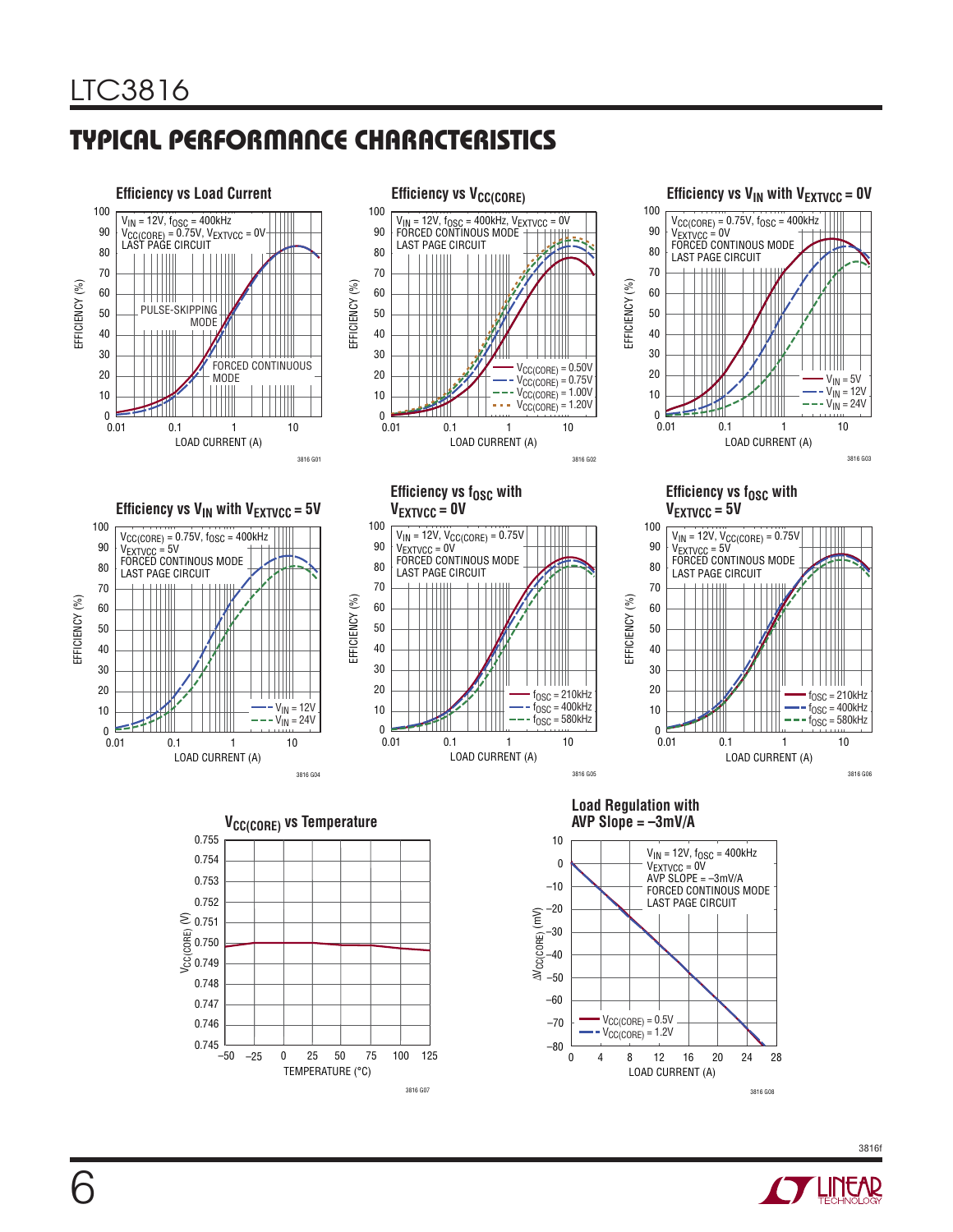

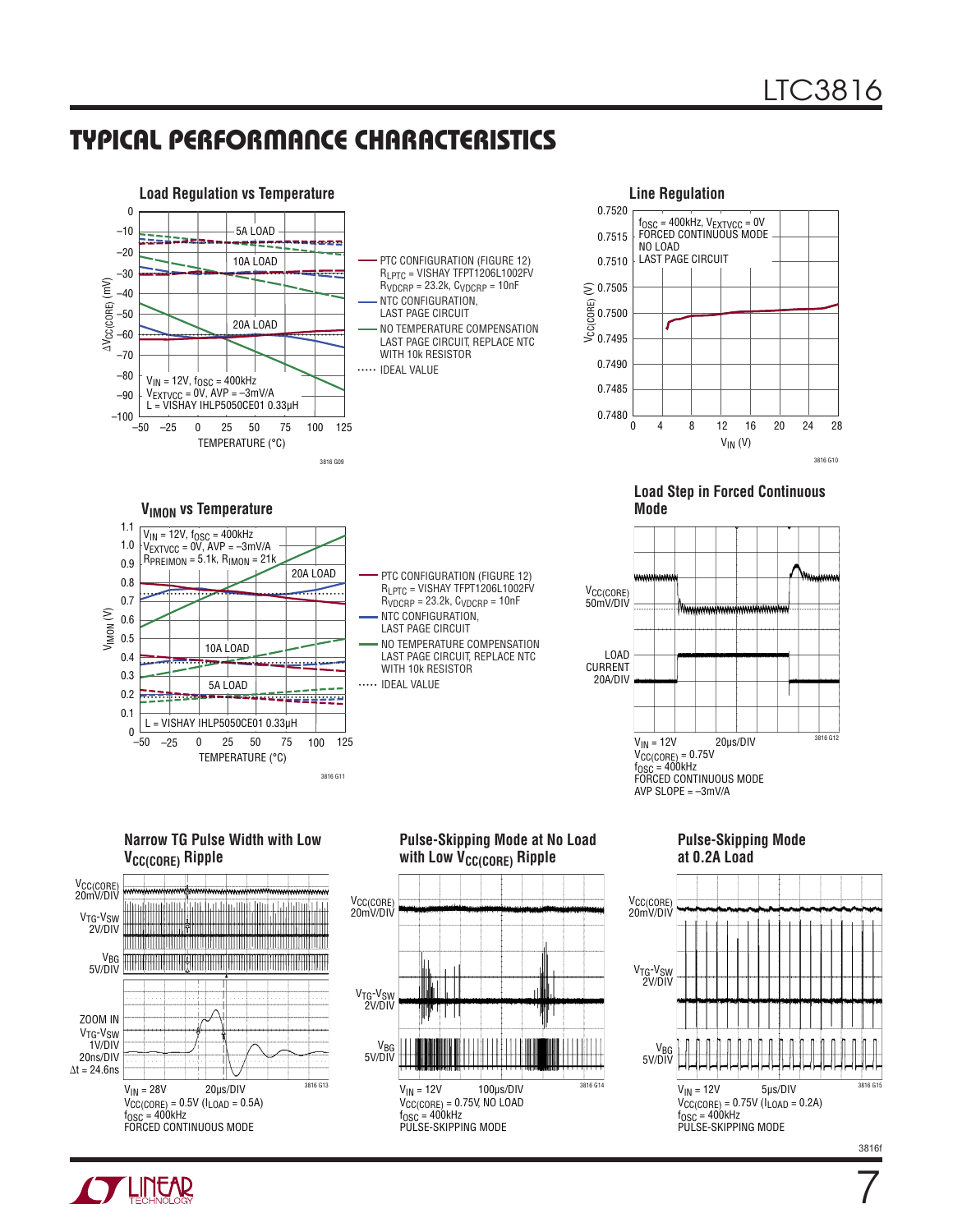

**Narrow TG Pulse Width with Low V<sub>CC(CORE)</sub>** Ripple







**Pulse-Skipping Mode at 0.2A Load**



3816f

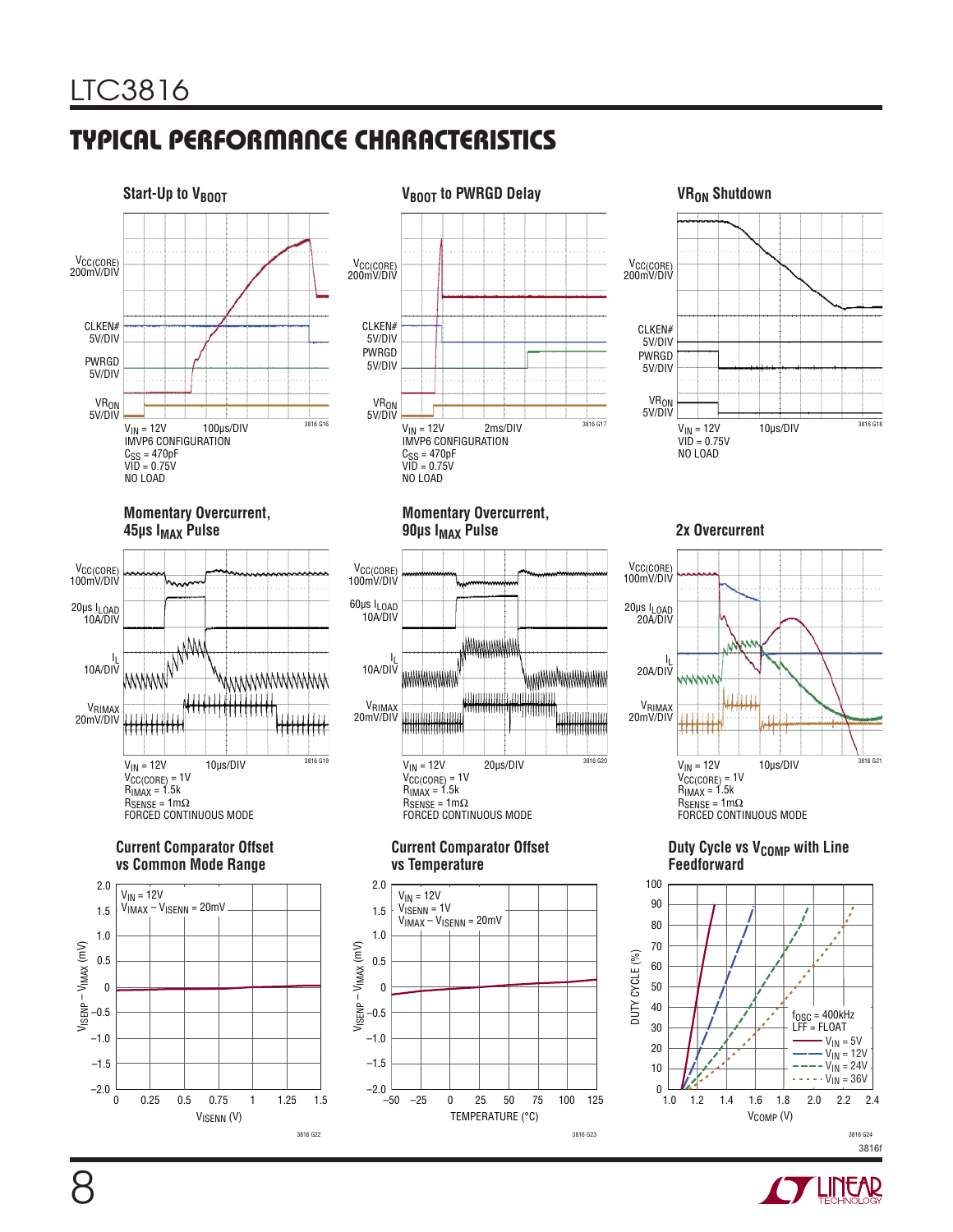



#### **Current Comparator Offset vs Common Mode Range**





#### **Momentary Overcurrent,**  90µs I<sub>MAX</sub> Pulse



#### **Current Comparator Offset vs Temperature**





#### **2x Overcurrent**



#### **Duty Cycle vs V<sub>COMP</sub> with Line Feedforward**



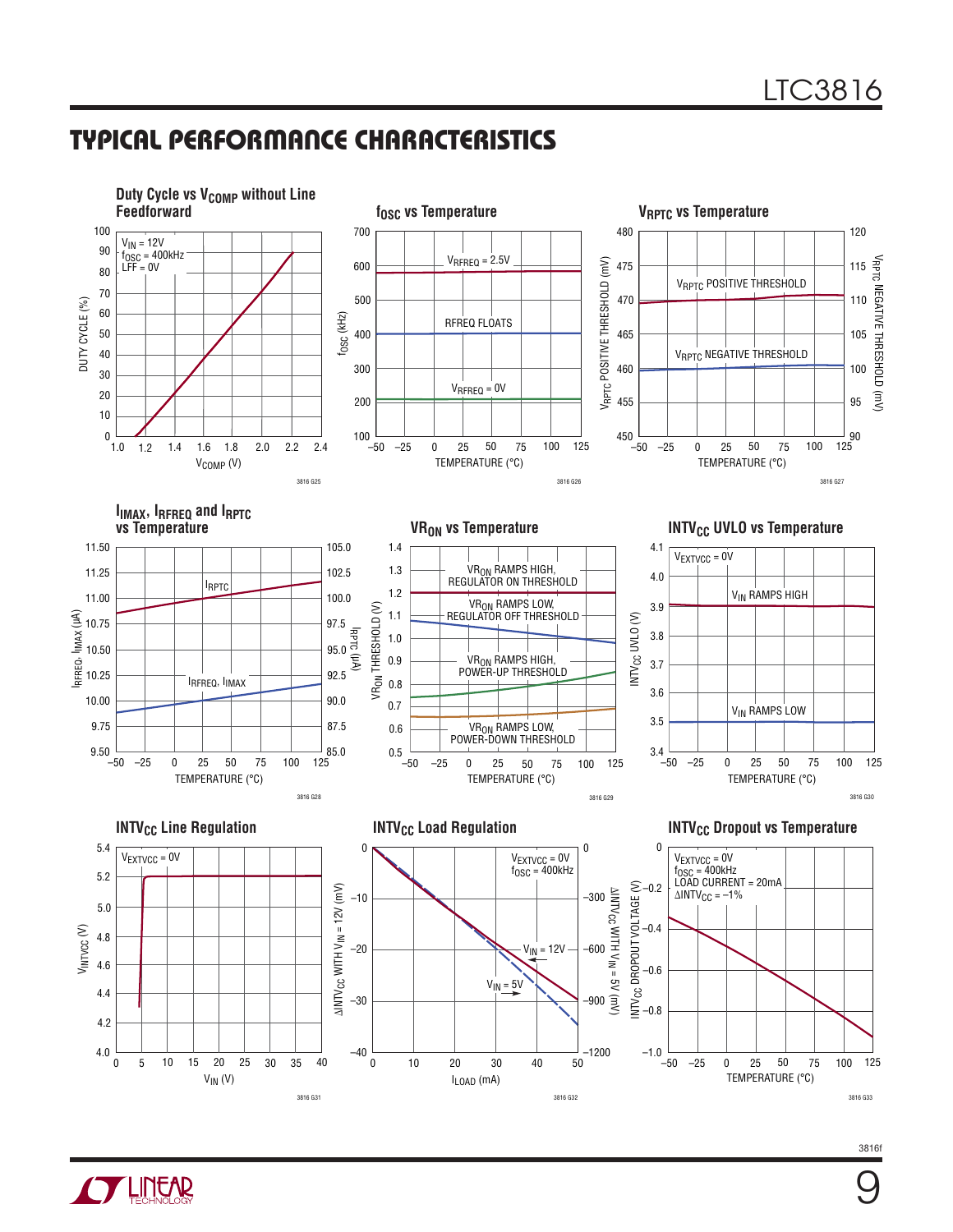

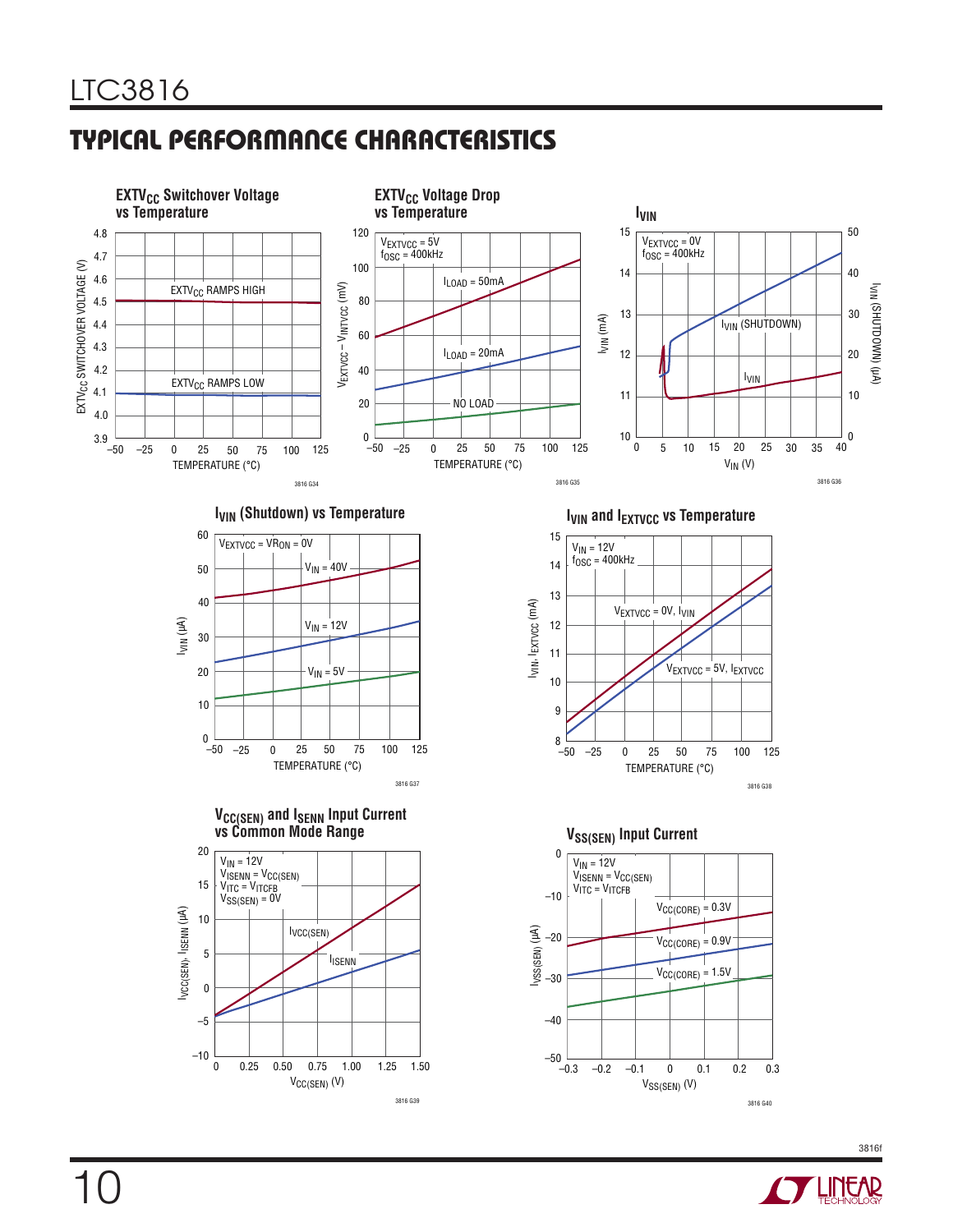

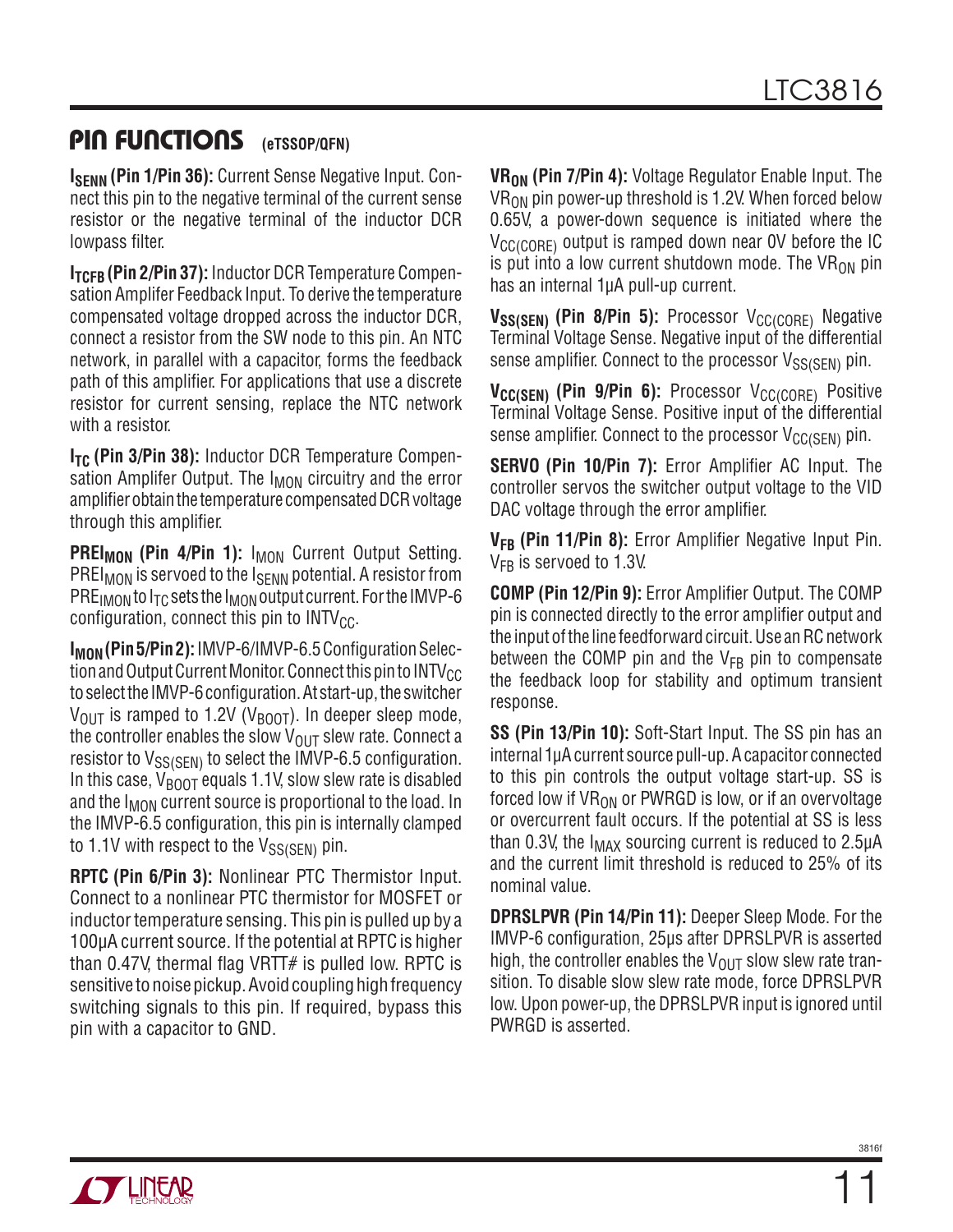### **PIN FUNCTIONS** (eTSSOP/QFN)

**ISENN (Pin 1/Pin 36):** Current Sense Negative Input. Connect this pin to the negative terminal of the current sense resistor or the negative terminal of the inductor DCR lowpass filter.

**ITCFB** (Pin 2/Pin 37): Inductor DCR Temperature Compensation Amplifer Feedback Input. To derive the temperature compensated voltage dropped across the inductor DCR, connect a resistor from the SW node to this pin. An NTC network, in parallel with a capacitor, forms the feedback path of this amplifier. For applications that use a discrete resistor for current sensing, replace the NTC network with a resistor.

**I<sub>TC</sub> (Pin 3/Pin 38):** Inductor DCR Temperature Compensation Amplifer Output. The I<sub>MON</sub> circuitry and the error amplifier obtain the temperature compensated DCR voltage through this amplifier.

PREI<sub>MON</sub> (Pin 4/Pin 1): I<sub>MON</sub> Current Output Setting. PREI<sub>MON</sub> is servoed to the I<sub>SENN</sub> potential. A resistor from PRE<sub>IMON</sub> to  $I_{TC}$  sets the  $I_{MON}$  output current. For the IMVP-6 configuration, connect this pin to  $INTV_{CC}$ .

**I<sub>MON</sub> (Pin 5/Pin 2):** IMVP-6/IMVP-6.5 Configuration Selection and Output Current Monitor. Connect this pin to  $\text{INTV}_{\text{CC}}$ to select the IMVP-6 configuration. At start-up, the switcher  $V_{\text{OUT}}$  is ramped to 1.2V (V<sub>BOOT</sub>). In deeper sleep mode, the controller enables the slow  $V_{OUT}$  slew rate. Connect a resistor to  $V_{SS(SEN)}$  to select the IMVP-6.5 configuration. In this case,  $V_{\text{BODT}}$  equals 1.1V, slow slew rate is disabled and the  $I_{MON}$  current source is proportional to the load. In the IMVP-6.5 configuration, this pin is internally clamped to 1.1V with respect to the  $V_{SS(SEN)}$  pin.

**RPTC (Pin 6/Pin 3):** Nonlinear PTC Thermistor Input. Connect to a nonlinear PTC thermistor for MOSFET or inductor temperature sensing. This pin is pulled up by a 100µA current source. If the potential at RPTCis higher than 0.47V, thermal flag VRTT# is pulled low. RPTC is sensitive to noise pickup. Avoid coupling high frequency switching signals to this pin. If required, bypass this pin with a capacitor to GND.

**VR<sub>ON</sub>** (Pin 7/Pin 4): Voltage Regulator Enable Input. The  $VR_{ON}$  pin power-up threshold is 1.2V. When forced below 0.65V, a power-down sequence is initiated where the  $V_{\text{C}\text{C}(\text{C}\cap\text{RF})}$  output is ramped down near OV before the IC is put into a low current shutdown mode. The  $VR_{ON}$  pin has an internal 1µA pull-up current.

**VSS(SEN)** (Pin 8/Pin 5): Processor V<sub>CC(CORE)</sub> Negative Terminal Voltage Sense. Negative input of the differential sense amplifier. Connect to the processor  $V_{SS(SFM)}$  pin.

**V<sub>CC(SEN)</sub>** (Pin 9/Pin 6): Processor V<sub>CC(CORE)</sub> Positive Terminal Voltage Sense. Positive input of the differential sense amplifier. Connect to the processor  $V_{CC(SEN)}$  pin.

**SERVO (Pin 10/Pin 7):** Error Amplifier AC Input. The controller servos the switcher output voltage to the VID DAC voltage through the error amplifier.

**VFB (Pin 11/Pin 8):** Error Amplifier Negative Input Pin.  $V_{FB}$  is servoed to 1.3V.

**COMP (Pin 12/Pin 9):** Error Amplifier Output. The COMP pin is connected directly to the error amplifier output and the input of the line feedforward circuit. Use an RC network between the COMP pin and the  $V_{FB}$  pin to compensate the feedback loop for stability and optimum transient response.

**SS (Pin 13/Pin 10):** Soft-Start Input. The SS pin has an internal 1µA current source pull-up. A capacitor connected to this pin controls the output voltage start-up. SS is forced low if  $VR_{ON}$  or PWRGD is low, or if an overvoltage or overcurrent fault occurs. If the potential at SS is less than 0.3V, the  $I_{MAX}$  sourcing current is reduced to 2.5 $\mu$ A and the current limit threshold is reduced to 25% of its nominal value.

**DPRSLPVR (Pin 14/Pin 11):** Deeper Sleep Mode. For the IMVP-6 configuration, 25µs after DPRSLPVR is asserted high, the controller enables the  $V_{\text{OUT}}$  slow slew rate transition. To disable slow slew rate mode, force DPRSLPVR low. Upon power-up, the DPRSLPVR input is ignored until PWRGD is asserted.



11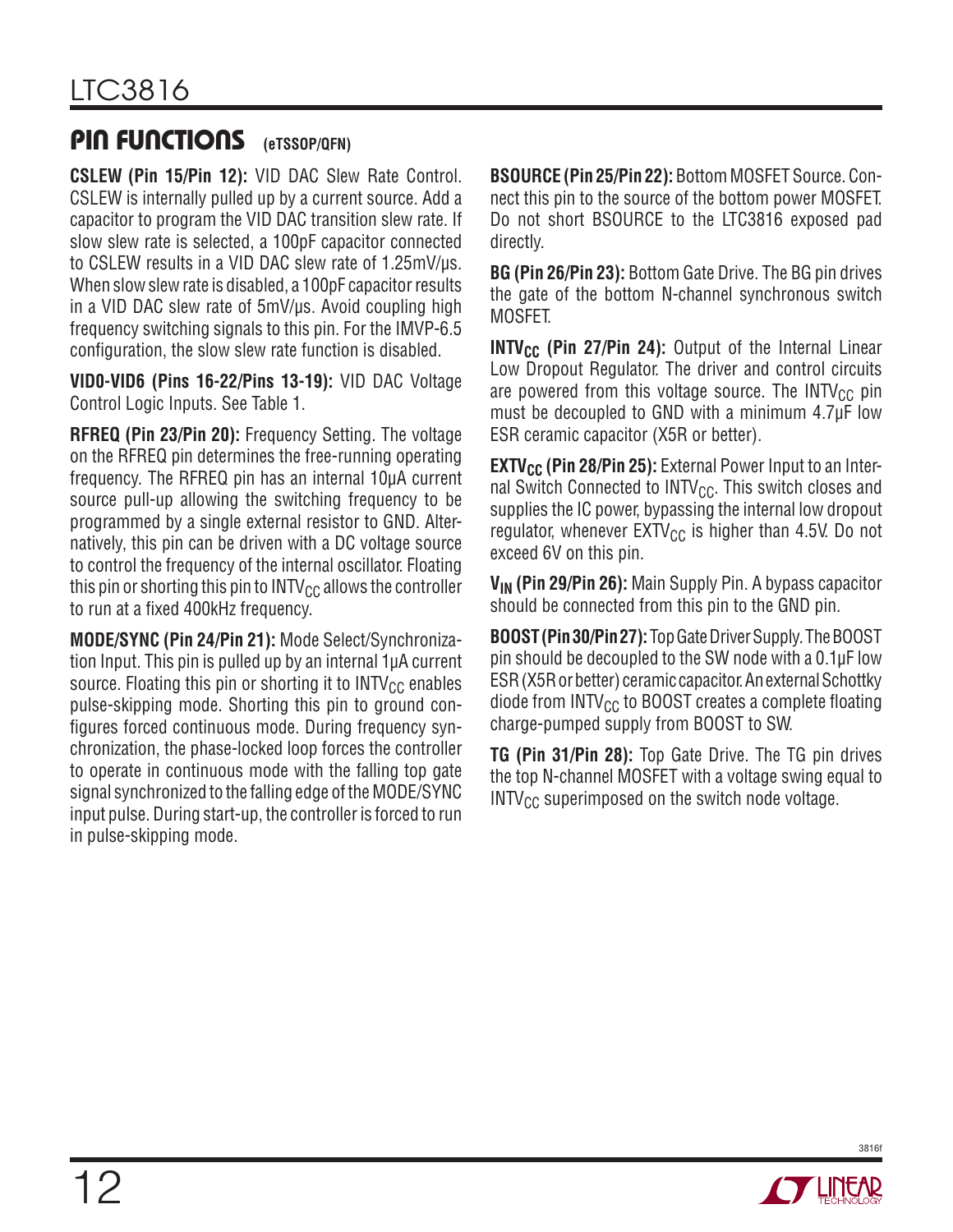### PIN FUNCTIONS **(eTSSOP/QFN)**

**CSLEW (Pin 15/Pin 12):** VID DAC Slew Rate Control. CSLEW is internally pulled up by a current source. Add a capacitor to program the VID DAC transition slew rate. If slow slew rate is selected, a 100pF capacitor connected to CSLEW results in a VID DAC slew rate of 1.25mV/µs. When slow slew rate is disabled, a 100pF capacitor results in a VID DAC slew rate of 5mV/µs. Avoid coupling high frequency switching signals to this pin. For the IMVP-6.5 configuration, the slow slew rate function is disabled.

**VID0-VID6 (Pins 16-22/Pins 13-19):** VID DAC Voltage Control Logic Inputs. See Table 1.

**RFREQ (Pin 23/Pin 20):** Frequency Setting. The voltage on the RFREQ pin determines the free-running operating frequency. The RFREQ pin has an internal 10µA current source pull-up allowing the switching frequency to be programmed by a single external resistor to GND. Alternatively, this pin can be driven with a DC voltage source to control the frequency of the internal oscillator. Floating this pin or shorting this pin to  $INTV_{CC}$  allows the controller to run at a fixed 400kHz frequency.

**MODE/SYNC (Pin 24/Pin 21):** Mode Select/Synchronization Input. This pin is pulled up by an internal 1µA current source. Floating this pin or shorting it to  $INTV_{CC}$  enables pulse-skipping mode. Shorting this pin to ground configures forced continuous mode. During frequency synchronization, the phase-locked loop forces the controller to operate in continuous mode with the falling top gate signal synchronized to the falling edge of the MODE/SYNC input pulse. During start-up, the controller is forced to run in pulse-skipping mode.

**BSOURCE (Pin 25/Pin 22):** Bottom MOSFET Source. Connect this pin to the source of the bottom power MOSFET. Do not short BSOURCE to the LTC3816 exposed pad directly.

**BG (Pin 26/Pin 23):** Bottom Gate Drive. The BG pin drives the gate of the bottom N-channel synchronous switch MOSFET.

**INTV<sub>CC</sub>** (Pin 27/Pin 24): Output of the Internal Linear Low Dropout Regulator. The driver and control circuits are powered from this voltage source. The  $INTV_{CC}$  pin must be decoupled to GND with a minimum 4.7µF low ESR ceramic capacitor (X5R or better).

**EXTV<sub>CC</sub>** (Pin 28/Pin 25): External Power Input to an Internal Switch Connected to  $INTV_{CC}$ . This switch closes and supplies the IC power, bypassing the internal low dropout regulator, whenever  $EXY_{CC}$  is higher than 4.5V. Do not exceed 6V on this pin.

**VIN (Pin 29/Pin 26):** Main Supply Pin. A bypass capacitor should be connected from this pin to the GND pin.

**BOOST (Pin 30/Pin 27):** Top Gate Driver Supply. The BOOST pin should be decoupled to the SW node with a 0.1µF low ESR (X5R or better) ceramic capacitor. An external Schottky diode from  $INTV_{CC}$  to BOOST creates a complete floating charge-pumped supply from BOOST to SW.

**TG (Pin 31/Pin 28):** Top Gate Drive. The TG pin drives the top N-channel MOSFET with a voltage swing equal to  $INTV_{CC}$  superimposed on the switch node voltage.

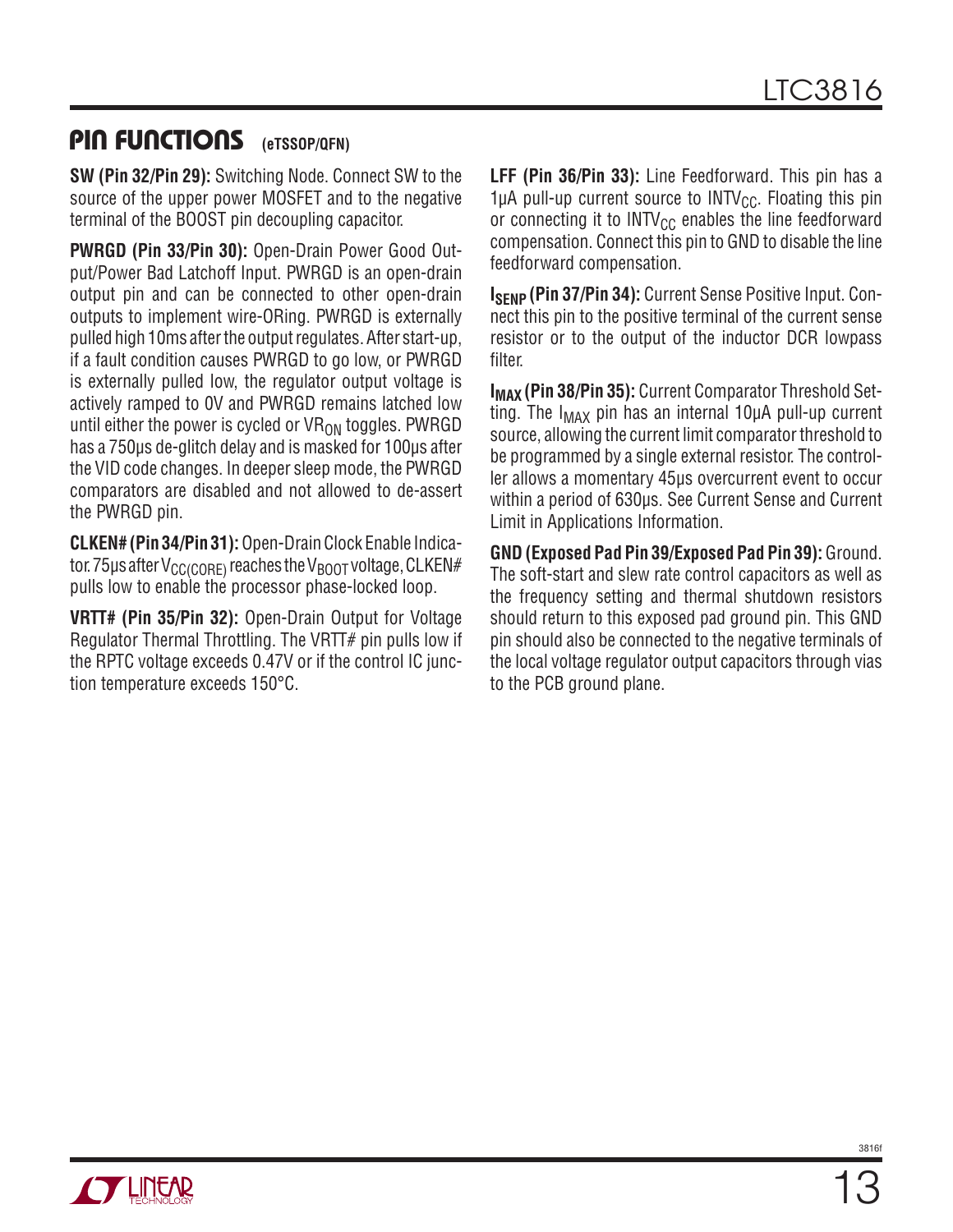### PIN FUNCTIONS **(eTSSOP/QFN)**

**SW (Pin 32/Pin 29):** Switching Node. Connect SW to the source of the upper power MOSFET and to the negative terminal of the BOOST pin decoupling capacitor.

**PWRGD (Pin 33/Pin 30):** Open-Drain Power Good Output/Power Bad Latchoff Input. PWRGD is an open-drain output pin and can be connected to other open-drain outputs to implement wire-ORing. PWRGD is externally pulled high 10ms after the output regulates. After start-up, if a fault condition causes PWRGD to go low, or PWRGD is externally pulled low, the regulator output voltage is actively ramped to 0V and PWRGD remains latched low until either the power is cycled or  $VR_{ON}$  toggles. PWRGD has a 750µs de-glitch delay and is masked for 100µs after the VID code changes. In deeper sleep mode, the PWRGD comparators are disabled and not allowed to de-assert the PWRGD pin.

**CLKEN# (Pin 34/Pin 31):** Open-Drain Clock Enable Indicator. 75 µs after  $V_{C C (C \cap RF)}$  reaches the  $V_{B O O T}$  voltage, CLKEN# pulls low to enable the processor phase-locked loop.

**VRTT# (Pin 35/Pin 32):** Open-Drain Output for Voltage Regulator Thermal Throttling. The VRTT# pin pulls low if the RPTC voltage exceeds 0.47V or if the control IC junction temperature exceeds 150°C.

**LFF (Pin 36/Pin 33):** Line Feedforward. This pin has a 1µA pull-up current source to  $INTV_{CC}$ . Floating this pin or connecting it to  $INTV_{CC}$  enables the line feedforward compensation. Connect this pin to GND to disable the line feedforward compensation.

**ISENP (Pin 37/Pin 34):** Current Sense Positive Input. Connect this pin to the positive terminal of the current sense resistor or to the output of the inductor DCR lowpass filter.

**I<sub>MAX</sub> (Pin 38/Pin 35):** Current Comparator Threshold Setting. The  $I_{MAX}$  pin has an internal 10 $\mu$ A pull-up current source, allowing the current limit comparator threshold to be programmed by a single external resistor. The controller allows a momentary 45µs overcurrent event to occur within a period of 630µs. See Current Sense and Current Limit in Applications Information.

**GND (Exposed Pad Pin 39/Exposed Pad Pin 39):** Ground. The soft-start and slew rate control capacitors as well as the frequency setting and thermal shutdown resistors should return to this exposed pad ground pin. This GND pin should also be connected to the negative terminals of the local voltage regulator output capacitors through vias to the PCB ground plane.

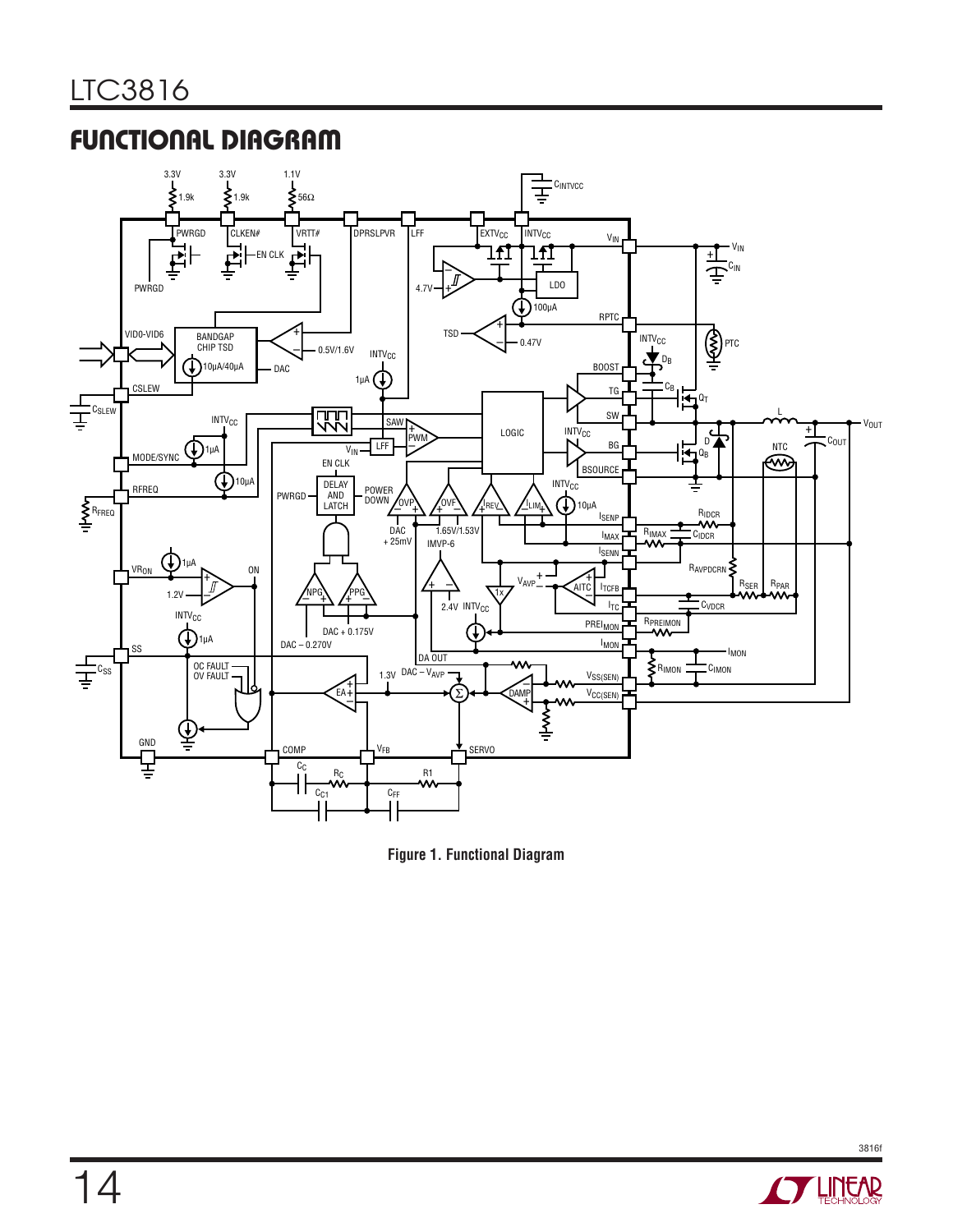# Functional Diagram



**Figure 1. Functional Diagram**

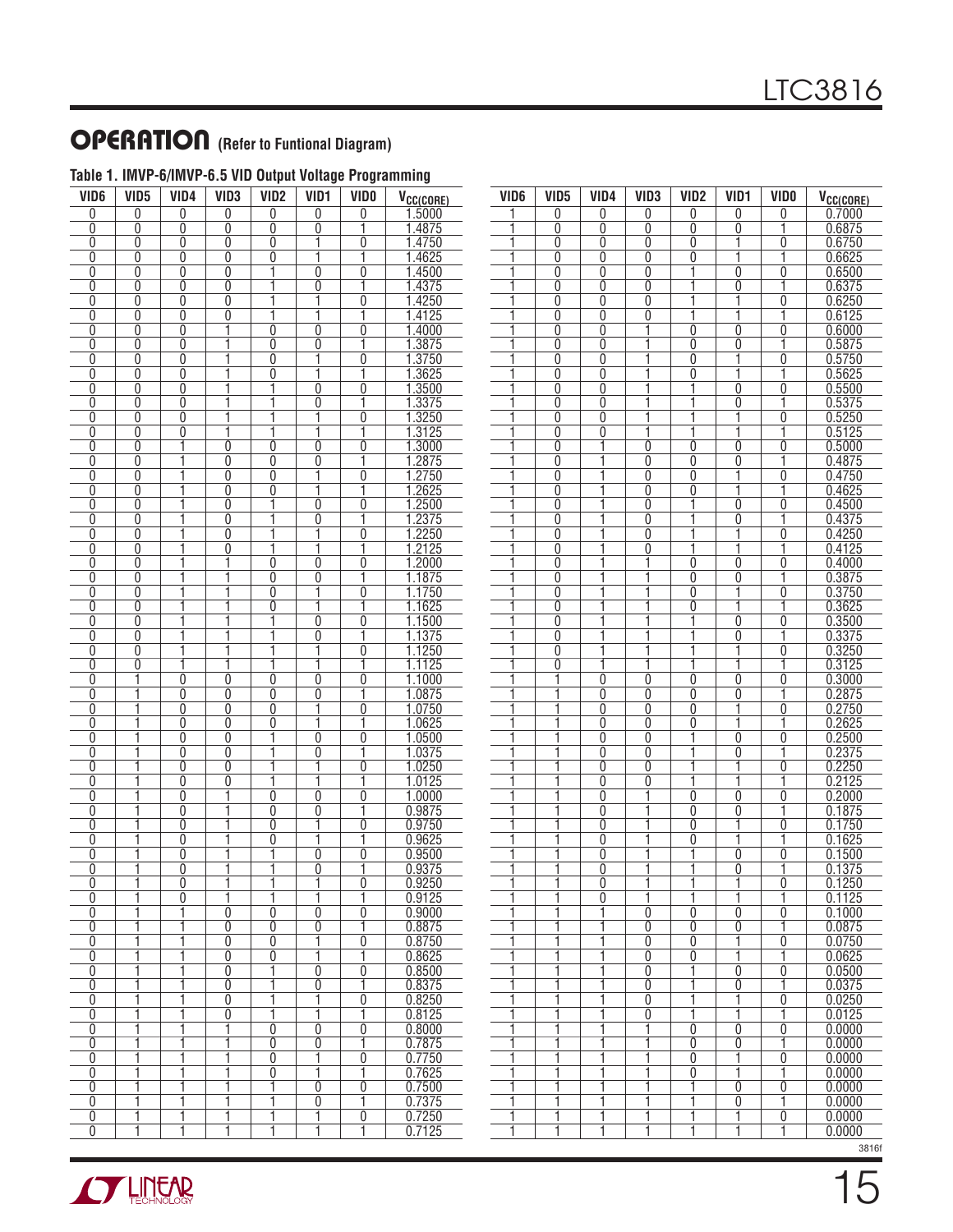### **OPERATION** (Refer to Funtional Diagram)

| VID <sub>6</sub>    | VID <sub>5</sub> | VID4           | VID <sub>3</sub>    | VID <sub>2</sub> | VID <sub>1</sub> | <b>VIDO</b>         | V <sub>CC(CORE)</sub> |
|---------------------|------------------|----------------|---------------------|------------------|------------------|---------------------|-----------------------|
| 0                   | 0                | 0              | 0                   | 0                | 0                | 0                   | 1.5000                |
| 0                   | 0                | 0              | 0                   | 0                | 0                | 1                   | 1.4875                |
| 0                   | Ō                | 0              | $\overline{0}$      | 0                | 1                | 0                   | 1.4750                |
| 0                   | 0                | 0              | 0                   | 0                | 1                | 1                   | 1.4625                |
| 0                   | 0                | 0              | $\overline{0}$      | 1                | $\overline{0}$   | $\overline{0}$      | 1.4500                |
| 0                   | 0                | 0              | 0                   | 1                | 0                | 1                   | 1.4375                |
| 0                   | 0                | 0              | 0                   | 1                | 1                | 0                   | 1.4250                |
| 0                   | 0                | 0              | 0                   | 1                | 1                | 1                   | 1.4125                |
| 0                   | 0                | 0              | 1                   | 0                | 0                | 0                   | 1.4000                |
| 0                   | 0                | 0              | 1                   | 0                | 0                | 1                   | 1.3875                |
| 0                   | 0                | 0              | 1                   | 0                | 1                | 0                   | 1.3750                |
| 0<br>0              | 0<br>0           | 0              | 1<br>1              | 0<br>1           | 1<br>0           | 1<br>$\overline{0}$ | 1.3625                |
| 0                   | 0                | 0<br>0         | 1                   | 1                | 0                | 1                   | 1.3500<br>1.3375      |
| 0                   | 0                | 0              | 1                   | 1                | 1                | 0                   | 1.3250                |
| 0                   | 0                | 0              | 1                   | 1                | 1                | 1                   | 1.3125                |
| 0                   | 0                | 1              | 0                   | 0                | 0                | 0                   | 1.3000                |
| 0                   | 0                | 1              | 0                   | 0                | 0                | 1                   | 1.2875                |
| $\overline{0}$      | 0                | 1              | $\overline{0}$      | 0                | 1                | 0                   | 1.2750                |
| 0                   | 0                | 1              | 0                   | 0                | 1                | 1                   | 1.2625                |
| 0                   | Ō                | 1              | $\overline{0}$      | 1                | 0                | Ō                   | 1.2500                |
| 0                   | 0                | 1              | 0                   | 1                | 0                | 1                   | 1.2375                |
| 0                   | 0                | 1              | $\overline{0}$      | 1                | 1                | Ō                   | 1.2250                |
| 0                   | 0                | 1              | 0                   | 1                | 1                | 1                   | 1.2125                |
| 0                   | 0                | 1              | 1                   | 0                | 0                | 0                   | 1.2000                |
| 0                   | 0                | 1              | 1                   | 0                | 0                | 1                   | 1.1875                |
| 0                   | 0                | 1              | 1                   | 0                | 1                | 0                   | 1.1750                |
| $\overline{0}$<br>0 | $\overline{0}$   | 1<br>1         | 1<br>1              | 0<br>1           | 1<br>0           | 1<br>0              | 1.1625                |
| 0                   | 0<br>0           | 1              | 1                   | 1                | 0                | 1                   | 1.1500<br>1.1375      |
| $\overline{0}$      | 0                | 1              | 1                   | ī                | 1                | Ō                   | 1.1250                |
| 0                   | 0                | 1              | 1                   | 1                | 1                | 1                   | 1.1125                |
| $\overline{0}$      | 1                | 0              | Ō                   | 0                | 0                | 0                   | 1.1000                |
| 0                   | 1                | 0              | 0                   | 0                | 0                | 1                   | 1.0875                |
| $\overline{0}$      | 1                | 0              | $\overline{0}$      | $\overline{0}$   | 1                | 0                   | 1.0750                |
| 0                   | 1                | 0              | 0                   | 0                | 1                | 1                   | 1.0625                |
| 0                   | 1                | 0              | $\overline{0}$      | 1                | 0                | 0                   | 1.0500                |
| 0                   | 1                | 0              | 0                   | 1                | 0                | 1                   | 1.0375                |
| 0                   | 1                | 0              | 0                   | 1                | 1                | 0                   | 1.0250                |
| 0                   | 1                | 0              | 0                   | 1                | 1                | 1                   | 1.0125                |
| 0                   | 1                | 0              | 1                   | 0                | 0                | 0<br>1              | 1.0000                |
| 0<br>0              | 1<br>1           | 0<br>0         | 1<br>1              | 0<br>0           | 0<br>1           | 0                   | 0.9875<br>0.9750      |
| $\overline{0}$      | 1                | 0              | Ĩ                   | 0                | 1                | 1                   | 0.9625                |
| 0                   | 1                | 0              | 1                   | 1                | 0                | 0                   | 0.9500                |
| $\overline{0}$      | 1                | $\overline{0}$ | 1                   | 1                | $\overline{0}$   | 1                   | 0.9375                |
| 0                   | 1                | 0              | 1                   | 1                | 1                | 0                   | 0.9250                |
| 0                   | ī                | 0              | 1                   | 1                | ī                | ī                   | 0.9125                |
| 0                   | 1                | 1              | 0                   | 0                | 0                | 0                   | 0.9000                |
| 0                   | ī                | 1              | 0                   | 0                | 0                | 1                   | 0.8875                |
| 0                   | ī                | 1              | 0                   | 0                | ī                | $\overline{0}$      | 0.8750                |
| $\overline{0}$      | ī                | ī              | $\overline{0}$      | $\overline{0}$   | ī                | Ī                   | 0.8625                |
| $\overline{0}$      | 1                | 1              | $\overline{0}$      | ī                | $\overline{0}$   | 0                   | 0.8500                |
| $\overline{0}$      | 1                | 1              | $\overline{0}$      | 1                | 0                | 1                   | 0.8375                |
| 0                   | ī                | 1              | $\overline{0}$      | Ī<br>ī           | 1<br>ī           | $\overline{0}$      | 0.8250                |
| $\overline{0}$      | ī<br>1           | 1<br>1         | $\overline{0}$<br>1 |                  |                  | 1<br>$\overline{0}$ | 0.8125<br>0.8000      |
| 0<br>$\overline{0}$ | 1                | 1              | 1                   | 0<br>0           | 0<br>0           | ī                   | 0.7875                |
| 0                   | 1                | 1              | 1                   | 0                | 1                | $\overline{0}$      | 0.7750                |
| $\overline{0}$      | ī                | ī              | ī                   | $\overline{0}$   | ī                | ī                   | 0.7625                |
| 0                   | 1                | 1              | 1                   | 1                | 0                | 0                   | 0.7500                |
| 0                   | 1                | 1              | 1                   | 1                | 0                | ī                   | 0.7375                |
| 0                   | 1                | 1              | 1                   | 1                | 1                | $\overline{0}$      | 0.7250                |
| $\overline{0}$      | ī                | 1              | 1                   | ī                | ī                | 1                   | 0.7125                |

#### **Table 1. IMVP-6/IMVP-6.5 VID Output Voltage Programming**

| VID6<br>VID <sub>5</sub><br>VID4<br>VID <sub>3</sub><br>VID <sub>2</sub><br>VID <sub>1</sub><br><b>VIDO</b><br>0<br>0<br>0<br>0<br>0<br>0<br>0.7000<br>1<br>1<br>0<br>0.6875<br>0<br>0<br>0<br>0<br>1<br>1<br>0.6750<br>0<br>0<br>0<br>0<br>0<br>1<br>1<br>1<br>0.6625<br>0<br>0<br>0<br>0<br>0.6500<br>1<br>0<br>0<br>1<br>0<br>0<br>0<br>1<br>1<br>1<br>0.6375<br>0<br>0<br>0<br>0<br>1<br>0.6250<br>1<br>0<br>1<br>0<br>0<br>0<br>1<br>1<br>1<br>0<br>0<br>0<br>1<br>0<br>1<br>0<br>0<br>0<br>0<br>1<br>1<br>1<br>0<br>0<br>0<br>0<br>1<br>1<br>1<br>0<br>0<br>0<br>0<br>1<br>1<br>1<br>0.5625<br>0<br>0<br>0<br>1<br>1<br>1<br>0.5500<br>0<br>0<br>0<br>0<br>0.5375<br>1<br>0<br>1<br>1<br>1<br>0<br>0<br>1<br>1<br>0.5250<br>1<br>1<br>0<br>0<br>0<br>1<br>0.5125<br>1<br>1<br>1<br>1<br>0<br>0<br>1<br>1<br>0<br>0<br>0.5000<br>0<br>0<br>0<br>0.4875<br>1<br>1<br>1<br>0<br>0<br>0<br>0<br>1<br>1<br>1<br>0<br>0<br>0<br>0.4750<br>0<br>1<br>1<br>1<br>1<br>0.4625<br>0<br>0<br>0<br>1<br>1<br>1<br>0.4500<br>0<br>0<br>0<br>0<br>1<br>1<br>0.4375<br>0<br>1<br>0<br>1<br>0<br>1<br>1<br>1<br>0.4250<br>0<br>1<br>0<br>0<br>1<br>1<br>1<br>0.4125<br>0<br>1<br>0<br>1<br>1<br>1<br>1<br>0<br>0<br>0<br>0<br>0.4000<br>Ī<br>0.3875<br>1<br>1<br>1<br>0<br>0<br>0<br>1<br>1<br>1<br>1<br>0<br>0<br>0<br>0.3750<br>1<br>1<br>0<br>1<br>1<br>1<br>0.3625<br>0<br>1<br>1<br>1<br>1<br>0.3500<br>0<br>0<br>0<br>1<br>1<br>0<br>1<br>1<br>1<br>0<br>1<br>1<br>1<br>1<br>1<br>0<br>0<br>0.3125<br>1<br>1<br>1<br>1<br>1<br>1<br>0<br>1<br>0.3000<br>1<br>0<br>0<br>0<br>0<br>0<br>0.2875<br>1<br>0<br>0<br>1<br>1<br>0<br>0<br>1<br>1<br>1<br>0.2750<br>0<br>0<br>0<br>0<br>0.2625<br>1<br>1<br>1<br>1<br>0<br>0<br>0<br>1<br>1<br>0.2500<br>0<br>0<br>0<br>0<br>0.2375<br>1<br>1<br>0<br>1<br>0<br>0<br>0.2250<br>0<br>1<br>1<br>1<br>0<br>0<br>1<br>0.2125<br>1<br>1<br>1<br>1<br>0<br>0<br>0.2000<br>1<br>1<br>1<br>0<br>0<br>0<br>0<br>0.1875<br>1<br>1<br>1<br>1<br>0<br>0<br>0<br>0.1750<br>1<br>1<br>1<br>0<br>1<br>0<br>0<br>1<br>1<br>1<br>1<br>1<br>0.1625<br>0<br>0<br>0.1500<br>1<br>1<br>1<br>1<br>0<br>0<br>0<br>1<br>Ī<br>Ī<br>0.1375<br>1<br>1<br>$\overline{0}$<br>0<br>ī<br>1<br>1<br>0<br>1<br>1<br>0<br>0.1250<br>1<br>1<br>1<br>1<br>1<br>1<br>0<br>1<br>ī<br>$\overline{0}$<br>1<br>0<br>0<br>0<br>1<br>ī<br>1<br>$\overline{0}$<br>1<br>$\overline{0}$<br>$\overline{0}$<br>ī<br>ī<br>$\overline{0}$<br>ī<br>$\overline{0}$<br>1<br>0<br>ī<br>ī<br>1<br>ī<br>1<br>$\overline{0}$<br>$\overline{0}$<br>ī<br>ī<br>ī<br>1<br>$\overline{0}$<br>$\overline{0}$<br>$\overline{0}$<br>0.0500<br>ī<br>Ī<br>Ī<br>ī<br>$\overline{0}$<br>Ī<br>0<br>0.0375<br>ī<br>1<br>1<br>$\overline{0}$<br>ī<br>ī<br>$\overline{0}$<br>0.0250<br>1<br>1<br>1<br>1<br>1<br>$\overline{0}$<br>1<br>0.0125<br>ī<br>1<br>ī<br>1<br>$\overline{0}$<br>$\overline{0}$<br>$\overline{0}$<br>0.0000<br>Ī<br>Ī<br>ī<br>ī<br>1<br>$\overline{0}$<br>$\overline{0}$<br>0.0000 | V <sub>CC(CORE)</sub> |
|--------------------------------------------------------------------------------------------------------------------------------------------------------------------------------------------------------------------------------------------------------------------------------------------------------------------------------------------------------------------------------------------------------------------------------------------------------------------------------------------------------------------------------------------------------------------------------------------------------------------------------------------------------------------------------------------------------------------------------------------------------------------------------------------------------------------------------------------------------------------------------------------------------------------------------------------------------------------------------------------------------------------------------------------------------------------------------------------------------------------------------------------------------------------------------------------------------------------------------------------------------------------------------------------------------------------------------------------------------------------------------------------------------------------------------------------------------------------------------------------------------------------------------------------------------------------------------------------------------------------------------------------------------------------------------------------------------------------------------------------------------------------------------------------------------------------------------------------------------------------------------------------------------------------------------------------------------------------------------------------------------------------------------------------------------------------------------------------------------------------------------------------------------------------------------------------------------------------------------------------------------------------------------------------------------------------------------------------------------------------------------------------------------------------------------------------------------------------------------------------------------------------------------------------------------------------------------------------------------------------------------------------------------------------------------------------------------------------------------------------------------------------------------------------------------------------------------------------------------------------------------------------------------------------------------------------------------------------|-----------------------|
|                                                                                                                                                                                                                                                                                                                                                                                                                                                                                                                                                                                                                                                                                                                                                                                                                                                                                                                                                                                                                                                                                                                                                                                                                                                                                                                                                                                                                                                                                                                                                                                                                                                                                                                                                                                                                                                                                                                                                                                                                                                                                                                                                                                                                                                                                                                                                                                                                                                                                                                                                                                                                                                                                                                                                                                                                                                                                                                                                                    |                       |
|                                                                                                                                                                                                                                                                                                                                                                                                                                                                                                                                                                                                                                                                                                                                                                                                                                                                                                                                                                                                                                                                                                                                                                                                                                                                                                                                                                                                                                                                                                                                                                                                                                                                                                                                                                                                                                                                                                                                                                                                                                                                                                                                                                                                                                                                                                                                                                                                                                                                                                                                                                                                                                                                                                                                                                                                                                                                                                                                                                    |                       |
|                                                                                                                                                                                                                                                                                                                                                                                                                                                                                                                                                                                                                                                                                                                                                                                                                                                                                                                                                                                                                                                                                                                                                                                                                                                                                                                                                                                                                                                                                                                                                                                                                                                                                                                                                                                                                                                                                                                                                                                                                                                                                                                                                                                                                                                                                                                                                                                                                                                                                                                                                                                                                                                                                                                                                                                                                                                                                                                                                                    |                       |
|                                                                                                                                                                                                                                                                                                                                                                                                                                                                                                                                                                                                                                                                                                                                                                                                                                                                                                                                                                                                                                                                                                                                                                                                                                                                                                                                                                                                                                                                                                                                                                                                                                                                                                                                                                                                                                                                                                                                                                                                                                                                                                                                                                                                                                                                                                                                                                                                                                                                                                                                                                                                                                                                                                                                                                                                                                                                                                                                                                    |                       |
|                                                                                                                                                                                                                                                                                                                                                                                                                                                                                                                                                                                                                                                                                                                                                                                                                                                                                                                                                                                                                                                                                                                                                                                                                                                                                                                                                                                                                                                                                                                                                                                                                                                                                                                                                                                                                                                                                                                                                                                                                                                                                                                                                                                                                                                                                                                                                                                                                                                                                                                                                                                                                                                                                                                                                                                                                                                                                                                                                                    |                       |
|                                                                                                                                                                                                                                                                                                                                                                                                                                                                                                                                                                                                                                                                                                                                                                                                                                                                                                                                                                                                                                                                                                                                                                                                                                                                                                                                                                                                                                                                                                                                                                                                                                                                                                                                                                                                                                                                                                                                                                                                                                                                                                                                                                                                                                                                                                                                                                                                                                                                                                                                                                                                                                                                                                                                                                                                                                                                                                                                                                    |                       |
|                                                                                                                                                                                                                                                                                                                                                                                                                                                                                                                                                                                                                                                                                                                                                                                                                                                                                                                                                                                                                                                                                                                                                                                                                                                                                                                                                                                                                                                                                                                                                                                                                                                                                                                                                                                                                                                                                                                                                                                                                                                                                                                                                                                                                                                                                                                                                                                                                                                                                                                                                                                                                                                                                                                                                                                                                                                                                                                                                                    |                       |
|                                                                                                                                                                                                                                                                                                                                                                                                                                                                                                                                                                                                                                                                                                                                                                                                                                                                                                                                                                                                                                                                                                                                                                                                                                                                                                                                                                                                                                                                                                                                                                                                                                                                                                                                                                                                                                                                                                                                                                                                                                                                                                                                                                                                                                                                                                                                                                                                                                                                                                                                                                                                                                                                                                                                                                                                                                                                                                                                                                    | 0.6125                |
|                                                                                                                                                                                                                                                                                                                                                                                                                                                                                                                                                                                                                                                                                                                                                                                                                                                                                                                                                                                                                                                                                                                                                                                                                                                                                                                                                                                                                                                                                                                                                                                                                                                                                                                                                                                                                                                                                                                                                                                                                                                                                                                                                                                                                                                                                                                                                                                                                                                                                                                                                                                                                                                                                                                                                                                                                                                                                                                                                                    | 0.6000                |
|                                                                                                                                                                                                                                                                                                                                                                                                                                                                                                                                                                                                                                                                                                                                                                                                                                                                                                                                                                                                                                                                                                                                                                                                                                                                                                                                                                                                                                                                                                                                                                                                                                                                                                                                                                                                                                                                                                                                                                                                                                                                                                                                                                                                                                                                                                                                                                                                                                                                                                                                                                                                                                                                                                                                                                                                                                                                                                                                                                    | 0.5875                |
|                                                                                                                                                                                                                                                                                                                                                                                                                                                                                                                                                                                                                                                                                                                                                                                                                                                                                                                                                                                                                                                                                                                                                                                                                                                                                                                                                                                                                                                                                                                                                                                                                                                                                                                                                                                                                                                                                                                                                                                                                                                                                                                                                                                                                                                                                                                                                                                                                                                                                                                                                                                                                                                                                                                                                                                                                                                                                                                                                                    | 0.5750                |
|                                                                                                                                                                                                                                                                                                                                                                                                                                                                                                                                                                                                                                                                                                                                                                                                                                                                                                                                                                                                                                                                                                                                                                                                                                                                                                                                                                                                                                                                                                                                                                                                                                                                                                                                                                                                                                                                                                                                                                                                                                                                                                                                                                                                                                                                                                                                                                                                                                                                                                                                                                                                                                                                                                                                                                                                                                                                                                                                                                    |                       |
|                                                                                                                                                                                                                                                                                                                                                                                                                                                                                                                                                                                                                                                                                                                                                                                                                                                                                                                                                                                                                                                                                                                                                                                                                                                                                                                                                                                                                                                                                                                                                                                                                                                                                                                                                                                                                                                                                                                                                                                                                                                                                                                                                                                                                                                                                                                                                                                                                                                                                                                                                                                                                                                                                                                                                                                                                                                                                                                                                                    |                       |
|                                                                                                                                                                                                                                                                                                                                                                                                                                                                                                                                                                                                                                                                                                                                                                                                                                                                                                                                                                                                                                                                                                                                                                                                                                                                                                                                                                                                                                                                                                                                                                                                                                                                                                                                                                                                                                                                                                                                                                                                                                                                                                                                                                                                                                                                                                                                                                                                                                                                                                                                                                                                                                                                                                                                                                                                                                                                                                                                                                    |                       |
|                                                                                                                                                                                                                                                                                                                                                                                                                                                                                                                                                                                                                                                                                                                                                                                                                                                                                                                                                                                                                                                                                                                                                                                                                                                                                                                                                                                                                                                                                                                                                                                                                                                                                                                                                                                                                                                                                                                                                                                                                                                                                                                                                                                                                                                                                                                                                                                                                                                                                                                                                                                                                                                                                                                                                                                                                                                                                                                                                                    |                       |
|                                                                                                                                                                                                                                                                                                                                                                                                                                                                                                                                                                                                                                                                                                                                                                                                                                                                                                                                                                                                                                                                                                                                                                                                                                                                                                                                                                                                                                                                                                                                                                                                                                                                                                                                                                                                                                                                                                                                                                                                                                                                                                                                                                                                                                                                                                                                                                                                                                                                                                                                                                                                                                                                                                                                                                                                                                                                                                                                                                    |                       |
|                                                                                                                                                                                                                                                                                                                                                                                                                                                                                                                                                                                                                                                                                                                                                                                                                                                                                                                                                                                                                                                                                                                                                                                                                                                                                                                                                                                                                                                                                                                                                                                                                                                                                                                                                                                                                                                                                                                                                                                                                                                                                                                                                                                                                                                                                                                                                                                                                                                                                                                                                                                                                                                                                                                                                                                                                                                                                                                                                                    |                       |
|                                                                                                                                                                                                                                                                                                                                                                                                                                                                                                                                                                                                                                                                                                                                                                                                                                                                                                                                                                                                                                                                                                                                                                                                                                                                                                                                                                                                                                                                                                                                                                                                                                                                                                                                                                                                                                                                                                                                                                                                                                                                                                                                                                                                                                                                                                                                                                                                                                                                                                                                                                                                                                                                                                                                                                                                                                                                                                                                                                    |                       |
|                                                                                                                                                                                                                                                                                                                                                                                                                                                                                                                                                                                                                                                                                                                                                                                                                                                                                                                                                                                                                                                                                                                                                                                                                                                                                                                                                                                                                                                                                                                                                                                                                                                                                                                                                                                                                                                                                                                                                                                                                                                                                                                                                                                                                                                                                                                                                                                                                                                                                                                                                                                                                                                                                                                                                                                                                                                                                                                                                                    |                       |
|                                                                                                                                                                                                                                                                                                                                                                                                                                                                                                                                                                                                                                                                                                                                                                                                                                                                                                                                                                                                                                                                                                                                                                                                                                                                                                                                                                                                                                                                                                                                                                                                                                                                                                                                                                                                                                                                                                                                                                                                                                                                                                                                                                                                                                                                                                                                                                                                                                                                                                                                                                                                                                                                                                                                                                                                                                                                                                                                                                    |                       |
|                                                                                                                                                                                                                                                                                                                                                                                                                                                                                                                                                                                                                                                                                                                                                                                                                                                                                                                                                                                                                                                                                                                                                                                                                                                                                                                                                                                                                                                                                                                                                                                                                                                                                                                                                                                                                                                                                                                                                                                                                                                                                                                                                                                                                                                                                                                                                                                                                                                                                                                                                                                                                                                                                                                                                                                                                                                                                                                                                                    |                       |
|                                                                                                                                                                                                                                                                                                                                                                                                                                                                                                                                                                                                                                                                                                                                                                                                                                                                                                                                                                                                                                                                                                                                                                                                                                                                                                                                                                                                                                                                                                                                                                                                                                                                                                                                                                                                                                                                                                                                                                                                                                                                                                                                                                                                                                                                                                                                                                                                                                                                                                                                                                                                                                                                                                                                                                                                                                                                                                                                                                    |                       |
|                                                                                                                                                                                                                                                                                                                                                                                                                                                                                                                                                                                                                                                                                                                                                                                                                                                                                                                                                                                                                                                                                                                                                                                                                                                                                                                                                                                                                                                                                                                                                                                                                                                                                                                                                                                                                                                                                                                                                                                                                                                                                                                                                                                                                                                                                                                                                                                                                                                                                                                                                                                                                                                                                                                                                                                                                                                                                                                                                                    |                       |
|                                                                                                                                                                                                                                                                                                                                                                                                                                                                                                                                                                                                                                                                                                                                                                                                                                                                                                                                                                                                                                                                                                                                                                                                                                                                                                                                                                                                                                                                                                                                                                                                                                                                                                                                                                                                                                                                                                                                                                                                                                                                                                                                                                                                                                                                                                                                                                                                                                                                                                                                                                                                                                                                                                                                                                                                                                                                                                                                                                    |                       |
|                                                                                                                                                                                                                                                                                                                                                                                                                                                                                                                                                                                                                                                                                                                                                                                                                                                                                                                                                                                                                                                                                                                                                                                                                                                                                                                                                                                                                                                                                                                                                                                                                                                                                                                                                                                                                                                                                                                                                                                                                                                                                                                                                                                                                                                                                                                                                                                                                                                                                                                                                                                                                                                                                                                                                                                                                                                                                                                                                                    |                       |
|                                                                                                                                                                                                                                                                                                                                                                                                                                                                                                                                                                                                                                                                                                                                                                                                                                                                                                                                                                                                                                                                                                                                                                                                                                                                                                                                                                                                                                                                                                                                                                                                                                                                                                                                                                                                                                                                                                                                                                                                                                                                                                                                                                                                                                                                                                                                                                                                                                                                                                                                                                                                                                                                                                                                                                                                                                                                                                                                                                    |                       |
|                                                                                                                                                                                                                                                                                                                                                                                                                                                                                                                                                                                                                                                                                                                                                                                                                                                                                                                                                                                                                                                                                                                                                                                                                                                                                                                                                                                                                                                                                                                                                                                                                                                                                                                                                                                                                                                                                                                                                                                                                                                                                                                                                                                                                                                                                                                                                                                                                                                                                                                                                                                                                                                                                                                                                                                                                                                                                                                                                                    |                       |
|                                                                                                                                                                                                                                                                                                                                                                                                                                                                                                                                                                                                                                                                                                                                                                                                                                                                                                                                                                                                                                                                                                                                                                                                                                                                                                                                                                                                                                                                                                                                                                                                                                                                                                                                                                                                                                                                                                                                                                                                                                                                                                                                                                                                                                                                                                                                                                                                                                                                                                                                                                                                                                                                                                                                                                                                                                                                                                                                                                    |                       |
|                                                                                                                                                                                                                                                                                                                                                                                                                                                                                                                                                                                                                                                                                                                                                                                                                                                                                                                                                                                                                                                                                                                                                                                                                                                                                                                                                                                                                                                                                                                                                                                                                                                                                                                                                                                                                                                                                                                                                                                                                                                                                                                                                                                                                                                                                                                                                                                                                                                                                                                                                                                                                                                                                                                                                                                                                                                                                                                                                                    | 0.3375                |
|                                                                                                                                                                                                                                                                                                                                                                                                                                                                                                                                                                                                                                                                                                                                                                                                                                                                                                                                                                                                                                                                                                                                                                                                                                                                                                                                                                                                                                                                                                                                                                                                                                                                                                                                                                                                                                                                                                                                                                                                                                                                                                                                                                                                                                                                                                                                                                                                                                                                                                                                                                                                                                                                                                                                                                                                                                                                                                                                                                    | 0.3250                |
|                                                                                                                                                                                                                                                                                                                                                                                                                                                                                                                                                                                                                                                                                                                                                                                                                                                                                                                                                                                                                                                                                                                                                                                                                                                                                                                                                                                                                                                                                                                                                                                                                                                                                                                                                                                                                                                                                                                                                                                                                                                                                                                                                                                                                                                                                                                                                                                                                                                                                                                                                                                                                                                                                                                                                                                                                                                                                                                                                                    |                       |
|                                                                                                                                                                                                                                                                                                                                                                                                                                                                                                                                                                                                                                                                                                                                                                                                                                                                                                                                                                                                                                                                                                                                                                                                                                                                                                                                                                                                                                                                                                                                                                                                                                                                                                                                                                                                                                                                                                                                                                                                                                                                                                                                                                                                                                                                                                                                                                                                                                                                                                                                                                                                                                                                                                                                                                                                                                                                                                                                                                    |                       |
|                                                                                                                                                                                                                                                                                                                                                                                                                                                                                                                                                                                                                                                                                                                                                                                                                                                                                                                                                                                                                                                                                                                                                                                                                                                                                                                                                                                                                                                                                                                                                                                                                                                                                                                                                                                                                                                                                                                                                                                                                                                                                                                                                                                                                                                                                                                                                                                                                                                                                                                                                                                                                                                                                                                                                                                                                                                                                                                                                                    |                       |
|                                                                                                                                                                                                                                                                                                                                                                                                                                                                                                                                                                                                                                                                                                                                                                                                                                                                                                                                                                                                                                                                                                                                                                                                                                                                                                                                                                                                                                                                                                                                                                                                                                                                                                                                                                                                                                                                                                                                                                                                                                                                                                                                                                                                                                                                                                                                                                                                                                                                                                                                                                                                                                                                                                                                                                                                                                                                                                                                                                    |                       |
|                                                                                                                                                                                                                                                                                                                                                                                                                                                                                                                                                                                                                                                                                                                                                                                                                                                                                                                                                                                                                                                                                                                                                                                                                                                                                                                                                                                                                                                                                                                                                                                                                                                                                                                                                                                                                                                                                                                                                                                                                                                                                                                                                                                                                                                                                                                                                                                                                                                                                                                                                                                                                                                                                                                                                                                                                                                                                                                                                                    |                       |
|                                                                                                                                                                                                                                                                                                                                                                                                                                                                                                                                                                                                                                                                                                                                                                                                                                                                                                                                                                                                                                                                                                                                                                                                                                                                                                                                                                                                                                                                                                                                                                                                                                                                                                                                                                                                                                                                                                                                                                                                                                                                                                                                                                                                                                                                                                                                                                                                                                                                                                                                                                                                                                                                                                                                                                                                                                                                                                                                                                    |                       |
|                                                                                                                                                                                                                                                                                                                                                                                                                                                                                                                                                                                                                                                                                                                                                                                                                                                                                                                                                                                                                                                                                                                                                                                                                                                                                                                                                                                                                                                                                                                                                                                                                                                                                                                                                                                                                                                                                                                                                                                                                                                                                                                                                                                                                                                                                                                                                                                                                                                                                                                                                                                                                                                                                                                                                                                                                                                                                                                                                                    |                       |
|                                                                                                                                                                                                                                                                                                                                                                                                                                                                                                                                                                                                                                                                                                                                                                                                                                                                                                                                                                                                                                                                                                                                                                                                                                                                                                                                                                                                                                                                                                                                                                                                                                                                                                                                                                                                                                                                                                                                                                                                                                                                                                                                                                                                                                                                                                                                                                                                                                                                                                                                                                                                                                                                                                                                                                                                                                                                                                                                                                    |                       |
|                                                                                                                                                                                                                                                                                                                                                                                                                                                                                                                                                                                                                                                                                                                                                                                                                                                                                                                                                                                                                                                                                                                                                                                                                                                                                                                                                                                                                                                                                                                                                                                                                                                                                                                                                                                                                                                                                                                                                                                                                                                                                                                                                                                                                                                                                                                                                                                                                                                                                                                                                                                                                                                                                                                                                                                                                                                                                                                                                                    |                       |
|                                                                                                                                                                                                                                                                                                                                                                                                                                                                                                                                                                                                                                                                                                                                                                                                                                                                                                                                                                                                                                                                                                                                                                                                                                                                                                                                                                                                                                                                                                                                                                                                                                                                                                                                                                                                                                                                                                                                                                                                                                                                                                                                                                                                                                                                                                                                                                                                                                                                                                                                                                                                                                                                                                                                                                                                                                                                                                                                                                    |                       |
|                                                                                                                                                                                                                                                                                                                                                                                                                                                                                                                                                                                                                                                                                                                                                                                                                                                                                                                                                                                                                                                                                                                                                                                                                                                                                                                                                                                                                                                                                                                                                                                                                                                                                                                                                                                                                                                                                                                                                                                                                                                                                                                                                                                                                                                                                                                                                                                                                                                                                                                                                                                                                                                                                                                                                                                                                                                                                                                                                                    |                       |
|                                                                                                                                                                                                                                                                                                                                                                                                                                                                                                                                                                                                                                                                                                                                                                                                                                                                                                                                                                                                                                                                                                                                                                                                                                                                                                                                                                                                                                                                                                                                                                                                                                                                                                                                                                                                                                                                                                                                                                                                                                                                                                                                                                                                                                                                                                                                                                                                                                                                                                                                                                                                                                                                                                                                                                                                                                                                                                                                                                    |                       |
|                                                                                                                                                                                                                                                                                                                                                                                                                                                                                                                                                                                                                                                                                                                                                                                                                                                                                                                                                                                                                                                                                                                                                                                                                                                                                                                                                                                                                                                                                                                                                                                                                                                                                                                                                                                                                                                                                                                                                                                                                                                                                                                                                                                                                                                                                                                                                                                                                                                                                                                                                                                                                                                                                                                                                                                                                                                                                                                                                                    |                       |
|                                                                                                                                                                                                                                                                                                                                                                                                                                                                                                                                                                                                                                                                                                                                                                                                                                                                                                                                                                                                                                                                                                                                                                                                                                                                                                                                                                                                                                                                                                                                                                                                                                                                                                                                                                                                                                                                                                                                                                                                                                                                                                                                                                                                                                                                                                                                                                                                                                                                                                                                                                                                                                                                                                                                                                                                                                                                                                                                                                    |                       |
|                                                                                                                                                                                                                                                                                                                                                                                                                                                                                                                                                                                                                                                                                                                                                                                                                                                                                                                                                                                                                                                                                                                                                                                                                                                                                                                                                                                                                                                                                                                                                                                                                                                                                                                                                                                                                                                                                                                                                                                                                                                                                                                                                                                                                                                                                                                                                                                                                                                                                                                                                                                                                                                                                                                                                                                                                                                                                                                                                                    |                       |
|                                                                                                                                                                                                                                                                                                                                                                                                                                                                                                                                                                                                                                                                                                                                                                                                                                                                                                                                                                                                                                                                                                                                                                                                                                                                                                                                                                                                                                                                                                                                                                                                                                                                                                                                                                                                                                                                                                                                                                                                                                                                                                                                                                                                                                                                                                                                                                                                                                                                                                                                                                                                                                                                                                                                                                                                                                                                                                                                                                    | 0.1125                |
|                                                                                                                                                                                                                                                                                                                                                                                                                                                                                                                                                                                                                                                                                                                                                                                                                                                                                                                                                                                                                                                                                                                                                                                                                                                                                                                                                                                                                                                                                                                                                                                                                                                                                                                                                                                                                                                                                                                                                                                                                                                                                                                                                                                                                                                                                                                                                                                                                                                                                                                                                                                                                                                                                                                                                                                                                                                                                                                                                                    | 0.1000                |
|                                                                                                                                                                                                                                                                                                                                                                                                                                                                                                                                                                                                                                                                                                                                                                                                                                                                                                                                                                                                                                                                                                                                                                                                                                                                                                                                                                                                                                                                                                                                                                                                                                                                                                                                                                                                                                                                                                                                                                                                                                                                                                                                                                                                                                                                                                                                                                                                                                                                                                                                                                                                                                                                                                                                                                                                                                                                                                                                                                    | 0.0875                |
|                                                                                                                                                                                                                                                                                                                                                                                                                                                                                                                                                                                                                                                                                                                                                                                                                                                                                                                                                                                                                                                                                                                                                                                                                                                                                                                                                                                                                                                                                                                                                                                                                                                                                                                                                                                                                                                                                                                                                                                                                                                                                                                                                                                                                                                                                                                                                                                                                                                                                                                                                                                                                                                                                                                                                                                                                                                                                                                                                                    | 0.0750                |
|                                                                                                                                                                                                                                                                                                                                                                                                                                                                                                                                                                                                                                                                                                                                                                                                                                                                                                                                                                                                                                                                                                                                                                                                                                                                                                                                                                                                                                                                                                                                                                                                                                                                                                                                                                                                                                                                                                                                                                                                                                                                                                                                                                                                                                                                                                                                                                                                                                                                                                                                                                                                                                                                                                                                                                                                                                                                                                                                                                    | 0.0625                |
|                                                                                                                                                                                                                                                                                                                                                                                                                                                                                                                                                                                                                                                                                                                                                                                                                                                                                                                                                                                                                                                                                                                                                                                                                                                                                                                                                                                                                                                                                                                                                                                                                                                                                                                                                                                                                                                                                                                                                                                                                                                                                                                                                                                                                                                                                                                                                                                                                                                                                                                                                                                                                                                                                                                                                                                                                                                                                                                                                                    |                       |
|                                                                                                                                                                                                                                                                                                                                                                                                                                                                                                                                                                                                                                                                                                                                                                                                                                                                                                                                                                                                                                                                                                                                                                                                                                                                                                                                                                                                                                                                                                                                                                                                                                                                                                                                                                                                                                                                                                                                                                                                                                                                                                                                                                                                                                                                                                                                                                                                                                                                                                                                                                                                                                                                                                                                                                                                                                                                                                                                                                    |                       |
|                                                                                                                                                                                                                                                                                                                                                                                                                                                                                                                                                                                                                                                                                                                                                                                                                                                                                                                                                                                                                                                                                                                                                                                                                                                                                                                                                                                                                                                                                                                                                                                                                                                                                                                                                                                                                                                                                                                                                                                                                                                                                                                                                                                                                                                                                                                                                                                                                                                                                                                                                                                                                                                                                                                                                                                                                                                                                                                                                                    |                       |
|                                                                                                                                                                                                                                                                                                                                                                                                                                                                                                                                                                                                                                                                                                                                                                                                                                                                                                                                                                                                                                                                                                                                                                                                                                                                                                                                                                                                                                                                                                                                                                                                                                                                                                                                                                                                                                                                                                                                                                                                                                                                                                                                                                                                                                                                                                                                                                                                                                                                                                                                                                                                                                                                                                                                                                                                                                                                                                                                                                    |                       |
|                                                                                                                                                                                                                                                                                                                                                                                                                                                                                                                                                                                                                                                                                                                                                                                                                                                                                                                                                                                                                                                                                                                                                                                                                                                                                                                                                                                                                                                                                                                                                                                                                                                                                                                                                                                                                                                                                                                                                                                                                                                                                                                                                                                                                                                                                                                                                                                                                                                                                                                                                                                                                                                                                                                                                                                                                                                                                                                                                                    |                       |
|                                                                                                                                                                                                                                                                                                                                                                                                                                                                                                                                                                                                                                                                                                                                                                                                                                                                                                                                                                                                                                                                                                                                                                                                                                                                                                                                                                                                                                                                                                                                                                                                                                                                                                                                                                                                                                                                                                                                                                                                                                                                                                                                                                                                                                                                                                                                                                                                                                                                                                                                                                                                                                                                                                                                                                                                                                                                                                                                                                    |                       |
| 1<br>1<br>1<br>1<br>1<br>$\overline{0}$<br>0                                                                                                                                                                                                                                                                                                                                                                                                                                                                                                                                                                                                                                                                                                                                                                                                                                                                                                                                                                                                                                                                                                                                                                                                                                                                                                                                                                                                                                                                                                                                                                                                                                                                                                                                                                                                                                                                                                                                                                                                                                                                                                                                                                                                                                                                                                                                                                                                                                                                                                                                                                                                                                                                                                                                                                                                                                                                                                                       | 0.0000                |
| ī<br>1<br>ī<br>ī<br>1<br>1<br>0                                                                                                                                                                                                                                                                                                                                                                                                                                                                                                                                                                                                                                                                                                                                                                                                                                                                                                                                                                                                                                                                                                                                                                                                                                                                                                                                                                                                                                                                                                                                                                                                                                                                                                                                                                                                                                                                                                                                                                                                                                                                                                                                                                                                                                                                                                                                                                                                                                                                                                                                                                                                                                                                                                                                                                                                                                                                                                                                    | 0.0000                |
| 1<br>1<br>1<br>1<br>1<br>$\overline{0}$<br>0<br>ī<br>ī<br>ī<br>ī<br>Ī<br>ī                                                                                                                                                                                                                                                                                                                                                                                                                                                                                                                                                                                                                                                                                                                                                                                                                                                                                                                                                                                                                                                                                                                                                                                                                                                                                                                                                                                                                                                                                                                                                                                                                                                                                                                                                                                                                                                                                                                                                                                                                                                                                                                                                                                                                                                                                                                                                                                                                                                                                                                                                                                                                                                                                                                                                                                                                                                                                         | 0.0000                |
| $\overline{0}$<br>1<br>1<br>1<br>1<br>1<br>1<br>0                                                                                                                                                                                                                                                                                                                                                                                                                                                                                                                                                                                                                                                                                                                                                                                                                                                                                                                                                                                                                                                                                                                                                                                                                                                                                                                                                                                                                                                                                                                                                                                                                                                                                                                                                                                                                                                                                                                                                                                                                                                                                                                                                                                                                                                                                                                                                                                                                                                                                                                                                                                                                                                                                                                                                                                                                                                                                                                  | 0.0000<br>0.0000      |
| 1<br>1<br>1<br>1<br>1<br>1<br>1                                                                                                                                                                                                                                                                                                                                                                                                                                                                                                                                                                                                                                                                                                                                                                                                                                                                                                                                                                                                                                                                                                                                                                                                                                                                                                                                                                                                                                                                                                                                                                                                                                                                                                                                                                                                                                                                                                                                                                                                                                                                                                                                                                                                                                                                                                                                                                                                                                                                                                                                                                                                                                                                                                                                                                                                                                                                                                                                    | 0.0000                |
|                                                                                                                                                                                                                                                                                                                                                                                                                                                                                                                                                                                                                                                                                                                                                                                                                                                                                                                                                                                                                                                                                                                                                                                                                                                                                                                                                                                                                                                                                                                                                                                                                                                                                                                                                                                                                                                                                                                                                                                                                                                                                                                                                                                                                                                                                                                                                                                                                                                                                                                                                                                                                                                                                                                                                                                                                                                                                                                                                                    | 3816f                 |

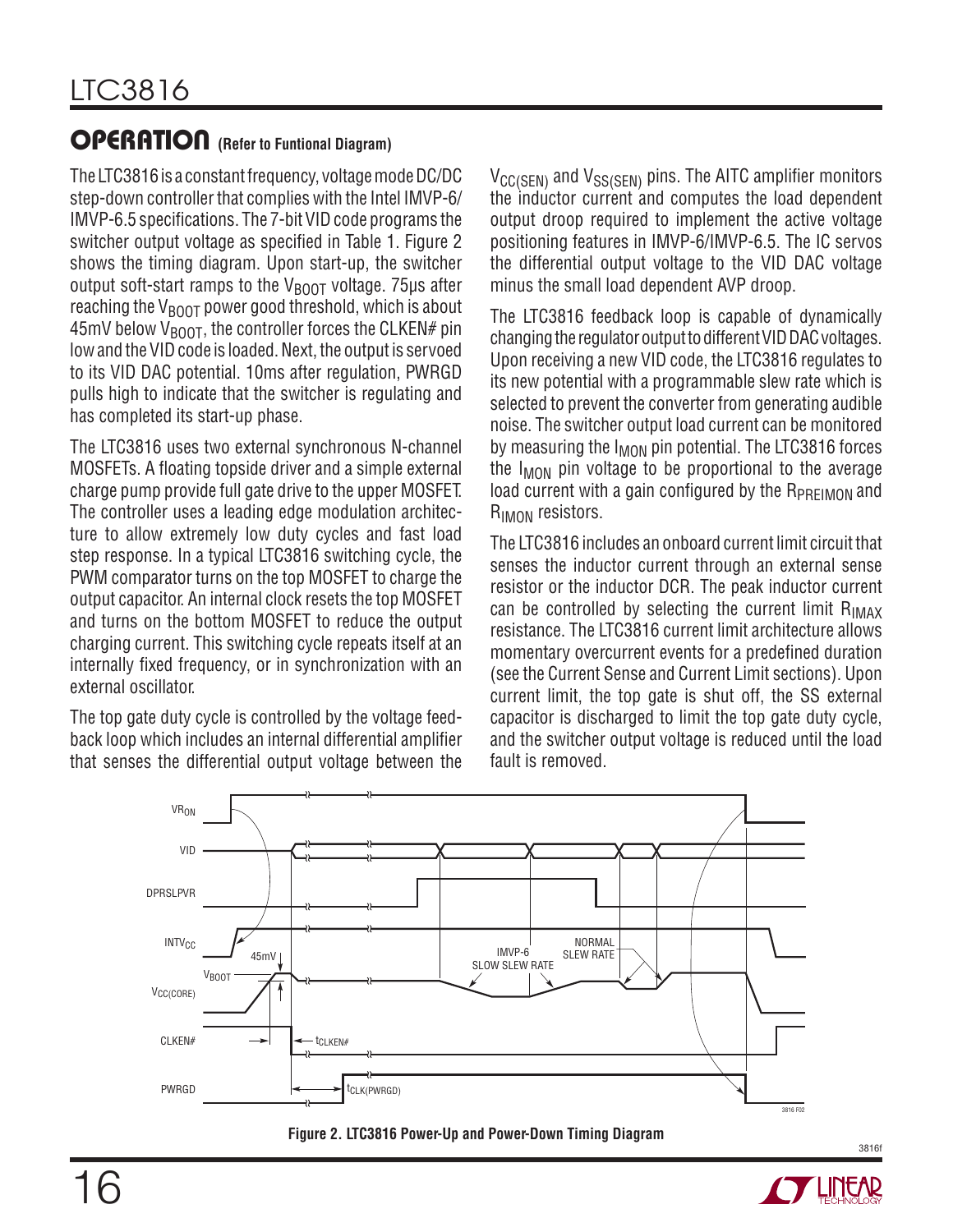### OPERATION **(Refer to Funtional Diagram)**

The LTC3816 is a constant frequency, voltage mode DC/DC step-down controller that complies with the Intel IMVP-6/ IMVP-6.5 specifications. The 7-bit VID code programs the switcher output voltage as specified in Table 1. Figure 2 shows the timing diagram. Upon start-up, the switcher output soft-start ramps to the  $V_{\text{ROT}}$  voltage. 75 $\mu$ s after reaching the  $V_{\text{BOOT}}$  power good threshold, which is about  $45$ mV below V<sub>BOOT</sub>, the controller forces the CLKEN# pin low and the VID code is loaded. Next, the output is servoed to its VID DAC potential. 10ms after regulation, PWRGD pulls high to indicate that the switcher is regulating and has completed its start-up phase.

The LTC3816 uses two external synchronous N-channel MOSFETs. A floating topside driver and a simple external charge pump provide full gate drive to the upper MOSFET. The controller uses a leading edge modulation architecture to allow extremely low duty cycles and fast load step response. In a typical LTC3816 switching cycle, the PWM comparator turns on the top MOSFET to charge the output capacitor. An internal clock resets the top MOSFET and turns on the bottom MOSFET to reduce the output charging current. This switching cycle repeats itself at an internally fixed frequency, or in synchronization with an external oscillator.

The top gate duty cycle is controlled by the voltage feedback loop which includes an internal differential amplifier that senses the differential output voltage between the  $V_{\text{CC(SEN)}}$  and  $V_{\text{SS(SEN)}}$  pins. The AITC amplifier monitors the inductor current and computes the load dependent output droop required to implement the active voltage positioning features in IMVP-6/IMVP-6.5. The IC servos the differential output voltage to the VID DAC voltage minus the small load dependent AVP droop.

The LTC3816 feedback loop is capable of dynamically changing the regulator output to different VID DAC voltages. Upon receiving a new VID code, the LTC3816 regulates to its new potential with a programmable slew rate which is selected to prevent the converter from generating audible noise. The switcher output load current can be monitored by measuring the  $I_{MON}$  pin potential. The LTC3816 forces the  $I_{MON}$  pin voltage to be proportional to the average load current with a gain configured by the  $R_{PREIMON}$  and R<sub>IMON</sub> resistors.

The LTC3816 includes an onboard current limit circuit that senses the inductor current through an external sense resistor or the inductor DCR. The peak inductor current can be controlled by selecting the current limit  $R_{IMAX}$ resistance. The LTC3816 current limit architecture allows momentary overcurrent events for a predefined duration (see the Current Sense and Current Limit sections). Upon current limit, the top gate is shut off, the SS external capacitor is discharged to limit the top gate duty cycle, and the switcher output voltage is reduced until the load fault is removed.





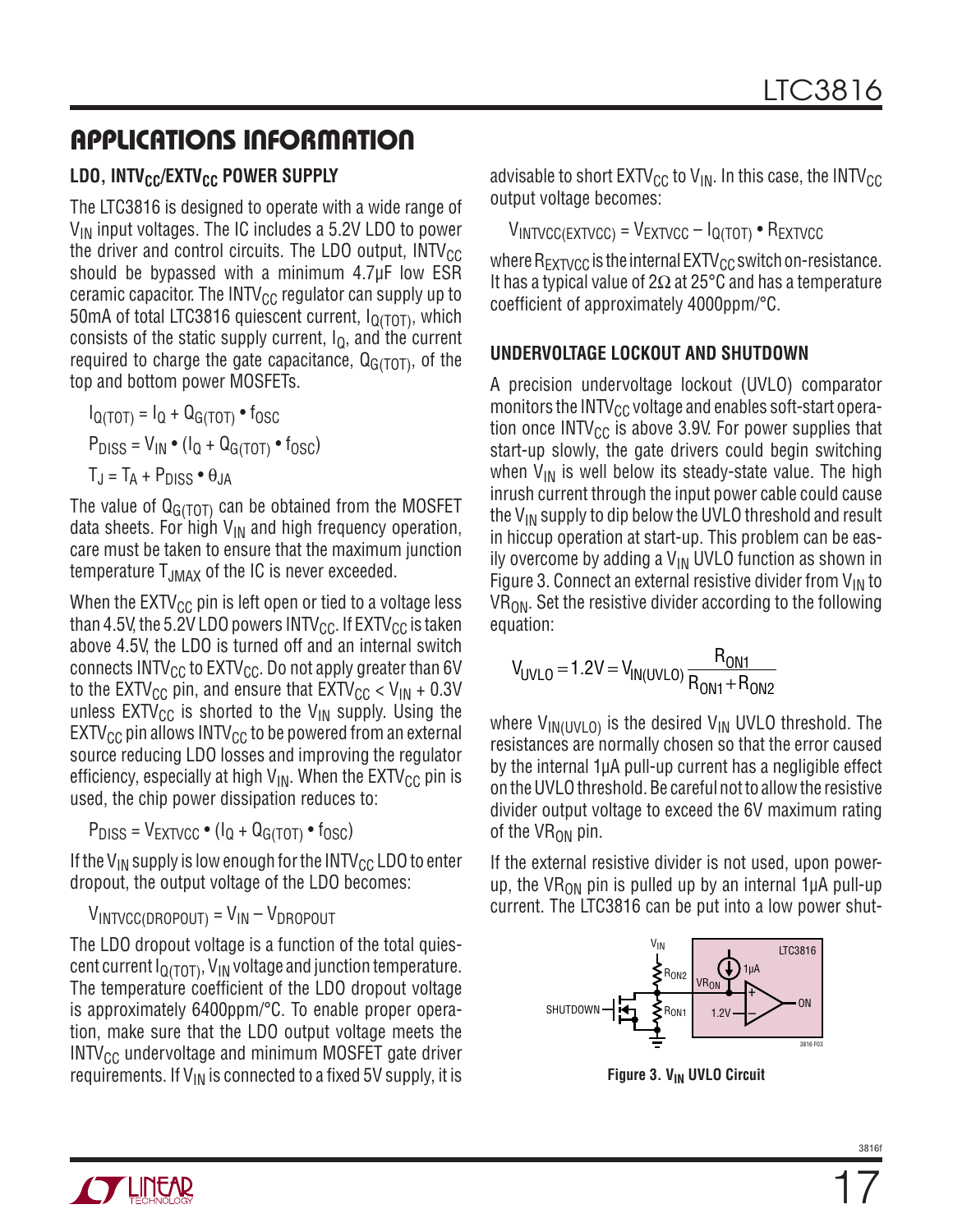### Applications Information

### LDO, INTV<sub>CC</sub>/EXTV<sub>CC</sub> POWER SUPPLY

The LTC3816 is designed to operate with a wide range of  $V_{IN}$  input voltages. The IC includes a 5.2V LDO to power the driver and control circuits. The LDO output,  $INTV_{CC}$ should be bypassed with a minimum 4.7µF low ESR ceramic capacitor. The INTV $_{\text{CC}}$  regulator can supply up to 50mA of total LTC3816 quiescent current,  $I<sub>O(TOT)</sub>$ </sub>, which consists of the static supply current,  $I<sub>Q</sub>$ , and the current required to charge the gate capacitance,  $Q_{G(TOT)}$ , of the top and bottom power MOSFETs.

 $I_{Q(TOT)} = I_Q + Q_{G(TOT)} \cdot f_{OSC}$  $P_{DISS} = V_{IN} \cdot (I_0 + Q_{G(TOT)} \cdot f_{OSC})$  $T_J = T_A + P_{DISS} \cdot \theta_{JA}$ 

The value of  $Q<sub>G(TOT)</sub>$  can be obtained from the MOSFET data sheets. For high  $V_{IN}$  and high frequency operation, care must be taken to ensure that the maximum junction temperature T<sub>JMAX</sub> of the IC is never exceeded.

When the  $E X TV_{CC}$  pin is left open or tied to a voltage less than 4.5V, the 5.2V LDO powers INTV<sub>CC</sub>. If  $EXTV_{CC}$  is taken above 4.5V, the LDO is turned off and an internal switch connects  $INTV_{CC}$  to  $EXTV_{CC}$ . Do not apply greater than 6V to the EXTV<sub>CC</sub> pin, and ensure that  $\text{EXTV}_{\text{CC}} < V_{\text{IN}} + 0.3V$ unless  $\text{EXTV}_{\text{CC}}$  is shorted to the  $\text{V}_{\text{IN}}$  supply. Using the  $EXT_{CC}$  pin allows INTV<sub>CC</sub> to be powered from an external source reducing LDO losses and improving the regulator efficiency, especially at high  $V_{IN}$ . When the  $E{\rm XTV}_{CC}$  pin is used, the chip power dissipation reduces to:

 $P_{DISS} = V_{EXTVCC} \cdot (I_Q + Q_{G(TOT)} \cdot f_{OSC})$ 

If the V<sub>IN</sub> supply is low enough for the INTV<sub>CC</sub> LDO to enter dropout, the output voltage of the LDO becomes:

 $V_{INTVCC(DROPOUT)} = V_{IN} - V_{DROPOUT}$ 

The LDO dropout voltage is a function of the total quiescent current  $I<sub>O(TOT)</sub>$ </sub>, V<sub>IN</sub> voltage and junction temperature. The temperature coefficient of the LDO dropout voltage is approximately 6400ppm/°C. To enable proper operation, make sure that the LDO output voltage meets the INTV<sub>CC</sub> undervoltage and minimum MOSFET gate driver requirements. If  $V_{IN}$  is connected to a fixed 5V supply, it is advisable to short  $EXTV_{CC}$  to  $V_{IN}$ . In this case, the INTV<sub>CC</sub> output voltage becomes:

 $V_{\text{INTVCC}}$ (EXTVCC) =  $V_{\text{EXTVCC}} - I_{\text{Q(TOT)}} \cdot R_{\text{EXTVCC}}$ 

where  $R_{\text{EXTVCC}}$  is the internal  $\text{EXTV}_{\text{CC}}$  switch on-resistance. It has a typical value of 2Ω at 25°C and has a temperature coefficient of approximately 4000ppm/°C.

#### **Undervoltage LockOUT and Shutdown**

A precision undervoltage lockout (UVLO) comparator monitors the  $INTV_{CC}$  voltage and enables soft-start operation once INTV $_{\text{CC}}$  is above 3.9V. For power supplies that start-up slowly, the gate drivers could begin switching when  $V_{IN}$  is well below its steady-state value. The high inrush current through the input power cable could cause the  $V_{IN}$  supply to dip below the UVLO threshold and result in hiccup operation at start-up. This problem can be easily overcome by adding a  $V_{IN}$  UVLO function as shown in Figure 3. Connect an external resistive divider from  $V_{IN}$  to  $VR<sub>ON</sub>$ . Set the resistive divider according to the following equation:

$$
V_{UVLO} = 1.2V = V_{IN(UVLO)} \frac{R_{ON1}}{R_{ON1} + R_{ON2}}
$$

where  $V_{IN(UVLO)}$  is the desired  $V_{IN}$  UVLO threshold. The resistances are normally chosen so that the error caused by the internal 1µA pull-up current has a negligible effect on the UVLO threshold. Be careful not to allow the resistive divider output voltage to exceed the 6V maximum rating of the  $VR_{ON}$  pin.

If the external resistive divider is not used, upon powerup, the VR<sub>ON</sub> pin is pulled up by an internal 1 $\mu$ A pull-up current. The LTC3816 can be put into a low power shut-



**Figure 3. V<sub>IN</sub> UVLO Circuit**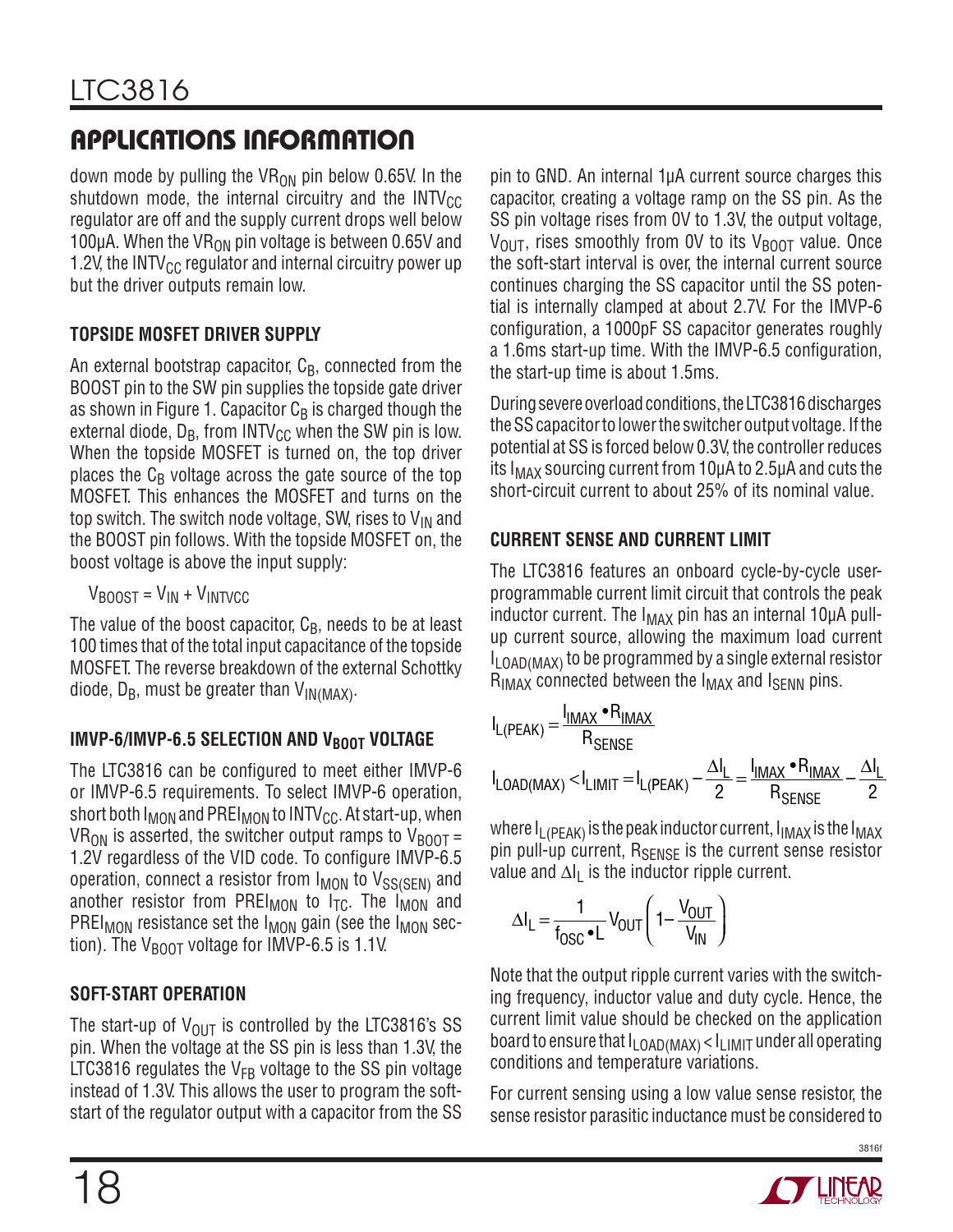down mode by pulling the VR<sub>ON</sub> pin below 0.65V. In the shutdown mode, the internal circuitry and the  $INTV_{CC}$ regulator are off and the supply current drops well below 100 $\mu$ A. When the VR<sub>ON</sub> pin voltage is between 0.65V and 1.2V, the INTV $_{\text{CC}}$  regulator and internal circuitry power up but the driver outputs remain low.

### **Topside MOSFET Driver Supply**

An external bootstrap capacitor,  $C_B$ , connected from the BOOST pin to the SW pin supplies the topside gate driver as shown in Figure 1. Capacitor  $C_B$  is charged though the external diode,  $D_B$ , from INTV $_{CC}$  when the SW pin is low. When the topside MOSFET is turned on, the top driver places the  $C_B$  voltage across the gate source of the top MOSFET. This enhances the MOSFET and turns on the top switch. The switch node voltage, SW, rises to  $V_{IN}$  and the BOOST pin follows. With the topside MOSFET on, the boost voltage is above the input supply:

 $V_{\text{RONST}} = V_{\text{IN}} + V_{\text{INTVCC}}$ 

The value of the boost capacitor,  $C_B$ , needs to be at least 100 times that of the total input capacitance of the topside MOSFET. The reverse breakdown of the external Schottky diode,  $D_B$ , must be greater than  $V_{IN(MAX)}$ .

### **IMVP-6/IMVP-6.5 SELECTION AND V<sub>BOOT</sub> VOLTAGE**

The LTC3816 can be configured to meet either IMVP-6 or IMVP-6.5 requirements. To select IMVP-6 operation, short both  $I_{MON}$  and PREI<sub>MON</sub> to INTV<sub>CC</sub>. At start-up, when VR<sub>ON</sub> is asserted, the switcher output ramps to  $V_{\text{BOOT}} =$ 1.2V regardless of the VID code. To configure IMVP-6.5 operation, connect a resistor from  $I_{MON}$  to  $V_{SS(SEN)}$  and another resistor from PREI<sub>MON</sub> to  $I_{TC}$ . The I<sub>MON</sub> and PREI<sub>MON</sub> resistance set the  $I_{MON}$  gain (see the  $I_{MON}$  section). The  $V_{\text{BOOT}}$  voltage for IMVP-6.5 is 1.1V.

### **Soft-Start Operation**

The start-up of  $V_{\text{OUT}}$  is controlled by the LTC3816's SS pin. When the voltage at the SS pin is less than 1.3V, the LTC3816 regulates the  $V_{FB}$  voltage to the SS pin voltage instead of 1.3V. This allows the user to program the softstart of the regulator output with a capacitor from the SS pin to GND. An internal 1µA current source charges this capacitor, creating a voltage ramp on the SS pin. As the SS pin voltage rises from 0V to 1.3V, the output voltage,  $V_{\text{OUT}}$ , rises smoothly from OV to its  $V_{\text{BODT}}$  value. Once the soft-start interval is over, the internal current source continues charging the SS capacitor until the SS potential is internally clamped at about 2.7V. For the IMVP-6 configuration, a 1000pF SS capacitor generates roughly a 1.6ms start-up time. With the IMVP-6.5 configuration, the start-up time is about 1.5ms.

During severe overload conditions, the LTC3816 discharges the SS capacitor to lower the switcher output voltage. If the potential at SS is forced below 0.3V, the controller reduces its  $I_{MAX}$  sourcing current from 10 $\mu$ A to 2.5 $\mu$ A and cuts the short-circuit current to about 25% of its nominal value.

### **Current Sense and Current Limit**

The LTC3816 features an onboard cycle-by-cycle userprogrammable current limit circuit that controls the peak inductor current. The  $I_{MAX}$  pin has an internal 10 $\mu$ A pullup current source, allowing the maximum load current  $I_{\text{I}}$  oad(MAX) to be programmed by a single external resistor  $R_{IMAX}$  connected between the  $I_{MAX}$  and  $I_{SENN}$  pins.

$$
I_{L(PEAK)} = \frac{I_{IMAX} \cdot R_{IMAX}}{R_{SENSE}}
$$

$$
I_{LOAD(MAX)} < I_{LIMIT} = I_{L(PEAK)} - \frac{\Delta I_L}{2} = \frac{I_{IMAX} \cdot R_{IMAX}}{R_{SENSE}} - \frac{\Delta I_L}{2}
$$

where  $I_{\text{L(PFAK)}}$  is the peak inductor current,  $I_{\text{IMAX}}$  is the  $I_{\text{MAX}}$ pin pull-up current, R<sub>SENSE</sub> is the current sense resistor value and  $\Delta I_L$  is the inductor ripple current.

$$
\Delta I_L = \frac{1}{f_{OSC} \cdot L} V_{OUT} \left( 1 - \frac{V_{OUT}}{V_{IN}} \right)
$$

Note that the output ripple current varies with the switching frequency, inductor value and duty cycle. Hence, the current limit value should be checked on the application board to ensure that  $I_{\text{LOAD(MAX)}} < I_{\text{LIMIT}}$  under all operating conditions and temperature variations.

For current sensing using a low value sense resistor, the sense resistor parasitic inductance must be considered to

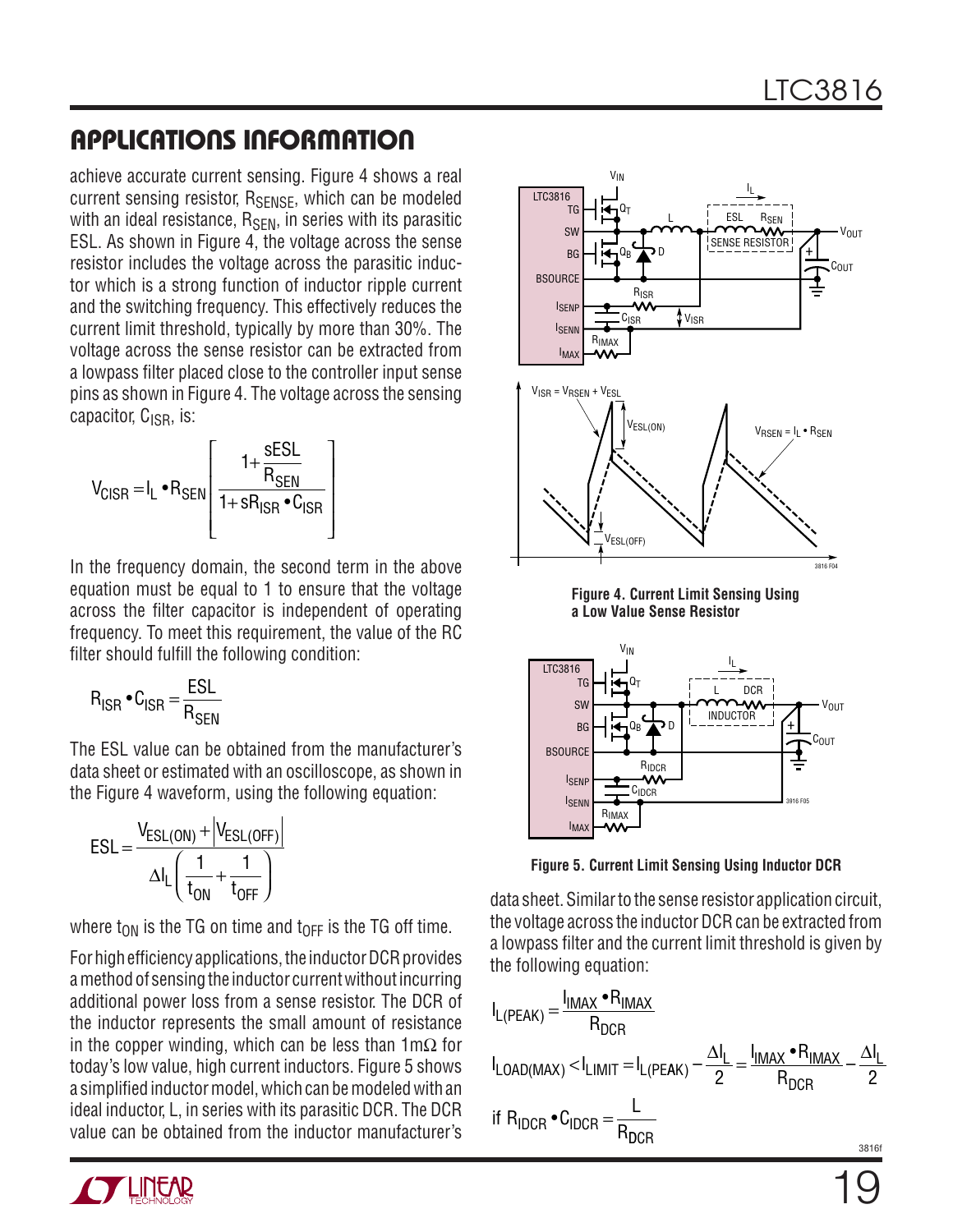achieve accurate current sensing. Figure 4 shows a real current sensing resistor, R<sub>SENSE</sub>, which can be modeled with an ideal resistance,  $R_{\text{SFN}}$ , in series with its parasitic ESL. As shown in Figure 4, the voltage across the sense resistor includes the voltage across the parasitic inductor which is a strong function of inductor ripple current and the switching frequency. This effectively reduces the current limit threshold, typically by more than 30%. The voltage across the sense resistor can be extracted from a lowpass filter placed close to the controller input sense pins as shown in Figure 4. The voltage across the sensing capacitor,  $C_{\rm ISR}$ , is:

$$
V_{CISR} = I_L \cdot R_{SEN} \left[ \frac{1 + \frac{SESL}{R_{SEN}}}{1 + SR_{ISR} \cdot C_{ISR}} \right]
$$

In the frequency domain, the second term in the above equation must be equal to 1 to ensure that the voltage across the filter capacitor is independent of operating frequency. To meet this requirement, the value of the RC filter should fulfill the following condition:

$$
R_{ISR} \bullet C_{ISR} = \frac{ESL}{R_{SEN}}
$$

The ESL value can be obtained from the manufacturer's data sheet or estimated with an oscilloscope, as shown in the Figure 4 waveform, using the following equation:

$$
ESL = \frac{V_{ESL(ON)} + \left|V_{ESL(OFF)}\right|}{\Delta I_L \left(\frac{1}{t_{ON}} + \frac{1}{t_{OFF}}\right)}
$$

where t<sub>ON</sub> is the TG on time and t<sub>OFF</sub> is the TG off time.

For high efficiency applications, the inductor DCR provides a method of sensing the inductor current without incurring additional power loss from a sense resistor. The DCR of the inductor represents the small amount of resistance in the copper winding, which can be less than  $1 \text{ m}\Omega$  for today's low value, high current inductors. Figure 5 shows a simplified inductor model, which can be modeled with an ideal inductor, L, in series with its parasitic DCR. The DCR value can be obtained from the inductor manufacturer's



**Figure 4. Current Limit Sensing Using a Low Value Sense Resistor**



**Figure 5. Current Limit Sensing Using Inductor DCR**

data sheet. Similar to the sense resistor application circuit, the voltage across the inductor DCR can be extracted from a lowpass filter and the current limit threshold is given by the following equation:

$$
I_{L(PEAK)} = \frac{I_{IMAX} \cdot R_{IMAX}}{R_{DCR}}
$$
  
\n
$$
I_{LOAD(MAX)} < I_{LIMIT} = I_{L(PEAK)} - \frac{\Delta I_L}{2} = \frac{I_{IMAX} \cdot R_{IMAX}}{R_{DCR}} - \frac{\Delta I_L}{2}
$$
  
\nif  $R_{IDCR} \cdot C_{IDCR} = \frac{L}{R_{DCR}}$ 

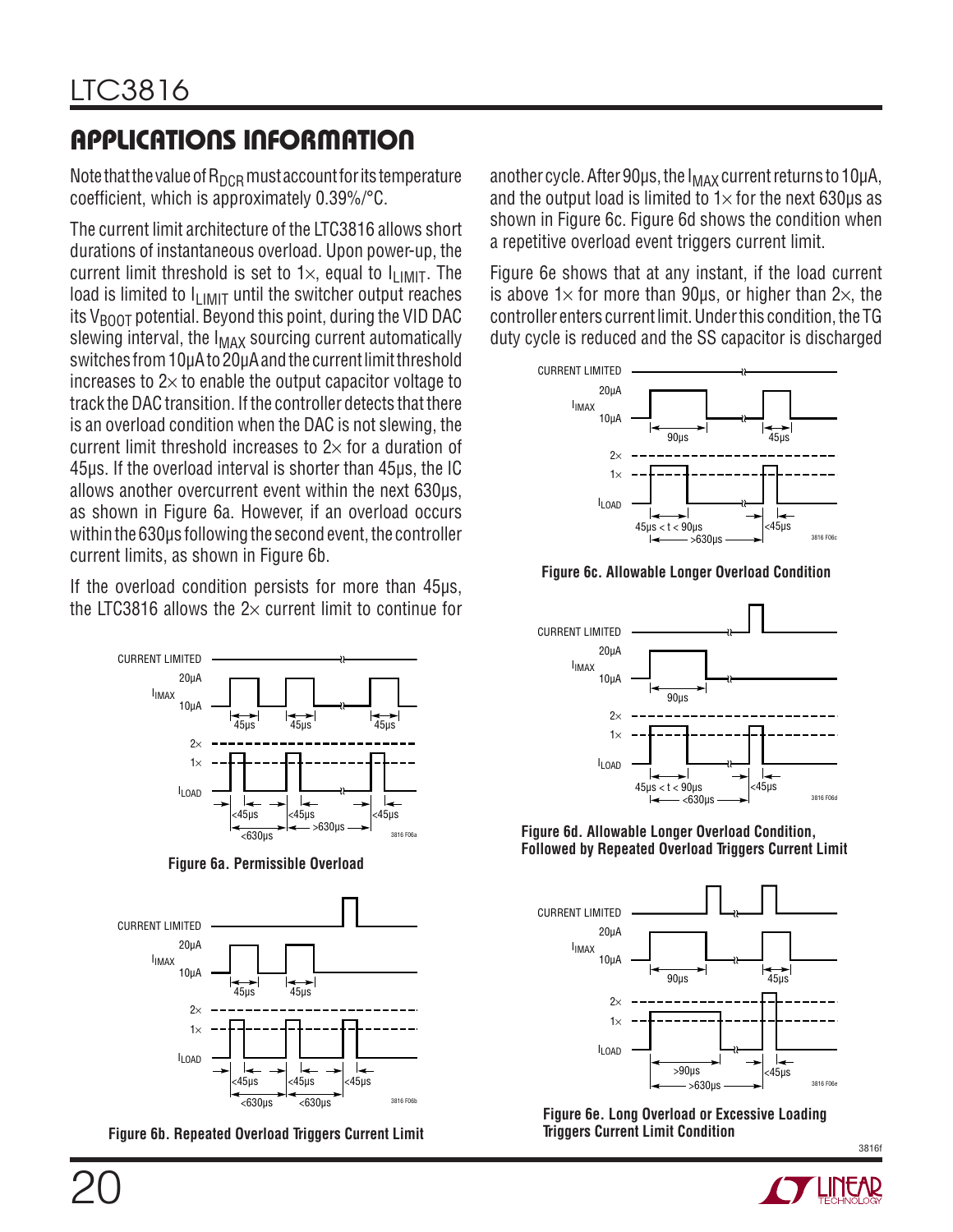Note that the value of  $R_{DCR}$  must account for its temperature coefficient, which is approximately 0.39%/°C.

The current limit architecture of the LTC3816 allows short durations of instantaneous overload. Upon power-up, the current limit threshold is set to  $1\times$ , equal to  $I_{LIMIT}$ . The load is limited to  $I_{LIMIT}$  until the switcher output reaches its  $V_{\text{BOD}}$  potential. Beyond this point, during the VID DAC slewing interval, the  $I_{MAX}$  sourcing current automatically switches from 10µA to 20µA and the current limit threshold increases to  $2\times$  to enable the output capacitor voltage to track the DAC transition. If the controller detects that there is an overload condition when the DAC is not slewing, the current limit threshold increases to  $2\times$  for a duration of 45µs. If the overload interval is shorter than 45µs, the IC allows another overcurrent event within the next 630µs, as shown in Figure 6a. However, if an overload occurs within the 630µs following the second event, the controller current limits, as shown in Figure 6b.

If the overload condition persists for more than 45µs, the LTC3816 allows the  $2\times$  current limit to continue for



**Figure 6a. Permissible Overload**



**Figure 6b. Repeated Overload Triggers Current Limit**

another cycle. After 90 $\mu$ s, the  $I_{MAX}$  current returns to 10 $\mu$ A, and the output load is limited to  $1\times$  for the next 630us as shown in Figure 6c. Figure 6d shows the condition when a repetitive overload event triggers current limit.

Figure 6e shows that at any instant, if the load current is above  $1\times$  for more than 90 $\mu$ s, or higher than  $2\times$ , the controller enters current limit. Under this condition, the TG duty cycle is reduced and the SS capacitor is discharged



**Figure 6c. Allowable Longer Overload Condition**



**Figure 6d. Allowable Longer Overload Condition, Followed by Repeated Overload Triggers Current Limit**



**Figure 6e. Long Overload or Excessive Loading Triggers Current Limit Condition**

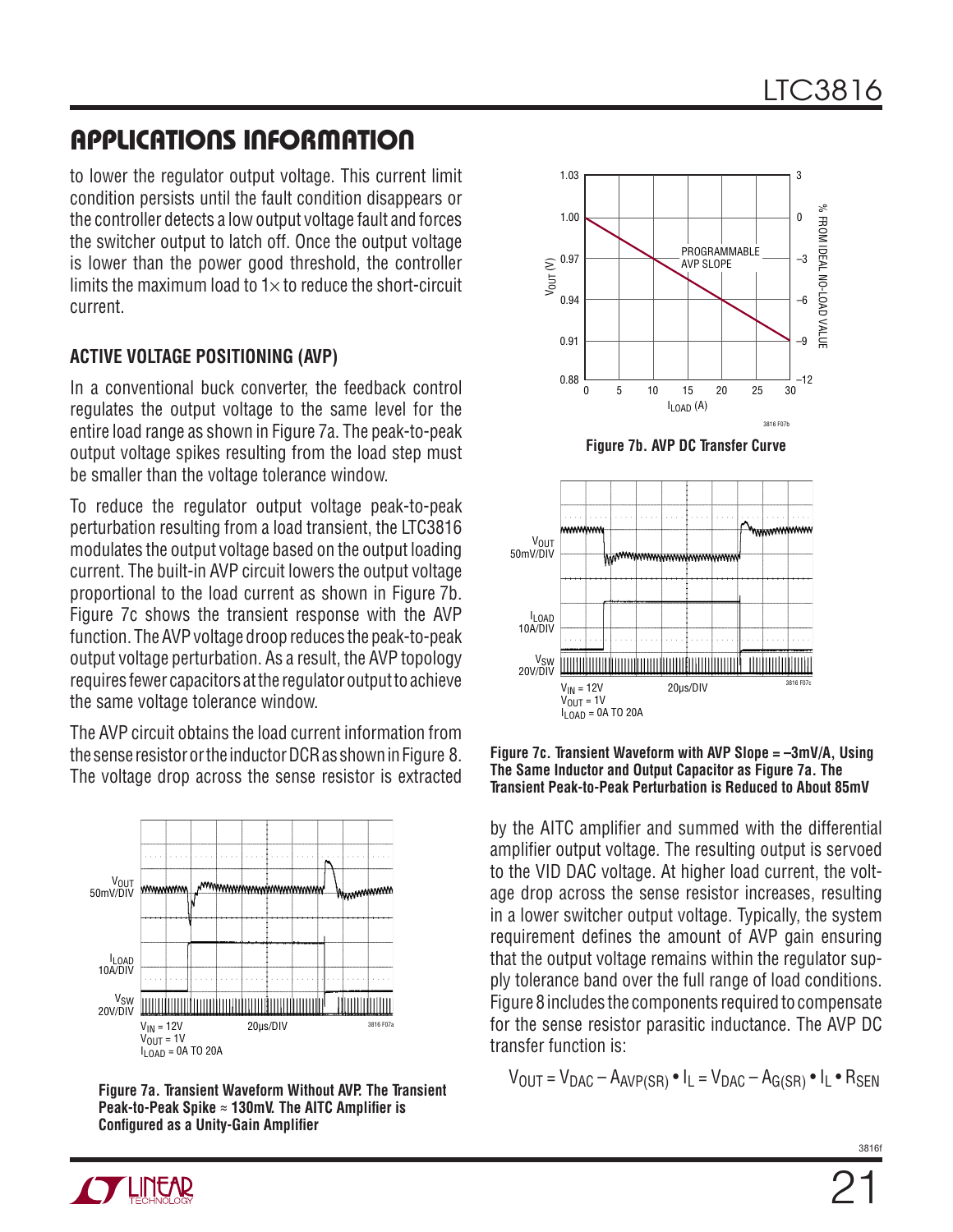to lower the regulator output voltage. This current limit condition persists until the fault condition disappears or the controller detects a low output voltage fault and forces the switcher output to latch off. Once the output voltage is lower than the power good threshold, the controller limits the maximum load to  $1\times$  to reduce the short-circuit current.

#### **Active Voltage PositioNing (AVP)**

In a conventional buck converter, the feedback control regulates the output voltage to the same level for the entire load range as shown in Figure 7a. The peak-to-peak output voltage spikes resulting from the load step must be smaller than the voltage tolerance window.

To reduce the regulator output voltage peak-to-peak perturbation resulting from a load transient, the LTC3816 modulates the output voltage based on the output loading current. The built-in AVP circuit lowers the output voltage proportional to the load current as shown in Figure 7b. Figure 7c shows the transient response with the AVP function. The AVP voltage droop reduces the peak-to-peak output voltage perturbation. As a result, the AVP topology requires fewer capacitors at the regulator output to achieve the same voltage tolerance window.

The AVP circuit obtains the load current information from the sense resistor or the inductor DCR as shown in Figure 8. The voltage drop across the sense resistor is extracted



**Figure 7a. Transient Waveform Without AVP. The Transient Peak-to-Peak Spike ≈ 130mV. The AITC Amplifier is Configured as a Unity-Gain Amplifier**



**Figure 7b. AVP DC Transfer Curve**



**Figure 7c. Transient Waveform with AVP Slope = –3mV/A, Using The Same Inductor and Output Capacitor as Figure 7a. The Transient Peak-to-Peak Perturbation is Reduced to About 85mV**

by the AITC amplifier and summed with the differential amplifier output voltage. The resulting output is servoed to the VID DAC voltage. At higher load current, the voltage drop across the sense resistor increases, resulting in a lower switcher output voltage. Typically, the system requirement defines the amount of AVP gain ensuring that the output voltage remains within the regulator supply tolerance band over the full range of load conditions. Figure 8 includes the components required to compensate for the sense resistor parasitic inductance. The AVP DC transfer function is:

$$
V_{OUT} = V_{DAC} - A_{AVP(SR)} \cdot I_L = V_{DAC} - A_{G(SR)} \cdot I_L \cdot R_{SEN}
$$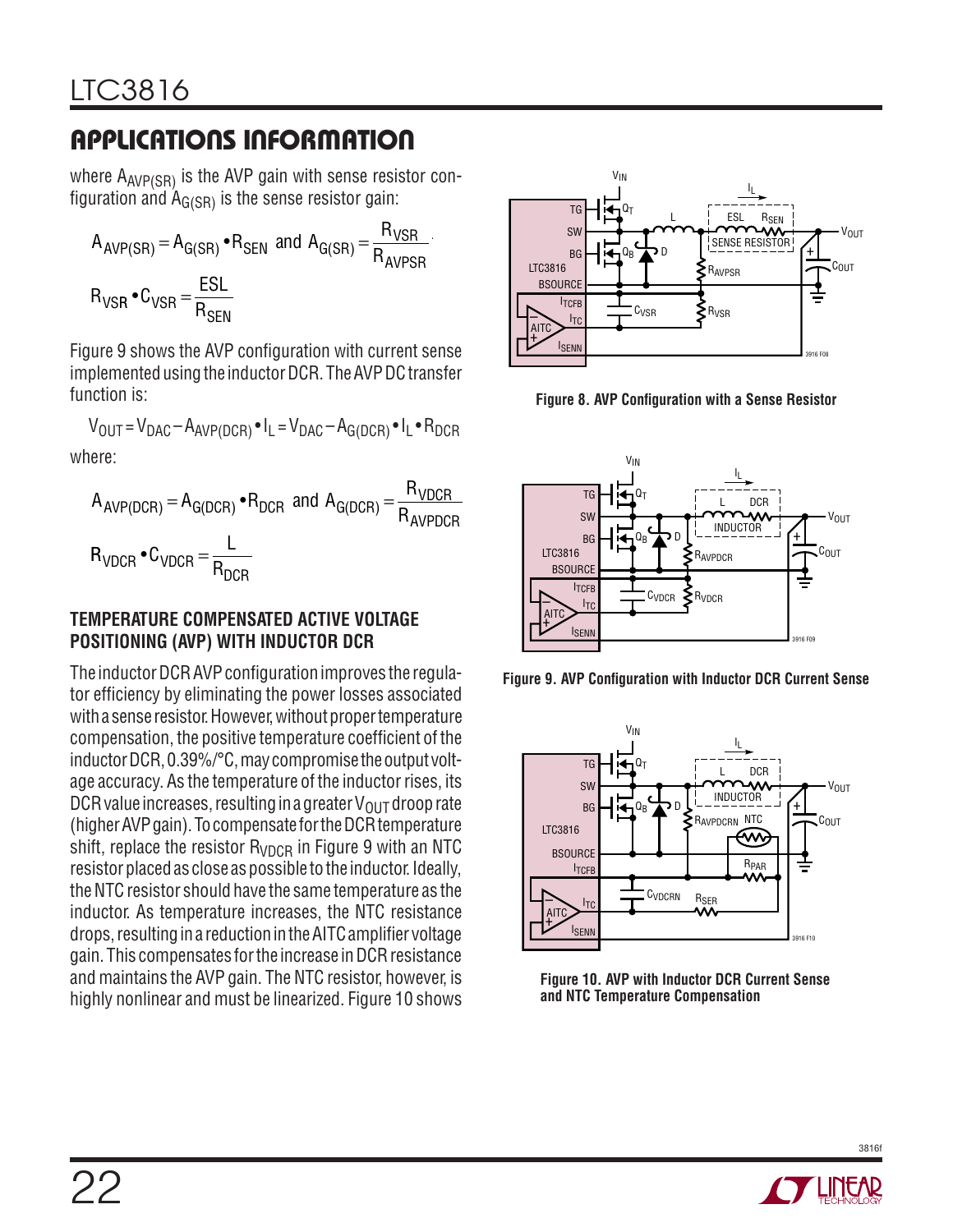where  $A_{AVP(SR)}$  is the AVP gain with sense resistor configuration and  $A_{G(SR)}$  is the sense resistor gain:

$$
A_{AVP(SR)} = A_{G(SR)} \cdot R_{SEN} \text{ and } A_{G(SR)} = \frac{R_{VSR}}{R_{AVPSR}}.
$$
  

$$
R_{VSR} \cdot C_{VSR} = \frac{ESL}{R_{SEN}}
$$

Figure 9 shows the AVP configuration with current sense implemented using the inductor DCR. The AVP DC transfer function is:

 $V_{\text{OUT}} = V_{\text{DAC}} - A_{\text{AVP(DCR)}} \cdot I_L = V_{\text{DAC}} - A_{\text{G(DCR)}} \cdot I_L \cdot R_{\text{DCR}}$ where:

$$
A_{AVP(DCR)} = A_{G(DCR)} \cdot R_{DCR} \text{ and } A_{G(DCR)} = \frac{R_{VDCR}}{R_{AVPDCR}}
$$
  

$$
R_{VDCR} \cdot C_{VDCR} = \frac{L}{R_{DCR}}
$$

#### **Temperature Compensated Active Voltage PositionING (AVP) With Inductor DCR**

The inductor DCR AVP configuration improves the regulator efficiency by eliminating the power losses associated with a sense resistor. However, without proper temperature compensation, the positive temperature coefficient of the inductor DCR, 0.39%/°C, may compromise the output voltage accuracy. As the temperature of the inductor rises, its DCR value increases, resulting in a greater  $V_{\text{OUT}}$  droop rate (higher AVP gain). To compensate for the DCR temperature shift, replace the resistor  $R_{VDCR}$  in Figure 9 with an NTC resistor placed as close as possible to the inductor. Ideally, the NTC resistor should have the same temperature as the inductor. As temperature increases, the NTC resistance drops, resulting in a reduction in the AITC amplifier voltage gain. This compensates for the increase in DCR resistance and maintains the AVP gain. The NTC resistor, however, is highly nonlinear and must be linearized. Figure 10 shows



**Figure 8. AVP Configuration with a Sense Resistor**



**Figure 9. AVP Configuration with Inductor DCR Current Sense**



**Figure 10. AVP with Inductor DCR Current Sense and NTC Temperature Compensation**

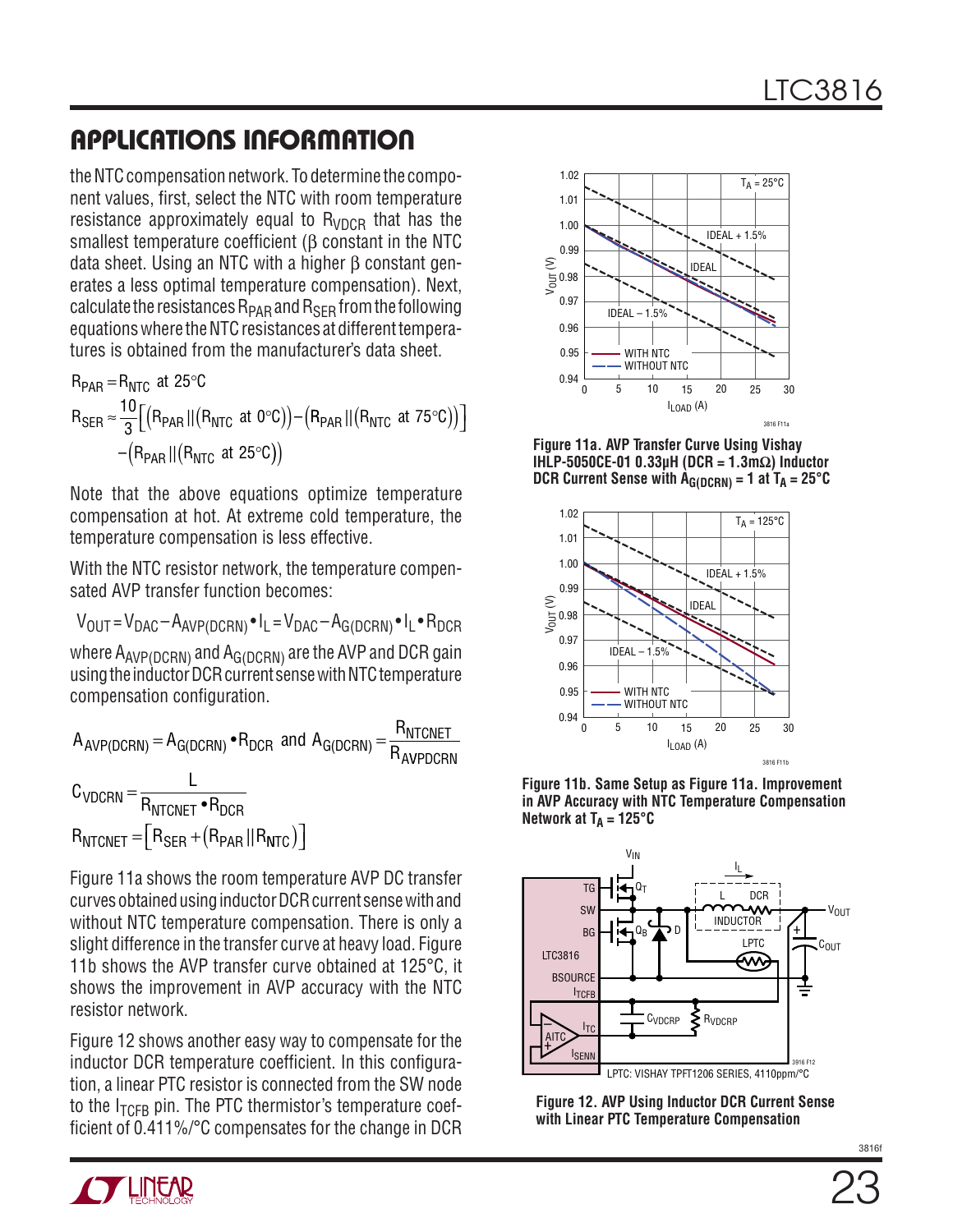the NTC compensation network. To determine the component values, first, select the NTC with room temperature resistance approximately equal to  $R_{VDCR}$  that has the smallest temperature coefficient (β constant in the NTC data sheet. Using an NTC with a higher β constant generates a less optimal temperature compensation). Next, calculate the resistances  $R_{\text{PAR}}$  and  $R_{\text{SFR}}$  from the following equations where the NTC resistances at different temperatures is obtained from the manufacturer's data sheet.

 $R_{\text{PAR}} = R_{\text{NTC}}$  at 25°C  $R_{\text{SER}} \approx \frac{10}{3} \Big[ \Big( R_{\text{PAR}} \, || \big( R_{\text{NTC}} \text{ at } 0^{\circ}\text{C} \big) \Big) - \Big( R_{\text{PAR}} \, || \big( R_{\text{NTC}} \text{ at } 75^{\circ}\text{C} \big) \Big) \Big]$  $-(R_{PAR} || (R_{NTC} \text{ at } 25^{\circ} \text{C}))$ 

Note that the above equations optimize temperature compensation at hot. At extreme cold temperature, the temperature compensation is less effective.

With the NTC resistor network, the temperature compensated AVP transfer function becomes:

$$
V_{OUT} = V_{DAC} - A_{AVP(DCRN)} \cdot I_L = V_{DAC} - A_{G(DCRN)} \cdot I_L \cdot R_{DCR}
$$
  
where A<sub>AVP(DCRN)</sub> and A<sub>G(DCRN)</sub> are the AVP and DCR gain  
using the inductor DCP current one with NTC temperature

using the inductor DCR current sense with NTC temperature compensation configuration.

$$
A_{AVP(DCRN)} = A_{G(DCRN)} \cdot R_{DCR} \text{ and } A_{G(DCRN)} = \frac{R_{NTCNET}}{R_{AVPDCRN}}
$$
  

$$
C_{VDCRN} = \frac{L}{R_{NTCNET} \cdot R_{DCR}}
$$
  

$$
R_{NTCNET} = [R_{SER} + (R_{PAR} || R_{NTC})]
$$

Figure 11a shows the room temperature AVP DC transfer curves obtained using inductor DCR current sense with and without NTC temperature compensation. There is only a slight difference in the transfer curve at heavy load. Figure 11b shows the AVP transfer curve obtained at 125°C, it shows the improvement in AVP accuracy with the NTC resistor network.

Figure 12 shows another easy way to compensate for the inductor DCR temperature coefficient. In this configuration, a linear PTC resistor is connected from the SW node to the  $I_{TCFR}$  pin. The PTC thermistor's temperature coefficient of 0.411%/°C compensates for the change in DCR



**Figure 11a. AVP Transfer Curve Using Vishay IHLP-5050CE-01 0.33µH (DCR = 1.3mΩ) Inductor DCR Current Sense with**  $\hat{A}_{G(DCRN)} = 1$  **at**  $T_A = 25^{\circ}C$ 



**Figure 11b. Same Setup as Figure 11a. Improvement in AVP Accuracy with NTC Temperature Compensation**  Network at  $T_A = 125^{\circ}C$ 



**Figure 12. AVP Using Inductor DCR Current Sense with Linear PTC Temperature Compensation**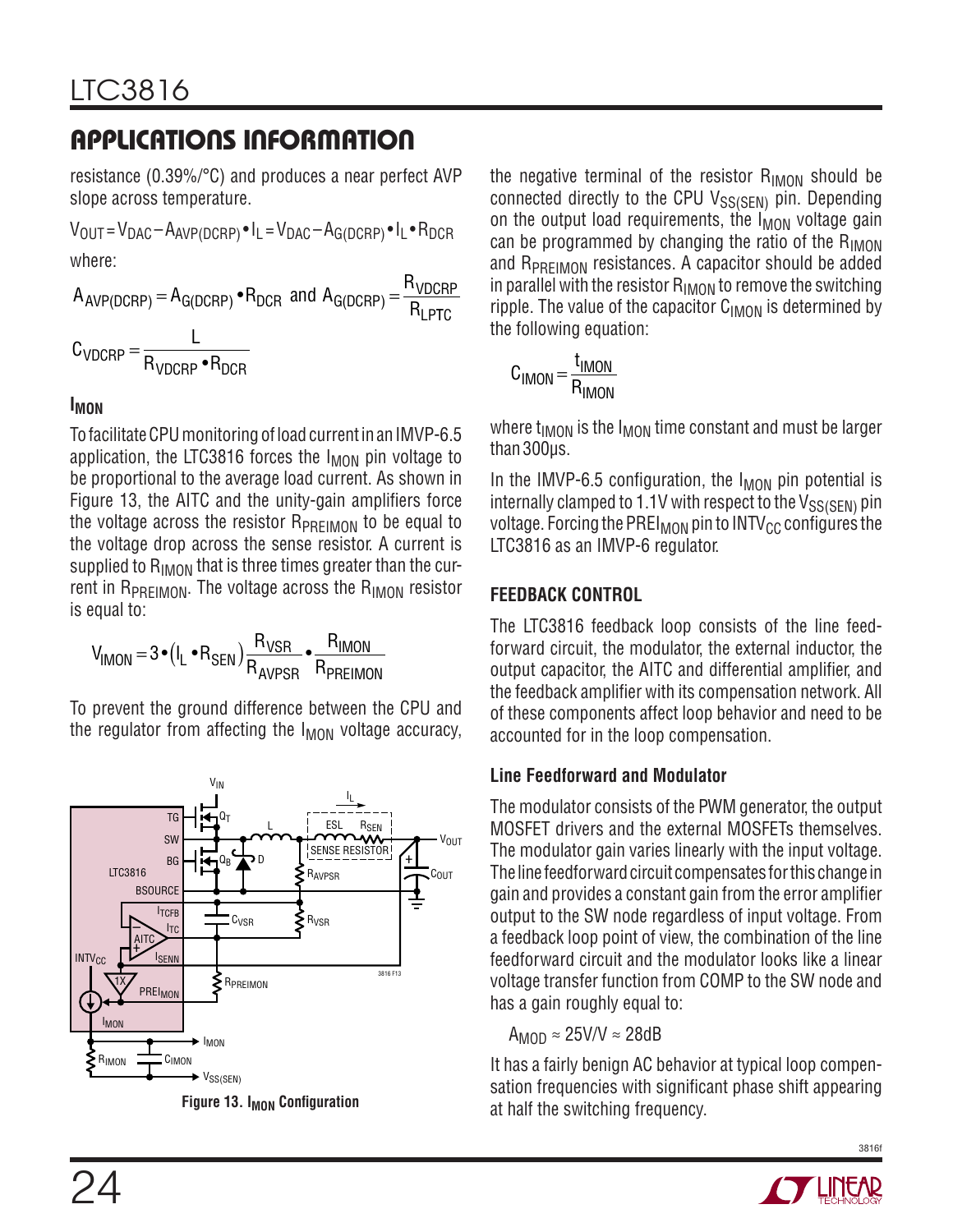resistance (0.39%/°C) and produces a near perfect AVP slope across temperature.

 $V_{\text{OUT}} = V_{\text{DAC}} - A_{\text{AVP(DCRP)}} \cdot I_L = V_{\text{DAC}} - A_{\text{G(DCRP)}} \cdot I_L \cdot R_{\text{DCR}}$ where:

 $A_{\text{AVP(DCRP)}} = A_{\text{G(DCRP)}} \cdot R_{\text{DCR}}$  and  $A_{\text{G(DCRP)}} = \frac{R}{R}$  $AVP(DCRP) = AG(DCRP)$  PDCR dilu  $AG(DCRP) = \frac{R}{R}$  $V_{\text{OCRP}} = A_{\text{G(DCRP)}} \cdot R_{\text{DCR}}$  and  $A_{\text{G(DCRP)}} = \frac{N_{\text{VDCRP}}}{R_{\text{LPTC}}}$ 

$$
C_{VDCRP} = \frac{L}{R_{VDCRP} \cdot R_{DCR}}
$$

#### **IMON**

To facilitate CPU monitoring of load current in an IMVP-6.5 application, the LTC3816 forces the  $I_{MON}$  pin voltage to be proportional to the average load current. As shown in Figure 13, the AITC and the unity-gain amplifiers force the voltage across the resistor R<sub>PREIMON</sub> to be equal to the voltage drop across the sense resistor. A current is supplied to  $R_{IMON}$  that is three times greater than the current in  $R_{PREIMON}$ . The voltage across the  $R_{IMON}$  resistor is equal to:

$$
V_{IMON} = 3 \cdot (I_L \cdot R_{SEN}) \frac{R_{VSR}}{R_{AVPSR}} \cdot \frac{R_{IMON}}{R_{PREIMON}}
$$

To prevent the ground difference between the CPU and the regulator from affecting the  $I_{MON}$  voltage accuracy,



**Figure 13. I<sub>MON</sub> Configuration** 

the negative terminal of the resistor  $R_{IMON}$  should be connected directly to the CPU VSS(SEN) pin. Depending on the output load requirements, the  $I_{\text{MON}}$  voltage gain can be programmed by changing the ratio of the  $R_{IMON}$ and R<sub>PREIMON</sub> resistances. A capacitor should be added in parallel with the resistor  $R_{IMON}$  to remove the switching ripple. The value of the capacitor  $C_{IMON}$  is determined by the following equation:

$$
C_{IMON} = \frac{t_{IMON}}{R_{IMON}}
$$

where  $t_{IMON}$  is the  $I_{MON}$  time constant and must be larger than 300µs.

In the IMVP-6.5 configuration, the  $I_{MON}$  pin potential is internally clamped to 1.1V with respect to the  $V_{SS(SEN)}$  pin voltage. Forcing the PREI<sub>MON</sub> pin to  $INTV_{CC}$  configures the LTC3816 as an IMVP-6 regulator.

#### **Feedback Control**

The LTC3816 feedback loop consists of the line feedforward circuit, the modulator, the external inductor, the output capacitor, the AITC and differential amplifier, and the feedback amplifier with its compensation network. All of these components affect loop behavior and need to be accounted for in the loop compensation.

#### **Line Feedforward and Modulator**

The modulator consists of the PWM generator, the output MOSFET drivers and the external MOSFETs themselves. The modulator gain varies linearly with the input voltage. The line feedforward circuit compensates for this change in gain and provides a constant gain from the error amplifier output to the SW node regardless of input voltage. From a feedback loop point of view, the combination of the line feedforward circuit and the modulator looks like a linear voltage transfer function from COMP to the SW node and has a gain roughly equal to:

 $A_{MOD} \approx 25$ V/V  $\approx 28$ dB

It has a fairly benign AC behavior at typical loop compensation frequencies with significant phase shift appearing at half the switching frequency.

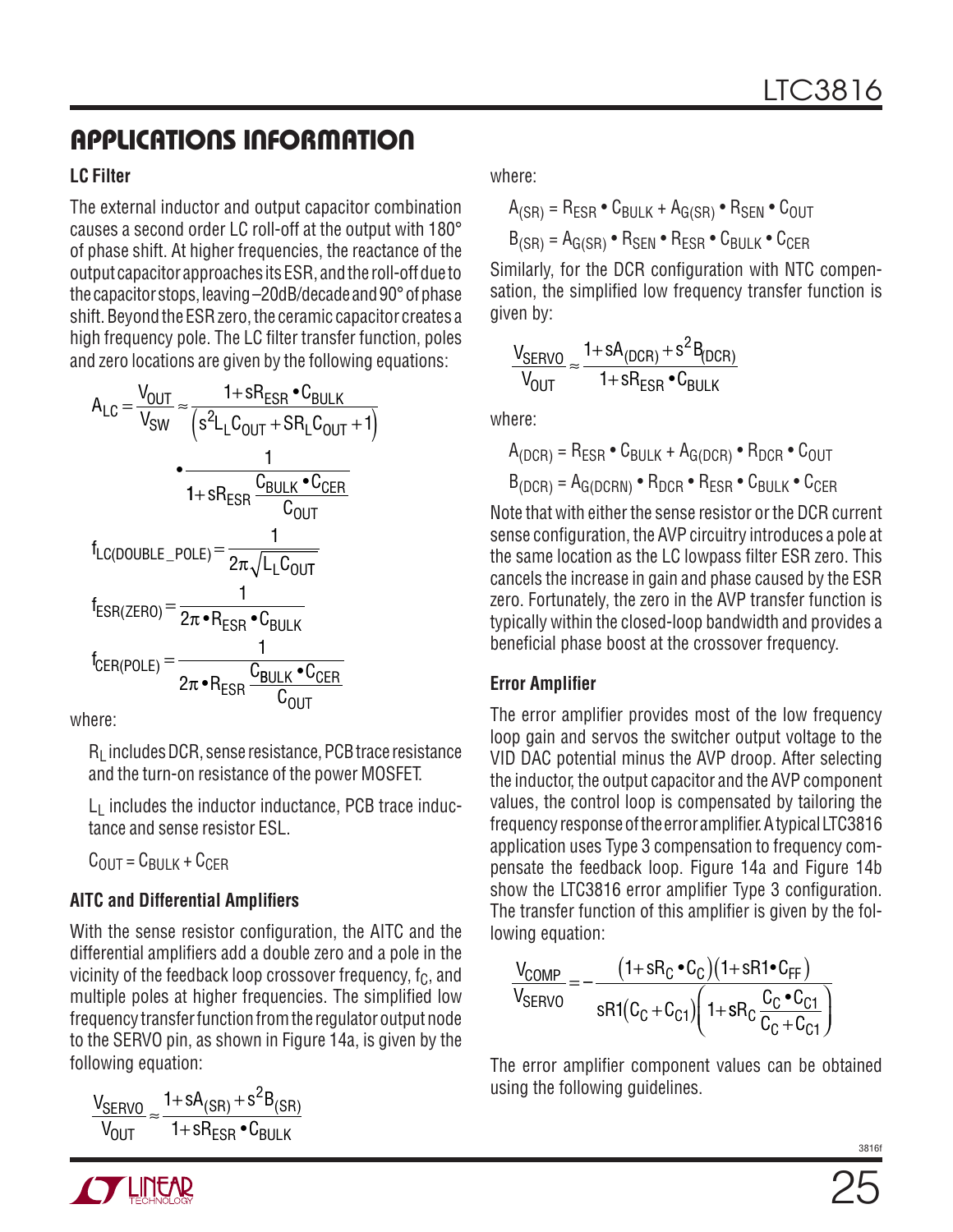#### **LC Filter**

The external inductor and output capacitor combination causes a second order LC roll-off at the output with 180° of phase shift. At higher frequencies, the reactance of the output capacitor approaches its ESR, and the roll-off due to the capacitor stops, leaving –20dB/decade and 90° of phase shift. Beyond the ESR zero, the ceramic capacitor creates a high frequency pole. The LC filter transfer function, poles and zero locations are given by the following equations:

$$
A_{LC} = \frac{V_{OUT}}{V_{SW}} \approx \frac{1 + sR_{ESR} \cdot C_{BULK}}{\left(s^2L_L C_{OUT} + SR_L C_{OUT} + 1\right)}
$$
\n
$$
\frac{1}{1 + sR_{ESR} \cdot C_{BULK} \cdot C_{CER}}
$$
\n
$$
f_{LC(DOUBLE_POLE)} = \frac{1}{2\pi \sqrt{L_L C_{OUT}}}
$$
\n
$$
f_{ESR(ZERO)} = \frac{1}{2\pi \cdot R_{ESR} \cdot C_{BULK}}
$$
\n
$$
f_{CER(POLE)} = \frac{1}{2\pi \cdot R_{ESR} \cdot C_{BULK} \cdot C_{CER}}
$$

where:

 $R<sub>l</sub>$  includes DCR, sense resistance, PCB trace resistance and the turn-on resistance of the power MOSFET.

 $L_1$  includes the inductor inductance, PCB trace inductance and sense resistor ESL.

 $C_{\text{OUIT}} = C_{\text{BIII K}} + C_{\text{CFR}}$ 

### **AITC and Differential Amplifiers**

With the sense resistor configuration, the AITC and the differential amplifiers add a double zero and a pole in the vicinity of the feedback loop crossover frequency,  $f_C$ , and multiple poles at higher frequencies. The simplified low frequency transfer function from the regulator output node to the SERVO pin, as shown in Figure 14a, is given by the following equation:

$$
\frac{V_{SERVO}}{V_{OUT}} \approx \frac{1 + sA_{(SR)} + s^2B_{(SR)}}{1 + sR_{ESR} \cdot C_{BULK}}
$$

where:

 $A_{(SR)} = R_{ESR} \cdot C_{BULK} + A_{G(SR)} \cdot R_{SEN} \cdot C_{OUT}$ 

 $B_{(SR)} = A_{G(SR)} \cdot R_{\text{SEN}} \cdot R_{\text{FSR}} \cdot C_{\text{RIII K}} \cdot C_{\text{CER}}$ 

Similarly, for the DCR configuration with NTC compensation, the simplified low frequency transfer function is given by:

$$
\frac{V_{SERVO}}{V_{OUT}} \approx \frac{1 + sA_{(DCR)} + s^2B_{(DCR)}}{1 + sR_{ESR} \cdot C_{BULK}}
$$

where:

$$
A_{(DCR)} = R_{ESR} \cdot C_{BULK} + A_{G(DCR)} \cdot R_{DCR} \cdot C_{OUT}
$$

$$
B_{(DCR)} = A_{G(DCRN)} \cdot R_{DCR} \cdot R_{ESR} \cdot C_{BULK} \cdot C_{CER}
$$

Note that with either the sense resistor or the DCR current sense configuration, the AVP circuitry introduces a pole at the same location as the LC lowpass filter ESR zero. This cancels the increase in gain and phase caused by the ESR zero. Fortunately, the zero in the AVP transfer function is typically within the closed-loop bandwidth and provides a beneficial phase boost at the crossover frequency.

#### **Error Amplifier**

The error amplifier provides most of the low frequency loop gain and servos the switcher output voltage to the VID DAC potential minus the AVP droop. After selecting the inductor, the output capacitor and the AVP component values, the control loop is compensated by tailoring the frequency response of the error amplifier. A typical LTC3816 application uses Type 3 compensation to frequency compensate the feedback loop. Figure 14a and Figure 14b show the LTC3816 error amplifier Type 3 configuration. The transfer function of this amplifier is given by the following equation:

$$
\frac{V_{COMP}}{V_{SERVO}} = -\frac{(1+sR_C \cdot C_C)(1+sR1 \cdot C_{FF})}{sR1(C_C + C_{C1})\left(1+sR_C \frac{C_C \cdot C_{C1}}{C_C + C_{C1}}\right)}
$$

The error amplifier component values can be obtained using the following guidelines.

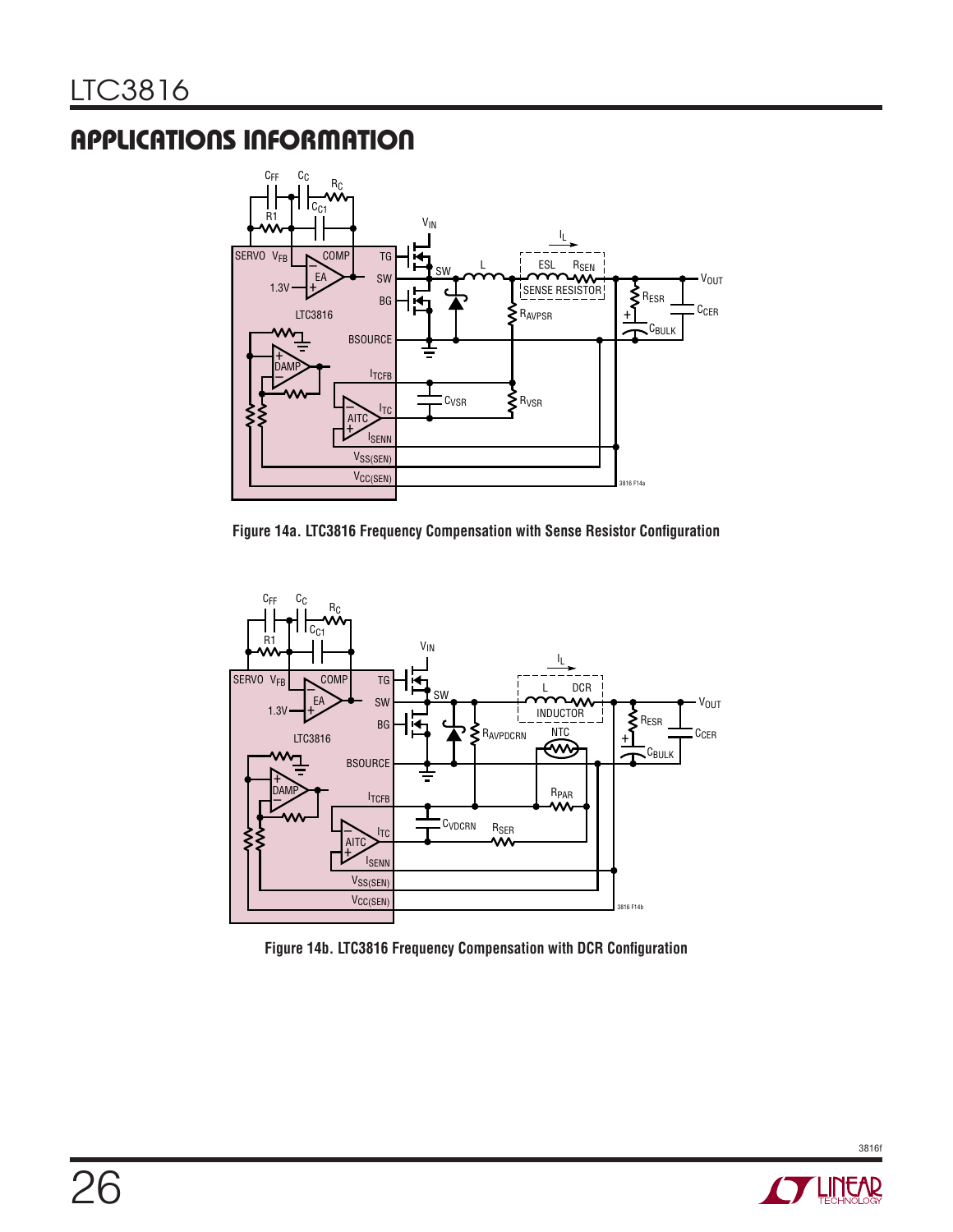

**Figure 14a. LTC3816 Frequency Compensation with Sense Resistor Configuration**





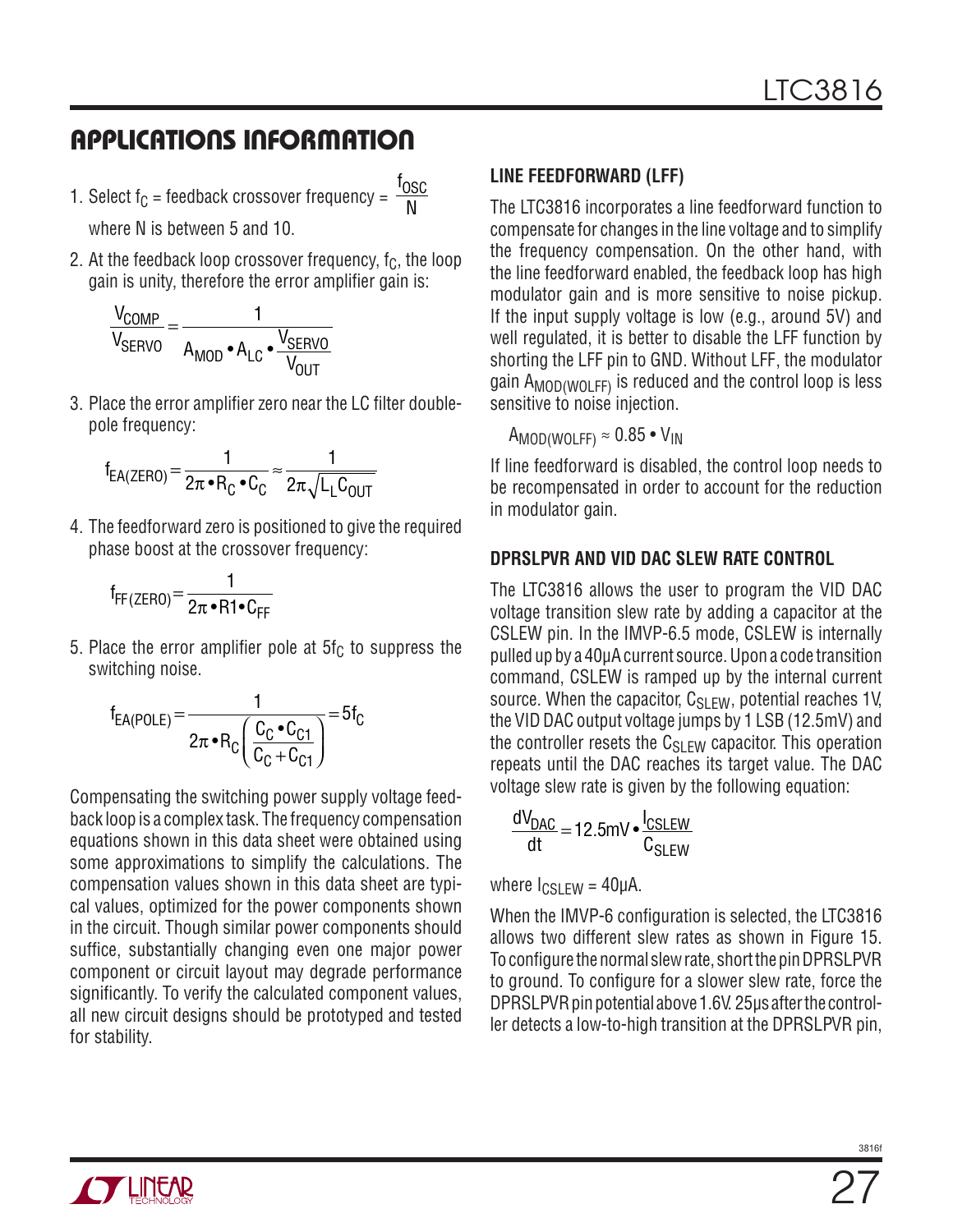1. Select f<sub>C</sub> = feedback crossover frequency = f <u>OSC</u>

where N is between 5 and 10.

2. At the feedback loop crossover frequency,  $f_C$ , the loop gain is unity, therefore the error amplifier gain is:

N

$$
\frac{V_{COMP}}{V_{SERVO}} = \frac{1}{A_{MOD} \cdot A_{LC} \cdot \frac{V_{SERVO}}{V_{OUT}}}
$$

3. Place the error amplifier zero near the LC filter doublepole frequency:

$$
f_{EA(ZERO)} = \frac{1}{2\pi \cdot R_C \cdot C_C} \approx \frac{1}{2\pi \sqrt{L_L C_{OUT}}}
$$

4. The feedforward zero is positioned to give the required phase boost at the crossover frequency:

$$
f_{FF(ZERO)} = \frac{1}{2\pi \cdot RT \cdot C_{FF}}
$$

5. Place the error amplifier pole at  $5f_C$  to suppress the switching noise.

$$
f_{EA(POLE)} = \frac{1}{2\pi \cdot R_C \left(\frac{C_C \cdot C_{C1}}{C_C + C_{C1}}\right)} = 5f_C
$$

Compensating the switching power supply voltage feedback loop is a complex task. The frequency compensation equations shown in this data sheet were obtained using some approximations to simplify the calculations. The compensation values shown in this data sheet are typical values, optimized for the power components shown in the circuit. Though similar power components should suffice, substantially changing even one major power component or circuit layout may degrade performance significantly. To verify the calculated component values, all new circuit designs should be prototyped and tested for stability.

### **Line Feedforward (LFF)**

The LTC3816 incorporates a line feedforward function to compensate for changes in the line voltage and to simplify the frequency compensation. On the other hand, with the line feedforward enabled, the feedback loop has high modulator gain and is more sensitive to noise pickup. If the input supply voltage is low (e.g., around 5V) and well regulated, it is better to disable the LFF function by shorting the LFF pin to GND. Without LFF, the modulator gain A<sub>MOD(WOLFF)</sub> is reduced and the control loop is less sensitive to noise injection.

 $A_{MOD(WOLF)} \approx 0.85 \cdot V_{IN}$ 

If line feedforward is disabled, the control loop needs to be recompensated in order to account for the reduction in modulator gain.

#### **DPRSLPVR and VID DAC Slew Rate Control**

The LTC3816 allows the user to program the VID DAC voltage transition slew rate by adding a capacitor at the CSLEW pin. In the IMVP-6.5 mode, CSLEW is internally pulled up by a 40µA current source. Upon a code transition command, CSLEW is ramped up by the internal current source. When the capacitor,  $C_{SIFW}$ , potential reaches 1V, the VID DAC output voltage jumps by 1 LSB (12.5mV) and the controller resets the  $C_{SIFW}$  capacitor. This operation repeats until the DAC reaches its target value. The DAC voltage slew rate is given by the following equation:

$$
\frac{dV_{\text{DAC}}}{dt} = 12.5 \text{mV} \cdot \frac{I_{\text{CSLEW}}}{C_{\text{SLEW}}}
$$

where  $\log_{1}$  FW = 40µA.

When the IMVP-6 configuration is selected, the LTC3816 allows two different slew rates as shown in Figure 15. To configure the normal slew rate, short the pin DPRSLPVR to ground. To configure for a slower slew rate, force the DPRSLPVR pin potential above 1.6V. 25µs after the controller detects a low-to-high transition at the DPRSLPVR pin,

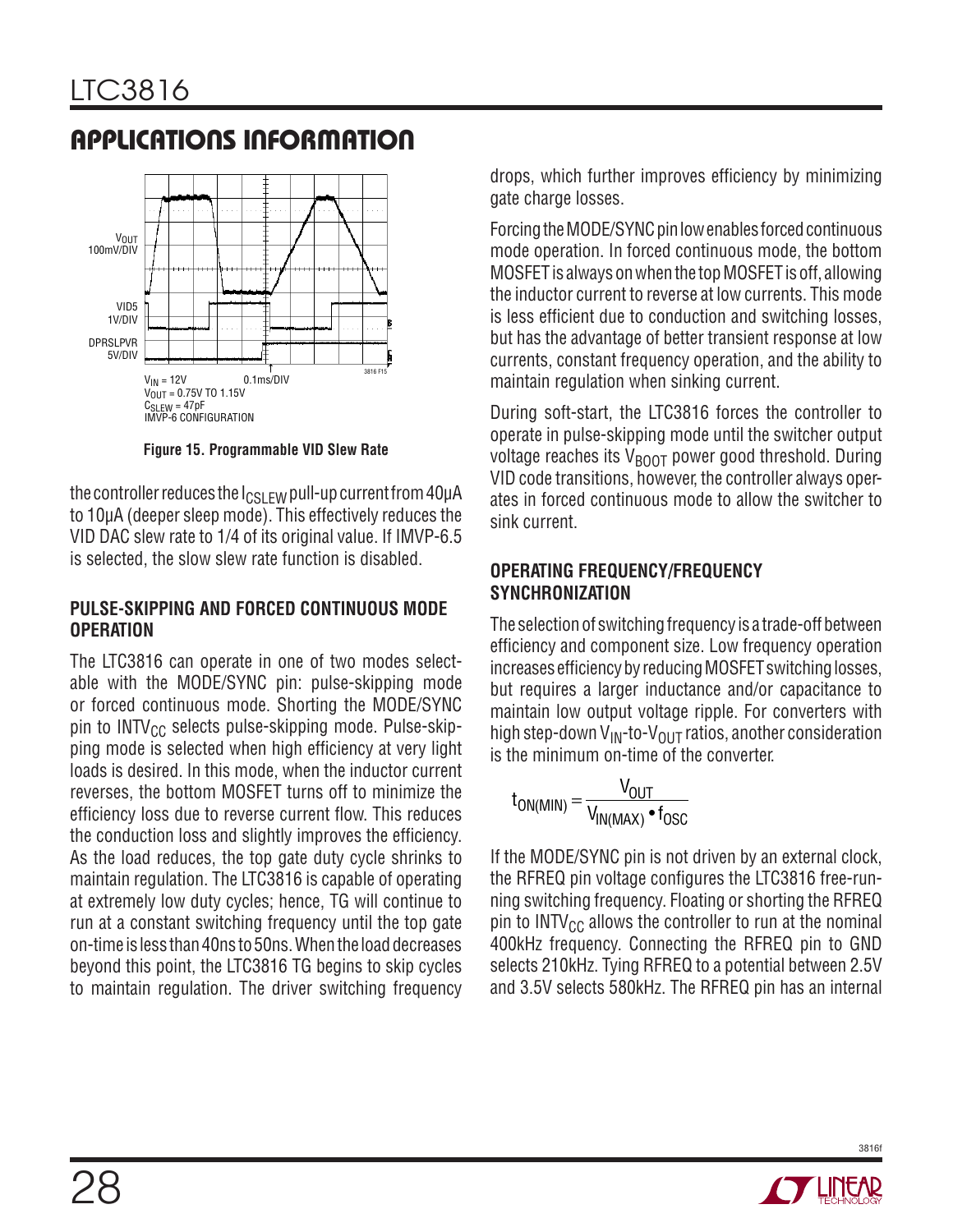

**Figure 15. Programmable VID Slew Rate**

the controller reduces the  $I_{CSIFW}$  pull-up current from 40µA to 10µA (deeper sleep mode). This effectively reduces the VID DAC slew rate to 1/4 of its original value. If IMVP-6.5 is selected, the slow slew rate function is disabled.

#### **Pulse-Skipping and Forced Continuous Mode Operation**

The LTC3816 can operate in one of two modes selectable with the MODE/SYNC pin: pulse-skipping mode or forced continuous mode. Shorting the MODE/SYNC pin to  $INTV_{CC}$  selects pulse-skipping mode. Pulse-skipping mode is selected when high efficiency at very light loads is desired. In this mode, when the inductor current reverses, the bottom MOSFET turns off to minimize the efficiency loss due to reverse current flow. This reduces the conduction loss and slightly improves the efficiency. As the load reduces, the top gate duty cycle shrinks to maintain regulation. The LTC3816 is capable of operating at extremely low duty cycles; hence, TG will continue to run at a constant switching frequency until the top gate on-time is less than 40ns to 50ns. When the load decreases beyond this point, the LTC3816 TG begins to skip cycles to maintain regulation. The driver switching frequency drops, which further improves efficiency by minimizing gate charge losses.

Forcing the MODE/SYNC pin low enables forced continuous mode operation. In forced continuous mode, the bottom MOSFET is always on when the top MOSFET is off, allowing the inductor current to reverse at low currents. This mode is less efficient due to conduction and switching losses, but has the advantage of better transient response at low currents, constant frequency operation, and the ability to maintain regulation when sinking current.

During soft-start, the LTC3816 forces the controller to operate in pulse-skipping mode until the switcher output voltage reaches its  $V_{\text{B00T}}$  power good threshold. During VID code transitions, however, the controller always operates in forced continuous mode to allow the switcher to sink current.

#### **Operating Frequency/Frequency Synchronization**

The selection of switching frequency is a trade-off between efficiency and component size. Low frequency operation increases efficiency by reducing MOSFET switching losses, but requires a larger inductance and/or capacitance to maintain low output voltage ripple. For converters with high step-down V<sub>IN</sub>-to-V<sub>OUT</sub> ratios, another consideration is the minimum on-time of the converter.

$$
t_{ON(MIN)} = \frac{V_{OUT}}{V_{IN(MAX)} \cdot t_{OSC}}
$$

If the MODE/SYNC pin is not driven by an external clock, the RFREQ pin voltage configures the LTC3816 free-running switching frequency. Floating or shorting the RFREQ pin to INTV $_{\text{CC}}$  allows the controller to run at the nominal 400kHz frequency. Connecting the RFREQ pin to GND selects 210kHz. Tying RFREQ to a potential between 2.5V and 3.5V selects 580kHz. The RFREQ pin has an internal

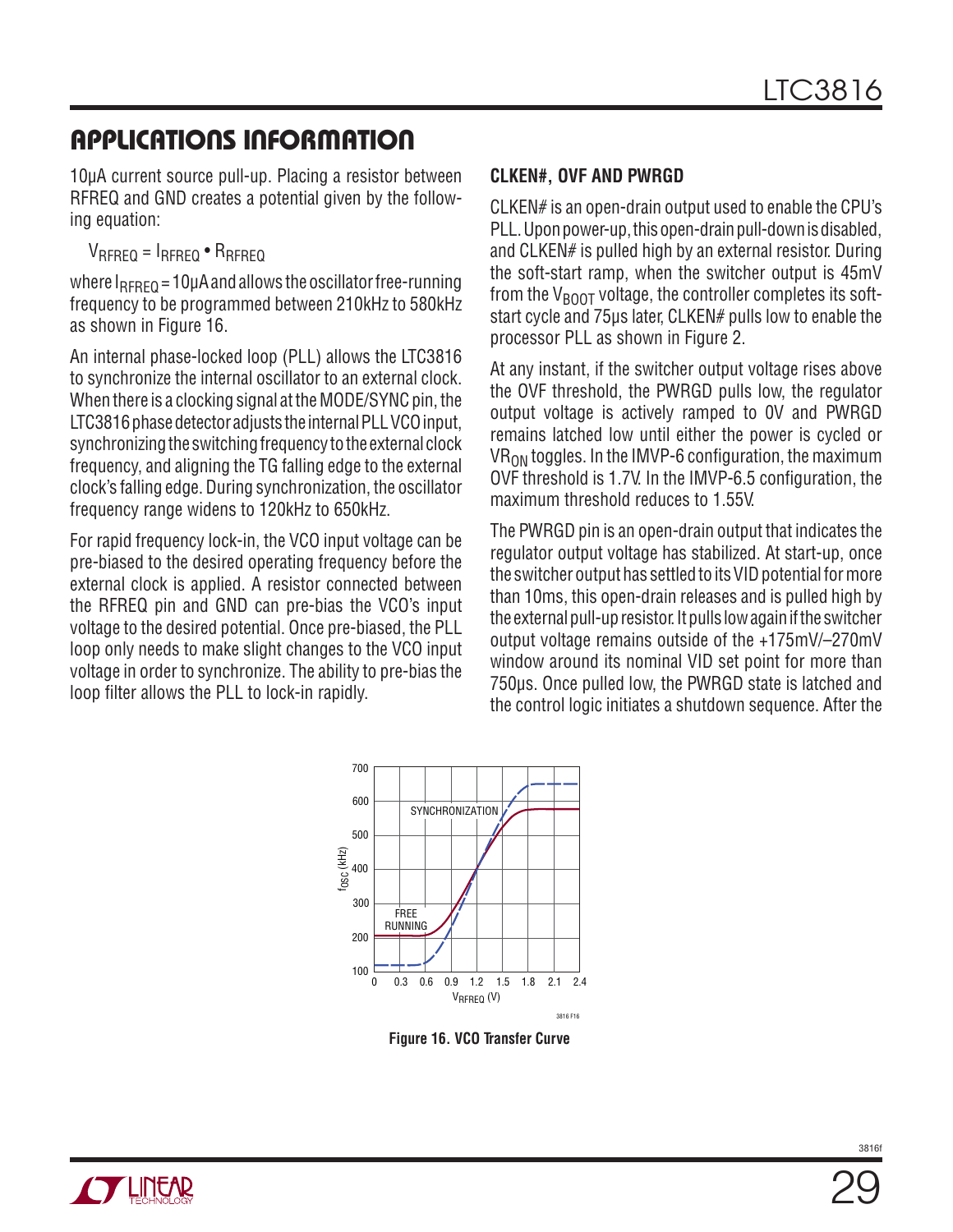10µA current source pull-up. Placing a resistor between RFREQ and GND creates a potential given by the following equation:

 $V_{RFREQ} = I_{RFREQ} \cdot R_{RFREQ}$ 

where  $I_{RFREQ}$  = 10µA and allows the oscillator free-running frequency to be programmed between 210kHz to 580kHz as shown in Figure 16.

An internal phase-locked loop (PLL) allows the LTC3816 to synchronize the internal oscillator to an external clock. When there is a clocking signal at the MODE/SYNC pin, the LTC3816 phase detector adjusts the internal PLL VCO input, synchronizing the switching frequency to the external clock frequency, and aligning the TG falling edge to the external clock's falling edge. During synchronization, the oscillator frequency range widens to 120kHz to 650kHz.

For rapid frequency lock-in, the VCO input voltage can be pre-biased to the desired operating frequency before the external clock is applied. A resistor connected between the RFREQ pin and GND can pre-bias the VCO's input voltage to the desired potential. Once pre-biased, the PLL loop only needs to make slight changes to the VCO input voltage in order to synchronize. The ability to pre-bias the loop filter allows the PLL to lock-in rapidly.

#### **CLKEN#, OVF and PWRGD**

CLKEN# is an open-drain output used to enable the CPU's PLL. Upon power-up, this open-drain pull-down is disabled, and CLKEN# is pulled high by an external resistor. During the soft-start ramp, when the switcher output is 45mV from the  $V_{\text{BOD}}$  voltage, the controller completes its softstart cycle and 75µs later, CLKEN# pulls low to enable the processor PLL as shown in Figure 2.

At any instant, if the switcher output voltage rises above the OVF threshold, the PWRGD pulls low, the regulator output voltage is actively ramped to 0V and PWRGD remains latched low until either the power is cycled or  $VR<sub>ON</sub>$  toggles. In the IMVP-6 configuration, the maximum OVF threshold is 1.7V. In the IMVP-6.5 configuration, the maximum threshold reduces to 1.55V.

The PWRGD pin is an open-drain output that indicates the regulator output voltage has stabilized. At start-up, once the switcher output has settled to its VID potential for more than 10ms, this open-drain releases and is pulled high by the external pull-up resistor. It pulls low again if the switcher output voltage remains outside of the +175mV/–270mV window around its nominal VID set point for more than 750µs. Once pulled low, the PWRGD state is latched and the control logic initiates a shutdown sequence. After the



**Figure 16. VCO Transfer Curve**

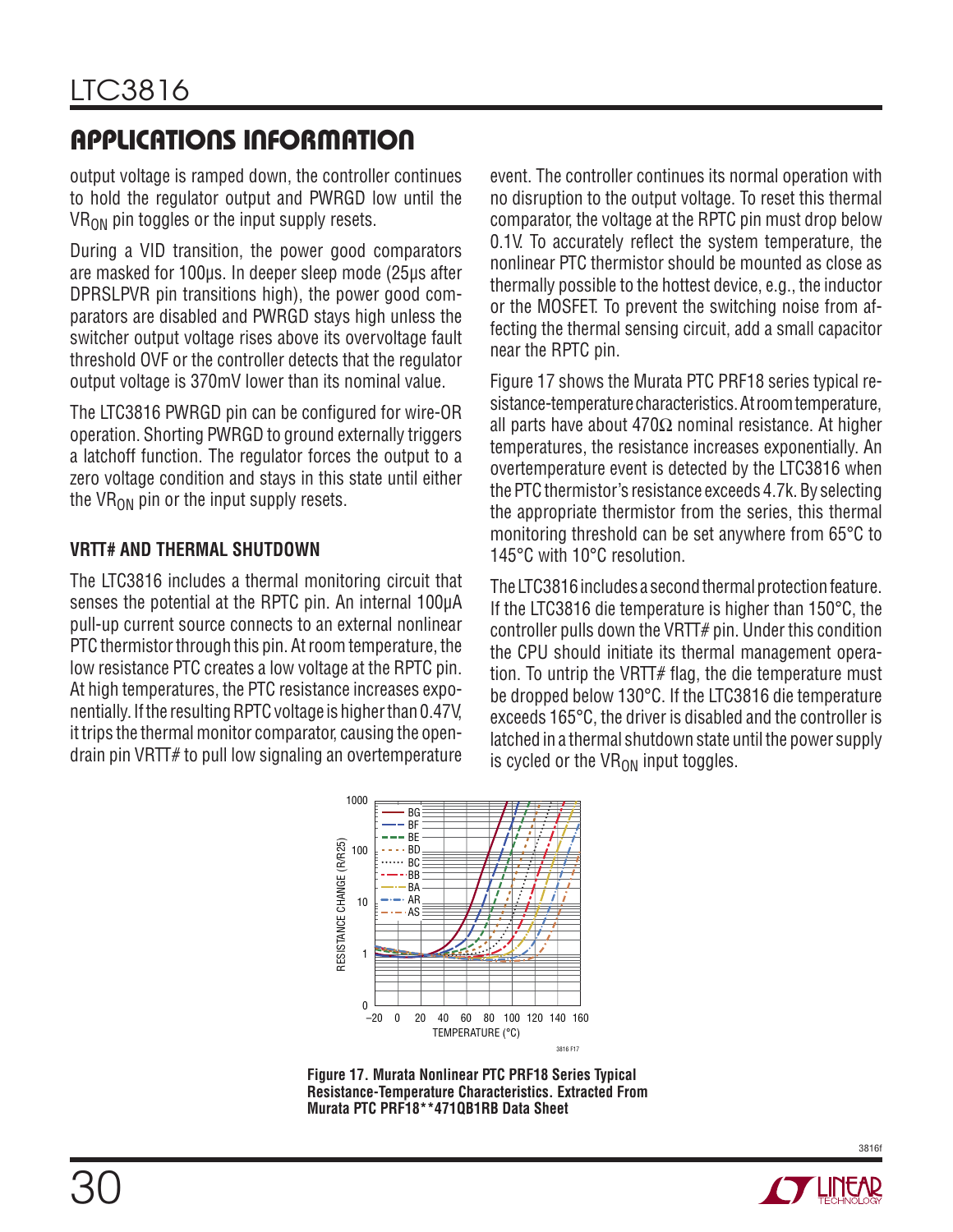output voltage is ramped down, the controller continues to hold the regulator output and PWRGD low until the  $VR<sub>ON</sub>$  pin toggles or the input supply resets.

During a VID transition, the power good comparators are masked for 100µs. In deeper sleep mode (25µs after DPRSLPVR pin transitions high), the power good comparators are disabled and PWRGD stays high unless the switcher output voltage rises above its overvoltage fault threshold OVF or the controller detects that the regulator output voltage is 370mV lower than its nominal value.

The LTC3816 PWRGD pin can be configured for wire-OR operation. Shorting PWRGD to ground externally triggers a latchoff function. The regulator forces the output to a zero voltage condition and stays in this state until either the VR $_{ON}$  pin or the input supply resets.

#### **VRTT# and Thermal Shutdown**

The LTC3816 includes a thermal monitoring circuit that senses the potential at the RPTC pin. An internal 100µA pull-up current source connects to an external nonlinear PTC thermistor through this pin. At room temperature, the low resistance PTC creates a low voltage at the RPTC pin. At high temperatures, the PTC resistance increases exponentially. If the resulting RPTC voltage is higher than 0.47V, it trips the thermal monitor comparator, causing the opendrain pin VRTT# to pull low signaling an overtemperature event. The controller continues its normal operation with no disruption to the output voltage. To reset this thermal comparator, the voltage at the RPTC pin must drop below 0.1V. To accurately reflect the system temperature, the nonlinear PTC thermistor should be mounted as close as thermally possible to the hottest device, e.g., the inductor or the MOSFET. To prevent the switching noise from affecting the thermal sensing circuit, add a small capacitor near the RPTC pin.

Figure 17 shows the Murata PTC PRF18 series typical resistance-temperature characteristics. At room temperature, all parts have about  $470\Omega$  nominal resistance. At higher temperatures, the resistance increases exponentially. An overtemperature event is detected by the LTC3816 when the PTC thermistor's resistance exceeds 4.7k. By selecting the appropriate thermistor from the series, this thermal monitoring threshold can be set anywhere from 65°C to 145°C with 10°C resolution.

The LTC3816 includes a second thermal protection feature. If the LTC3816 die temperature is higher than 150°C, the controller pulls down the VRTT# pin. Under this condition the CPU should initiate its thermal management operation. To untrip the VRTT $#$  flag, the die temperature must be dropped below 130°C. If the LTC3816 die temperature exceeds 165°C, the driver is disabled and the controller is latched in a thermal shutdown state until the power supply is cycled or the  $VR_{ON}$  input toggles.



**Figure 17. Murata Nonlinear PTC PRF18 Series Typical Resistance-Temperature Characteristics. Extracted From Murata PTC PRF18\*\*471QB1RB Data Sheet**

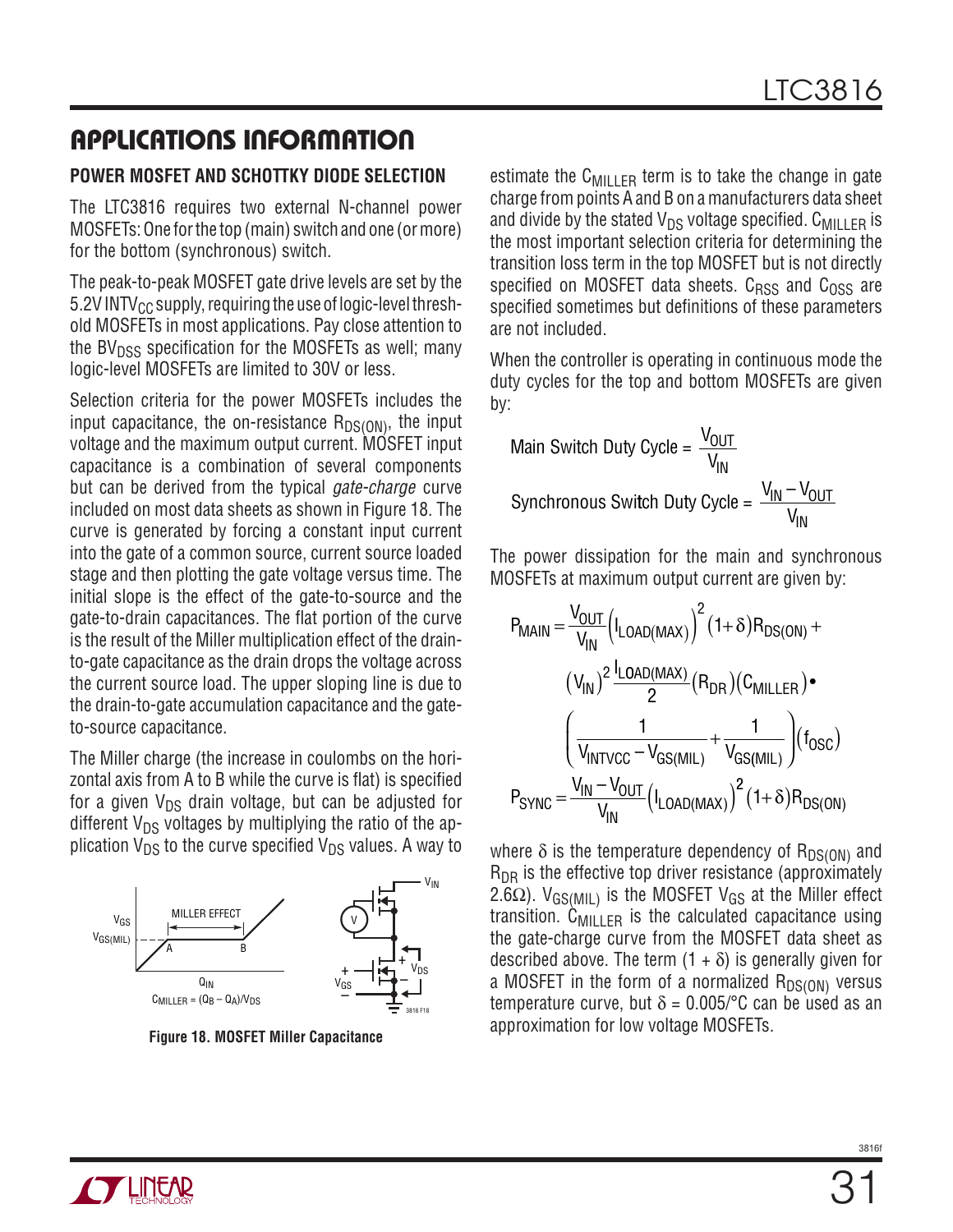#### **Power MOSFET and Schottky Diode Selection**

The LTC3816 requires two external N-channel power MOSFETs: One for the top (main) switch and one (or more) for the bottom (synchronous) switch.

The peak-to-peak MOSFET gate drive levels are set by the 5.2V INTV $_{\rm CC}$  supply, requiring the use of logic-level threshold MOSFETs in most applications. Pay close attention to the BV $_{\text{DSS}}$  specification for the MOSFETs as well; many logic-level MOSFETs are limited to 30V or less.

Selection criteria for the power MOSFETs includes the input capacitance, the on-resistance  $R_{DS(ON)}$ , the input voltage and the maximum output current. MOSFET input capacitance is a combination of several components but can be derived from the typical *gate-charge* curve included on most data sheets as shown in Figure 18. The curve is generated by forcing a constant input current into the gate of a common source, current source loaded stage and then plotting the gate voltage versus time. The initial slope is the effect of the gate-to-source and the gate-to-drain capacitances. The flat portion of the curve is the result of the Miller multiplication effect of the drainto-gate capacitance as the drain drops the voltage across the current source load. The upper sloping line is due to the drain-to-gate accumulation capacitance and the gateto-source capacitance.

The Miller charge (the increase in coulombs on the horizontal axis from A to B while the curve is flat) is specified for a given  $V_{DS}$  drain voltage, but can be adjusted for different  $V_{DS}$  voltages by multiplying the ratio of the application  $V_{DS}$  to the curve specified  $V_{DS}$  values. A way to



**Figure 18. MOSFET Miller Capacitance**

estimate the  $C_{\text{MILLER}}$  term is to take the change in gate charge from points A and B on a manufacturers data sheet and divide by the stated  $V_{DS}$  voltage specified. C<sub>MILLER</sub> is the most important selection criteria for determining the transition loss term in the top MOSFET but is not directly specified on MOSFET data sheets.  $C_{RSS}$  and  $C_{OSS}$  are specified sometimes but definitions of these parameters are not included.

When the controller is operating in continuous mode the duty cycles for the top and bottom MOSFETs are given by:

Main Switch Duty Cycle = 
$$
\frac{V_{OUT}}{V_{IN}}
$$
  
Synchronous Switch Duty Cycle =  $\frac{V_{IN} - V_{OUT}}{V_{IN}}$ 

The power dissipation for the main and synchronous MOSFETs at maximum output current are given by:

$$
P_{MAIN} = \frac{V_{OUT}}{V_{IN}} \left( I_{LOAD(MAX)} \right)^{2} (1+\delta) R_{DS(ON)} +
$$

$$
\left( V_{IN} \right)^{2} \frac{I_{LOAD(MAX)}}{2} (R_{DR}) (C_{MILLER}) \bullet
$$

$$
\left( \frac{1}{V_{INTVCC} - V_{GS(MIL)}} + \frac{1}{V_{GS(MIL)}} \right) (f_{OSC})
$$

$$
P_{SYNC} = \frac{V_{IN} - V_{OUT}}{V_{IN}} \left( I_{LOAD(MAX)} \right)^{2} (1+\delta) R_{DS(ON)}
$$

where  $\delta$  is the temperature dependency of R<sub>DS(ON)</sub> and  $R_{\text{DR}}$  is the effective top driver resistance (approximately 2.6 $\Omega$ ). V<sub>GS(MIL)</sub> is the MOSFET V<sub>GS</sub> at the Miller effect transition.  $\tilde{C}_{\text{MI}|IFR}$  is the calculated capacitance using the gate-charge curve from the MOSFET data sheet as described above. The term  $(1 + \delta)$  is generally given for a MOSFET in the form of a normalized  $R_{DS(ON)}$  versus temperature curve, but  $\delta = 0.005$ /°C can be used as an approximation for low voltage MOSFETs.

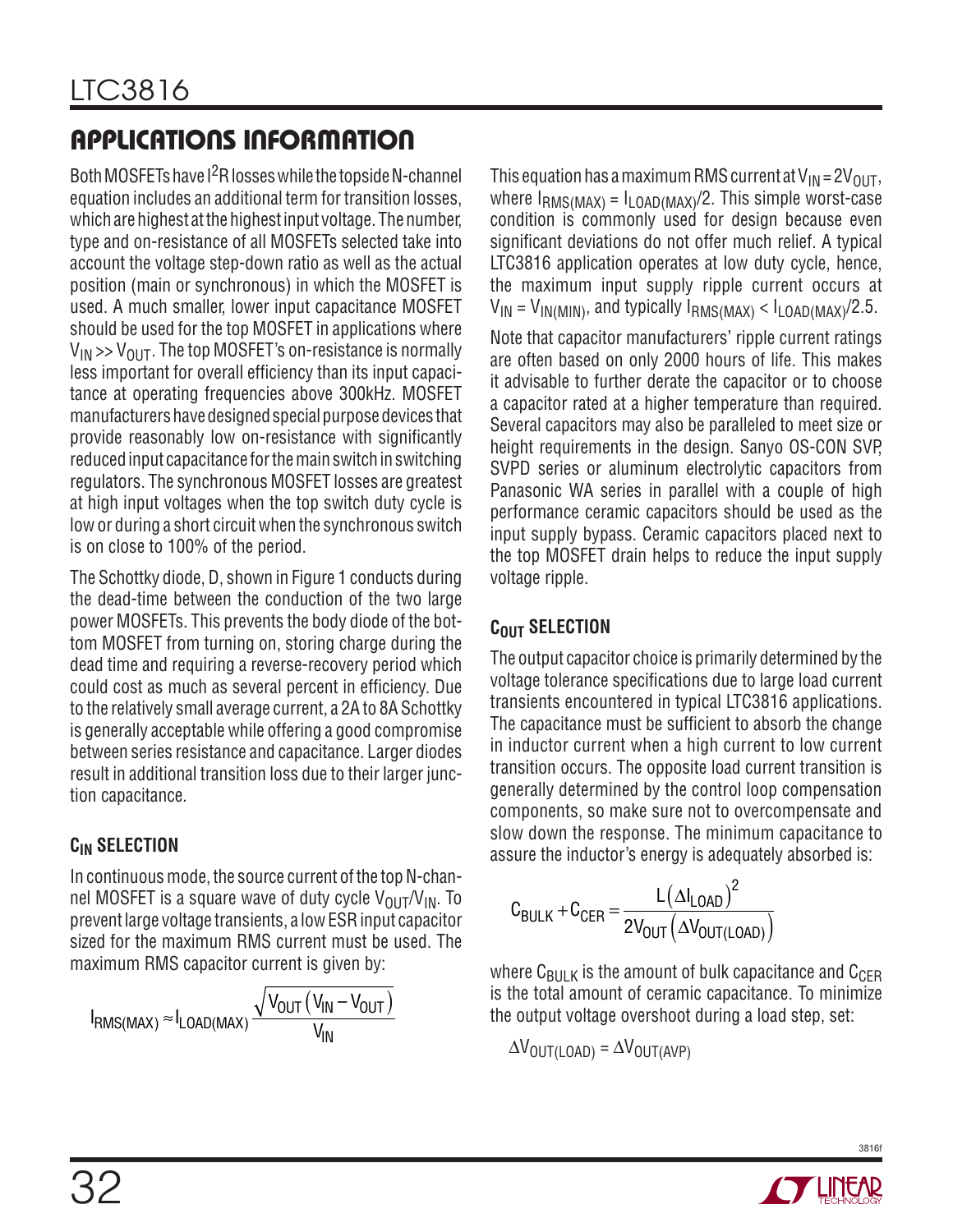Both MOSFETs have  $1^2$ R losses while the topside N-channel equation includes an additional term for transition losses, which are highest at the highest input voltage. The number, type and on-resistance of all MOSFETs selected take into account the voltage step-down ratio as well as the actual position (main or synchronous) in which the MOSFET is used. A much smaller, lower input capacitance MOSFET should be used for the top MOSFET in applications where  $V_{IN}$  >>  $V_{OIII}$ . The top MOSFET's on-resistance is normally less important for overall efficiency than its input capacitance at operating frequencies above 300kHz. MOSFET manufacturers have designed special purpose devices that provide reasonably low on-resistance with significantly reduced input capacitance for the main switch in switching regulators. The synchronous MOSFET losses are greatest at high input voltages when the top switch duty cycle is low or during a short circuit when the synchronous switch is on close to 100% of the period.

The Schottky diode, D, shown in Figure 1 conducts during the dead-time between the conduction of the two large power MOSFETs. This prevents the body diode of the bottom MOSFET from turning on, storing charge during the dead time and requiring a reverse-recovery period which could cost as much as several percent in efficiency. Due to the relatively small average current, a 2A to 8A Schottky is generally acceptable while offering a good compromise between series resistance and capacitance. Larger diodes result in additional transition loss due to their larger junction capacitance.

### **CIN Selection**

In continuous mode, the source current of the top N-channel MOSFET is a square wave of duty cycle  $V_{OIII}/V_{IN}$ . To prevent large voltage transients, a low ESR input capacitor sized for the maximum RMS current must be used. The maximum RMS capacitor current is given by:

$$
I_{RMS(MAX)} \approx I_{LOAD(MAX)} \frac{\sqrt{V_{OUT} (V_{IN} - V_{OUT})}}{V_{IN}}
$$

This equation has a maximum RMS current at  $V_{IN} = 2V_{OUT}$ , where  $I_{RMS(MAX)} = I_{LOAD(MAX)} / 2$ . This simple worst-case condition is commonly used for design because even significant deviations do not offer much relief. A typical LTC3816 application operates at low duty cycle, hence, the maximum input supply ripple current occurs at  $V_{IN} = V_{IN(MIN)}$ , and typically  $I_{RMS(MAX)} < I_{LOAD(MAX)} / 2.5$ .

Note that capacitor manufacturers' ripple current ratings are often based on only 2000 hours of life. This makes it advisable to further derate the capacitor or to choose a capacitor rated at a higher temperature than required. Several capacitors may also be paralleled to meet size or height requirements in the design. Sanyo OS-CON SVP, SVPD series or aluminum electrolytic capacitors from Panasonic WA series in parallel with a couple of high performance ceramic capacitors should be used as the input supply bypass. Ceramic capacitors placed next to the top MOSFET drain helps to reduce the input supply voltage ripple.

### **COUT SELECTION**

The output capacitor choice is primarily determined by the voltage tolerance specifications due to large load current transients encountered in typical LTC3816 applications. The capacitance must be sufficient to absorb the change in inductor current when a high current to low current transition occurs. The opposite load current transition is generally determined by the control loop compensation components, so make sure not to overcompensate and slow down the response. The minimum capacitance to assure the inductor's energy is adequately absorbed is:

$$
C_{BULK} + C_{CER} = \frac{L(\Delta I_{LOAD})^2}{2V_{OUT}(\Delta V_{OUT(LOAD)})}
$$

where  $C_{\text{BULK}}$  is the amount of bulk capacitance and  $C_{\text{CER}}$ is the total amount of ceramic capacitance. To minimize the output voltage overshoot during a load step, set:

 $\Delta V_{\text{OUT(LOAD)}} = \Delta V_{\text{OUT(AVP)}}$ 

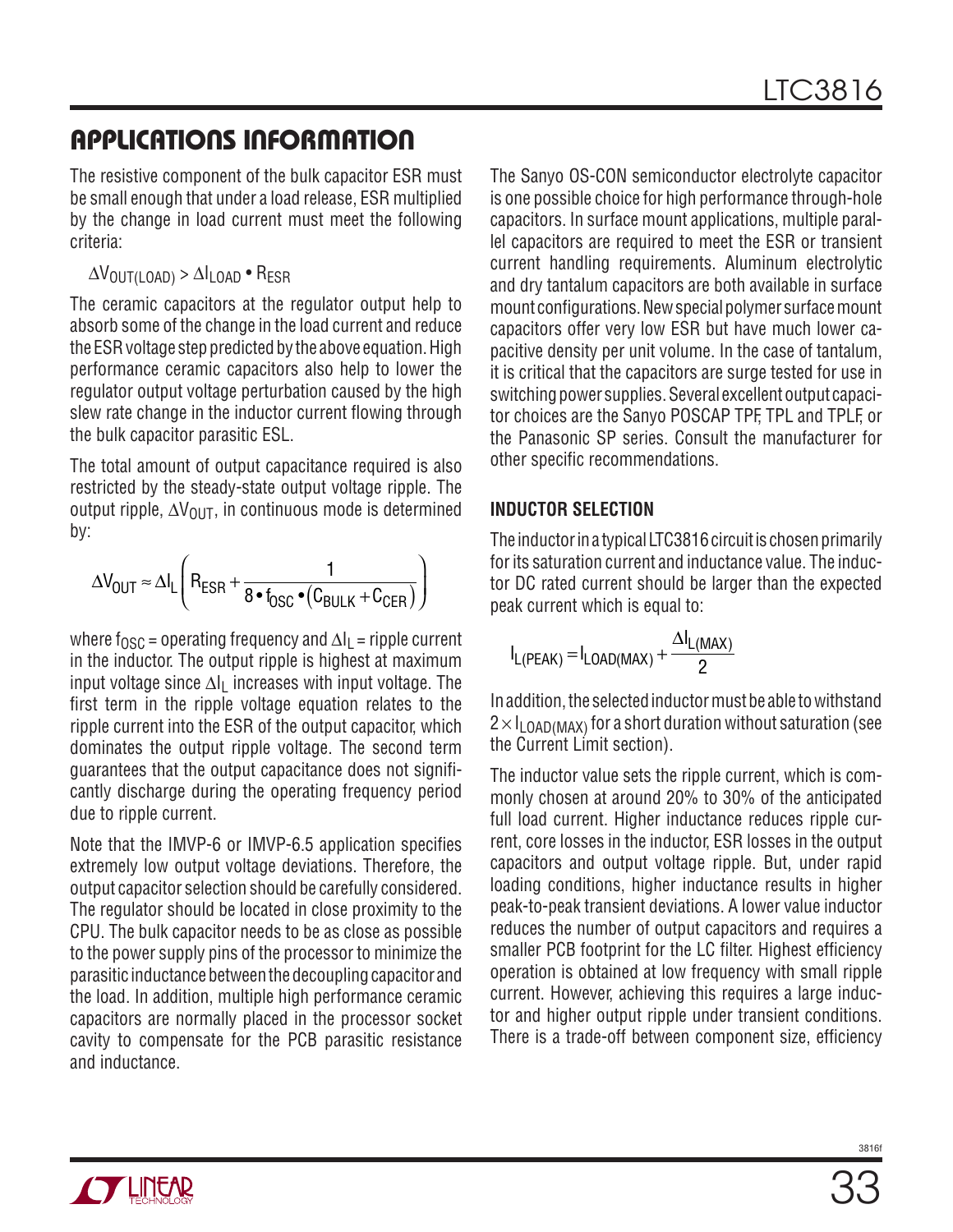The resistive component of the bulk capacitor ESR must be small enough that under a load release, ESR multiplied by the change in load current must meet the following criteria:

 $\Delta V_{\text{OUT(LOAD)}} > \Delta I_{\text{LOAD}}$  • R<sub>FSR</sub>

The ceramic capacitors at the regulator output help to absorb some of the change in the load current and reduce the ESR voltage step predicted by the above equation. High performance ceramic capacitors also help to lower the regulator output voltage perturbation caused by the high slew rate change in the inductor current flowing through the bulk capacitor parasitic ESL.

The total amount of output capacitance required is also restricted by the steady-state output voltage ripple. The output ripple,  $\Delta V_{\text{OUT}}$ , in continuous mode is determined by:

$$
\Delta V_{OUT} \approx \Delta I_L \Bigg(R_{ESR} + \frac{1}{8 \bullet f_{OSC} \bullet (C_{BULK} + C_{CER})}\Bigg)
$$

where f<sub>OSC</sub> = operating frequency and  $\Delta I_L$  = ripple current in the inductor. The output ripple is highest at maximum input voltage since  $\Delta I_1$  increases with input voltage. The first term in the ripple voltage equation relates to the ripple current into the ESR of the output capacitor, which dominates the output ripple voltage. The second term guarantees that the output capacitance does not significantly discharge during the operating frequency period due to ripple current.

Note that the IMVP-6 or IMVP-6.5 application specifies extremely low output voltage deviations. Therefore, the output capacitor selection should be carefully considered. The regulator should be located in close proximity to the CPU. The bulk capacitor needs to be as close as possible to the power supply pins of the processor to minimize the parasitic inductance between the decoupling capacitor and the load. In addition, multiple high performance ceramic capacitors are normally placed in the processor socket cavity to compensate for the PCB parasitic resistance and inductance.

The Sanyo OS-CON semiconductor electrolyte capacitor is one possible choice for high performance through-hole capacitors. In surface mount applications, multiple parallel capacitors are required to meet the ESR or transient current handling requirements. Aluminum electrolytic and dry tantalum capacitors are both available in surface mount configurations. New special polymer surface mount capacitors offer very low ESR but have much lower capacitive density per unit volume. In the case of tantalum, it is critical that the capacitors are surge tested for use in switching power supplies. Several excellent output capacitor choices are the Sanyo POSCAP TPF, TPL and TPLF, or the Panasonic SP series. Consult the manufacturer for other specific recommendations.

### **Inductor Selection**

The inductor in a typical LTC3816 circuit is chosen primarily for its saturation current and inductance value. The inductor DC rated current should be larger than the expected peak current which is equal to:

$$
I_{L(PEAK)} = I_{LOAD(MAX)} + \frac{\Delta I_{L(MAX)}}{2}
$$

In addition, the selected inductor must be able to withstand  $2 \times I_{\text{LOAD}(MAX)}$  for a short duration without saturation (see the Current Limit section).

The inductor value sets the ripple current, which is commonly chosen at around 20% to 30% of the anticipated full load current. Higher inductance reduces ripple current, core losses in the inductor, ESR losses in the output capacitors and output voltage ripple. But, under rapid loading conditions, higher inductance results in higher peak-to-peak transient deviations. A lower value inductor reduces the number of output capacitors and requires a smaller PCB footprint for the LC filter. Highest efficiency operation is obtained at low frequency with small ripple current. However, achieving this requires a large inductor and higher output ripple under transient conditions. There is a trade-off between component size, efficiency

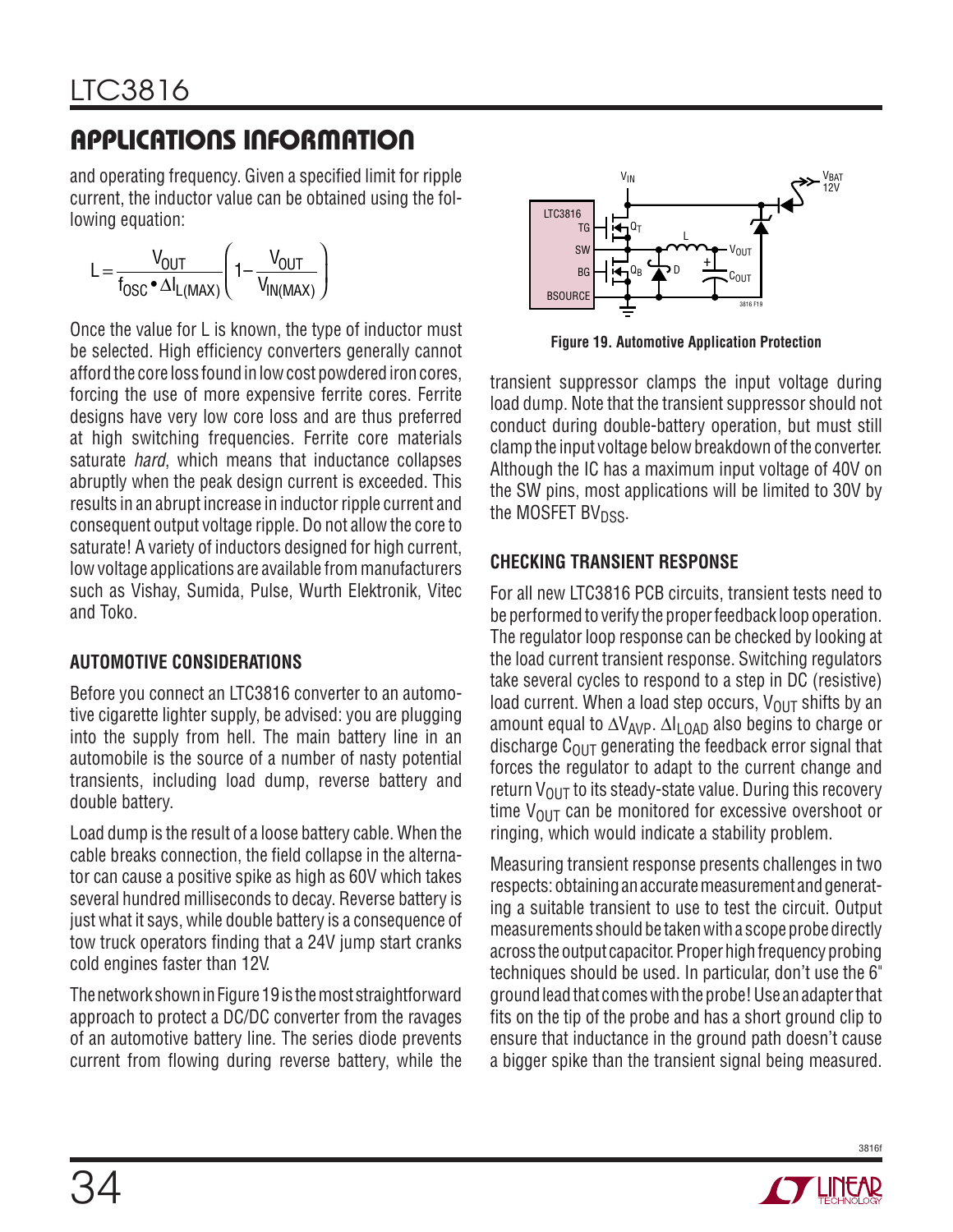and operating frequency. Given a specified limit for ripple current, the inductor value can be obtained using the following equation:

$$
L = \frac{V_{OUT}}{f_{OSC} \cdot \Delta I_{L(MAX)}} \left( 1 - \frac{V_{OUT}}{V_{IN(MAX)}} \right)
$$

Once the value for L is known, the type of inductor must be selected. High efficiency converters generally cannot afford the core loss found in low cost powdered iron cores, forcing the use of more expensive ferrite cores. Ferrite designs have very low core loss and are thus preferred at high switching frequencies. Ferrite core materials saturate *hard*, which means that inductance collapses abruptly when the peak design current is exceeded. This results in an abrupt increase in inductor ripple current and consequent output voltage ripple. Do not allow the core to saturate! A variety of inductors designed for high current, low voltage applications are available from manufacturers such as Vishay, Sumida, Pulse, Wurth Elektronik, Vitec and Toko.

### **Automotive Considerations**

Before you connect an LTC3816 converter to an automotive cigarette lighter supply, be advised: you are plugging into the supply from hell. The main battery line in an automobile is the source of a number of nasty potential transients, including load dump, reverse battery and double battery.

Load dump is the result of a loose battery cable. When the cable breaks connection, the field collapse in the alternator can cause a positive spike as high as 60V which takes several hundred milliseconds to decay. Reverse battery is just what it says, while double battery is a consequence of tow truck operators finding that a 24V jump start cranks cold engines faster than 12V.

The network shown in Figure 19 is the most straightforward approach to protect a DC/DC converter from the ravages of an automotive battery line. The series diode prevents current from flowing during reverse battery, while the



**Figure 19. Automotive Application Protection**

transient suppressor clamps the input voltage during load dump. Note that the transient suppressor should not conduct during double-battery operation, but must still clamp the input voltage below breakdown of the converter. Although the IC has a maximum input voltage of 40V on the SW pins, most applications will be limited to 30V by the MOSFET BV<sub>DSS</sub>.

### **Checking Transient Response**

For all new LTC3816 PCB circuits, transient tests need to be performed to verify the proper feedback loop operation. The regulator loop response can be checked by looking at the load current transient response. Switching regulators take several cycles to respond to a step in DC (resistive) load current. When a load step occurs,  $V_{\text{OUT}}$  shifts by an amount equal to ∆V<sub>AVP</sub>. ∆I<sub>LOAD</sub> also begins to charge or discharge  $C<sub>OMT</sub>$  generating the feedback error signal that forces the regulator to adapt to the current change and return  $V_{\text{OUT}}$  to its steady-state value. During this recovery time  $V_{\text{OUT}}$  can be monitored for excessive overshoot or ringing, which would indicate a stability problem.

Measuring transient response presents challenges in two respects: obtaining an accurate measurement and generating a suitable transient to use to test the circuit. Output measurements should be taken with a scope probe directly across the output capacitor. Proper high frequency probing techniques should be used. In particular, don't use the 6" ground lead that comes with the probe! Use an adapter that fits on the tip of the probe and has a short ground clip to ensure that inductance in the ground path doesn't cause a bigger spike than the transient signal being measured.

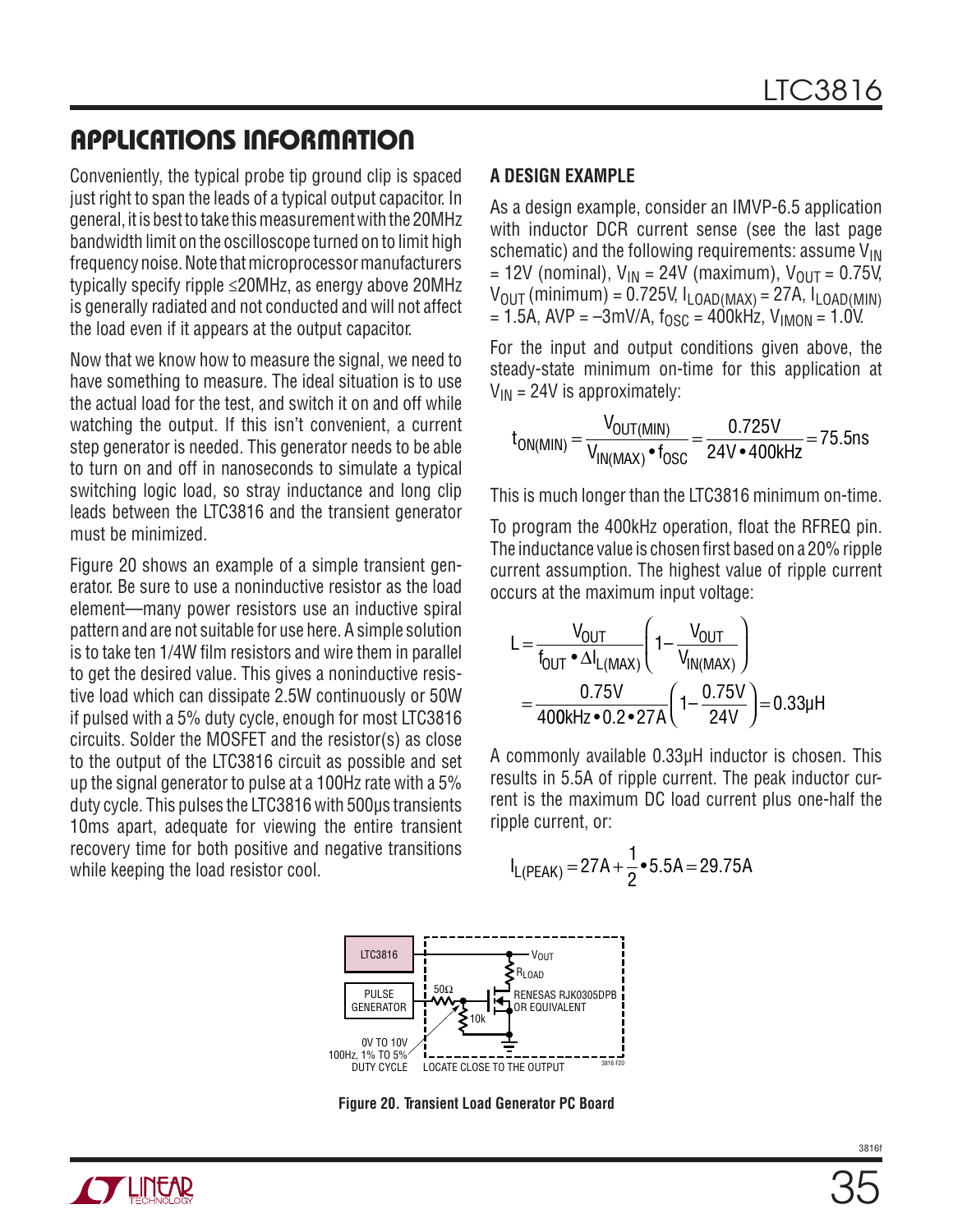Conveniently, the typical probe tip ground clip is spaced just right to span the leads of a typical output capacitor. In general, it is best to take this measurement with the 20MHz bandwidth limit on the oscilloscope turned on to limit high frequency noise. Note that microprocessor manufacturers typically specify ripple ≤20MHz, as energy above 20MHz is generally radiated and not conducted and will not affect the load even if it appears at the output capacitor.

Now that we know how to measure the signal, we need to have something to measure. The ideal situation is to use the actual load for the test, and switch it on and off while watching the output. If this isn't convenient, a current step generator is needed. This generator needs to be able to turn on and off in nanoseconds to simulate a typical switching logic load, so stray inductance and long clip leads between the LTC3816 and the transient generator must be minimized.

Figure 20 shows an example of a simple transient generator. Be sure to use a noninductive resistor as the load element—many power resistors use an inductive spiral pattern and are not suitable for use here. A simple solution is to take ten 1/4W film resistors and wire them in parallel to get the desired value. This gives a noninductive resistive load which can dissipate 2.5W continuously or 50W if pulsed with a 5% duty cycle, enough for most LTC3816 circuits. Solder the MOSFET and the resistor(s) as close to the output of the LTC3816 circuit as possible and set up the signal generator to pulse at a 100Hz rate with a 5% duty cycle. This pulses the LTC3816 with 500µs transients 10ms apart, adequate for viewing the entire transient recovery time for both positive and negative transitions while keeping the load resistor cool.

#### **A Design Example**

As a design example, consider an IMVP-6.5 application with inductor DCR current sense (see the last page schematic) and the following requirements: assume  $V_{IN}$ = 12V (nominal),  $V_{IN}$  = 24V (maximum),  $V_{OUT}$  = 0.75V,  $V_{\text{OUT}}$  (minimum) = 0.725V,  $I_{\text{LOAD}$ (MAX) = 27A,  $I_{\text{LOAD}$ (MIN)  $= 1.5A$ , AVP =  $-3$ mV/A,  $f_{OSC} = 400kHz$ , V<sub>IMON</sub> = 1.0V.

For the input and output conditions given above, the steady-state minimum on-time for this application at  $V_{IN}$  = 24V is approximately:

$$
t_{ON(MIN)} = \frac{V_{OUT(MIN)}}{V_{IN(MAX)} \cdot t_{OSC}} = \frac{0.725V}{24V \cdot 400kHz} = 75.5ns
$$

This is much longer than the LTC3816 minimum on-time.

To program the 400kHz operation, float the RFREQ pin. The inductance value is chosen first based on a 20% ripple current assumption. The highest value of ripple current occurs at the maximum input voltage:

$$
L = \frac{V_{OUT}}{f_{OUT} \cdot \Delta I_{L(MAX)}} \left( 1 - \frac{V_{OUT}}{V_{IN(MAX)}} \right)
$$
  
= 
$$
\frac{0.75V}{400kHz \cdot 0.2 \cdot 27A} \left( 1 - \frac{0.75V}{24V} \right) = 0.33\mu H
$$

A commonly available 0.33µH inductor is chosen. This results in 5.5A of ripple current. The peak inductor current is the maximum DC load current plus one-half the ripple current, or:

$$
I_{L(PEAK)} = 27A + \frac{1}{2} \cdot 5.5A = 29.75A
$$



**Figure 20. Transient Load Generator PC Board**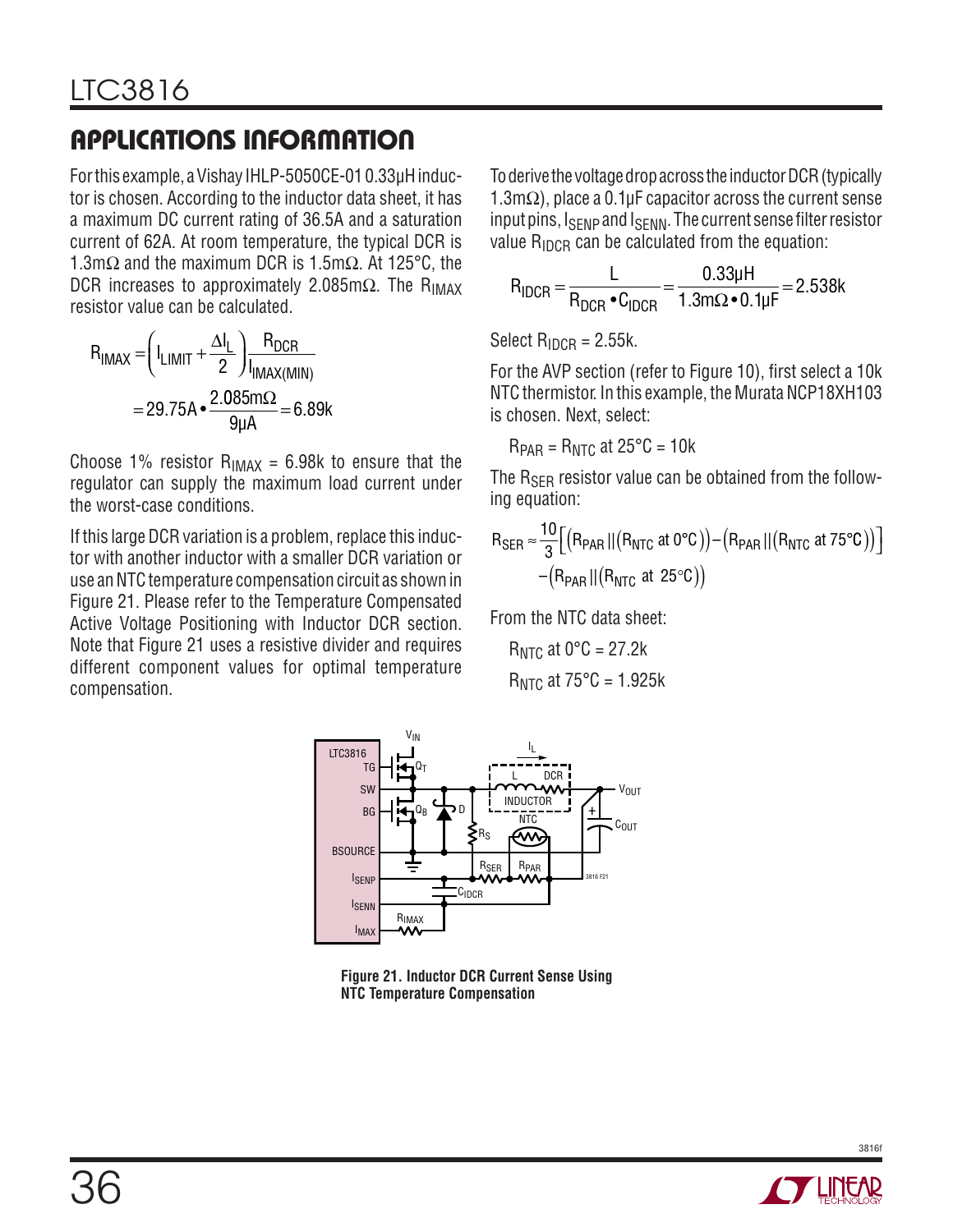For this example, a Vishay IHLP-5050CE-01 0.33µH inductor is chosen. According to the inductor data sheet, it has a maximum DC current rating of 36.5A and a saturation current of 62A. At room temperature, the typical DCR is 1.3mΩ and the maximum DCR is 1.5mΩ. At 125°C, the DCR increases to approximately 2.085m $\Omega$ . The R<sub>IMAX</sub> resistor value can be calculated.

$$
R_{IMAX} = \left(I_{LIMIT} + \frac{\Delta I_L}{2}\right) \frac{R_{DCR}}{I_{IMAX(MIN)}}
$$

$$
= 29.75A \cdot \frac{2.085m\Omega}{9\mu A} = 6.89k
$$

Choose 1% resistor  $R_{IMAX} = 6.98k$  to ensure that the regulator can supply the maximum load current under the worst-case conditions.

If this large DCR variation is a problem, replace this inductor with another inductor with a smaller DCR variation or use an NTC temperature compensation circuit as shown in Figure 21. Please refer to the Temperature Compensated Active Voltage Positioning with Inductor DCR section. Note that Figure 21 uses a resistive divider and requires different component values for optimal temperature compensation.

To derive the voltage drop across the inductor DCR (typically 1.3m $\Omega$ ), place a 0.1µF capacitor across the current sense input pins,  $I_{\text{SENP}}$  and  $I_{\text{SENN}}$ . The current sense filter resistor value  $R_{IDCR}$  can be calculated from the equation:

$$
R_{IDCR} = \frac{L}{R_{DCR} \cdot C_{IDCR}} = \frac{0.33 \mu H}{1.3 m \Omega \cdot 0.1 \mu F} = 2.538 k
$$

Select  $R_{\text{IDCR}} = 2.55k$ .

For the AVP section (refer to Figure 10), first select a 10k NTC thermistor. In this example, the Murata NCP18XH103 is chosen. Next, select:

 $R_{PAR} = R_{NTC}$  at  $25^{\circ}C = 10k$ 

The  $R_{\rm SER}$  resistor value can be obtained from the following equation:

$$
R_{\text{SER}} \approx \frac{10}{3} \Big[ \big( R_{\text{PAR}} \, || \big( R_{\text{NTC}} \text{ at } 0^{\circ}C \big) \big) - \big( R_{\text{PAR}} \, || \big( R_{\text{NTC}} \text{ at } 75^{\circ}C \big) \big) \Big] \\ - \big( R_{\text{PAR}} \, || \big( R_{\text{NTC}} \text{ at } 25^{\circ}C \big) \big)
$$

From the NTC data sheet:

 $R<sub>NTC</sub>$  at 0 $°C = 27.2k$  $R_{NTC}$  at 75 $°C = 1.925k$ 



**Figure 21. Inductor DCR Current Sense Using NTC Temperature Compensation**

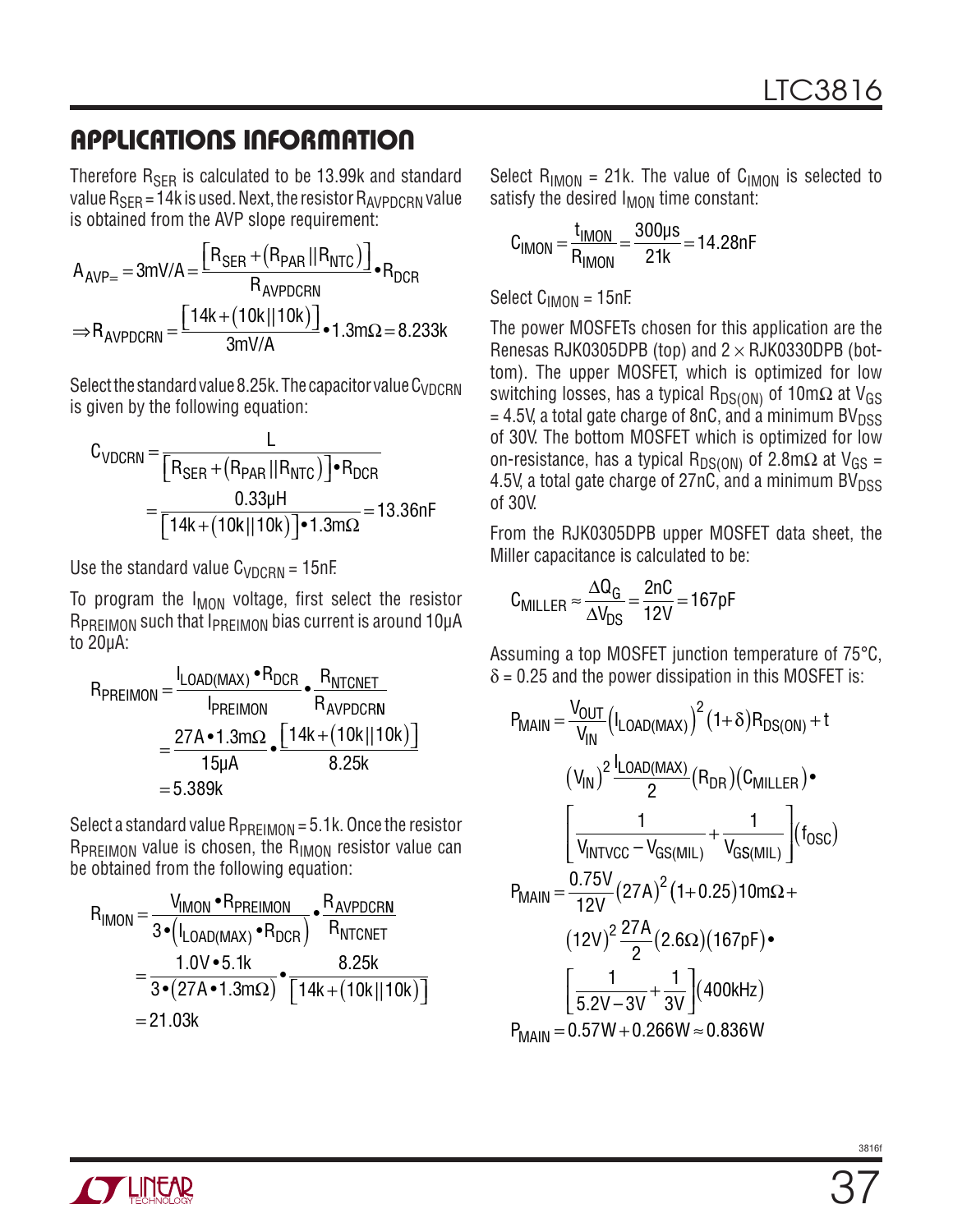Therefore  $R_{\rm SFR}$  is calculated to be 13.99k and standard value  $R_{\text{SER}} = 14$ k is used. Next, the resistor  $R_{\text{AVPDCRN}}$  value is obtained from the AVP slope requirement:

$$
A_{AVP=} = 3mV/A = \frac{R_{SER} + (R_{PAR} || R_{NTC})}{R_{AVPDCRN}} \cdot R_{DCR}
$$

$$
\Rightarrow R_{AVPDCRN} = \frac{[14k + (10k || 10k)]}{3mV/A} \cdot 1.3m\Omega = 8.233k
$$

Select the standard value 8.25k. The capacitor value  $C_{VDCRN}$ is given by the following equation:

$$
C_{VDCRN} = \frac{L}{[R_{SER} + (R_{PAR} || R_{NTC})] \cdot R_{DCR}}
$$
  
= 
$$
\frac{0.33 \mu H}{[14k + (10k || 10k)] \cdot 1.3 m\Omega} = 13.36 nF
$$

Use the standard value  $C_{VDCBN}$  = 15nF.

To program the  $I_{MON}$  voltage, first select the resistor R<sub>PRFIMON</sub> such that I<sub>PRFIMON</sub> bias current is around 10µA to 20µA:

$$
R_{PREIMON} = \frac{I_{LOAD(MAX)} \cdot R_{DCR}}{I_{PREIMON}} \cdot \frac{R_{NTCNET}}{R_{AVPDCRN}}
$$
  
= 
$$
\frac{27A \cdot 1.3 \text{m}\Omega}{15 \text{µA}} \cdot \frac{[14k + (10k)||10k)}{8.25k}
$$
  
= 5.389k

Select a standard value  $R_{PREIMON} = 5.1$ k. Once the resistor  $R_{PREIMON}$  value is chosen, the  $R_{IMON}$  resistor value can be obtained from the following equation:

$$
R_{IMON} = \frac{V_{IMON} \cdot R_{PREIMON}}{3 \cdot (I_{LOAD(MAX)} \cdot R_{DCR})} \cdot \frac{R_{AVPDCRN}}{R_{NTCNET}}
$$

$$
= \frac{1.0V \cdot 5.1k}{3 \cdot (27A \cdot 1.3m\Omega)} \cdot \frac{8.25k}{[14k + (10k)||10k)]}
$$

$$
= 21.03k
$$

Select  $R_{IMON}$  = 21k. The value of  $C_{IMON}$  is selected to satisfy the desired  $I_{MON}$  time constant:

$$
C_{IMON} = \frac{t_{IMON}}{R_{IMON}} = \frac{300 \mu s}{21 k} = 14.28 nF
$$

Select  $C_{IMON} = 15nF$ .

The power MOSFETs chosen for this application are the Renesas RJK0305DPB (top) and  $2 \times R$ JK0330DPB (bottom). The upper MOSFET, which is optimized for low switching losses, has a typical R<sub>DS(ON)</sub> of 10mΩ at V<sub>GS</sub>  $= 4.5V$ , a total gate charge of 8nC, and a minimum BV $_{DSS}$ of 30V. The bottom MOSFET which is optimized for low on-resistance, has a typical R<sub>DS(ON)</sub> of 2.8m $\Omega$  at V<sub>GS</sub> = 4.5V, a total gate charge of  $27nC$ , and a minimum BV $_{DSS}$ of 30V.

From the RJK0305DPB upper MOSFET data sheet, the Miller capacitance is calculated to be:

$$
C_{MILLER} \approx \frac{\Delta Q_G}{\Delta V_{DS}} = \frac{2nC}{12V} = 167pF
$$

Assuming a top MOSFET junction temperature of 75°C,  $\delta$  = 0.25 and the power dissipation in this MOSFET is:

$$
P_{MAIN} = \frac{V_{OUT}}{V_{IN}} (I_{LOAD(MAX)})^{2} (1+\delta) R_{DS(ON)} + t
$$
  
\n
$$
(V_{IN})^{2} \frac{I_{LOAD(MAX)}}{2} (R_{DR}) (C_{MILLER}) \bullet
$$
  
\n
$$
\left[ \frac{1}{V_{INTVCC} - V_{GS(MIL)}} + \frac{1}{V_{GS(MIL)}} \right] (f_{OSC})
$$
  
\n
$$
P_{MAIN} = \frac{0.75V}{12V} (27A)^{2} (1+0.25) 10 m\Omega +
$$
  
\n
$$
(12V)^{2} \frac{27A}{2} (2.6\Omega) (167pF) \bullet
$$
  
\n
$$
\left[ \frac{1}{5.2V - 3V} + \frac{1}{3V} \right] (400kHz)
$$
  
\n
$$
P_{MAIN} = 0.57W + 0.266W \approx 0.836W
$$

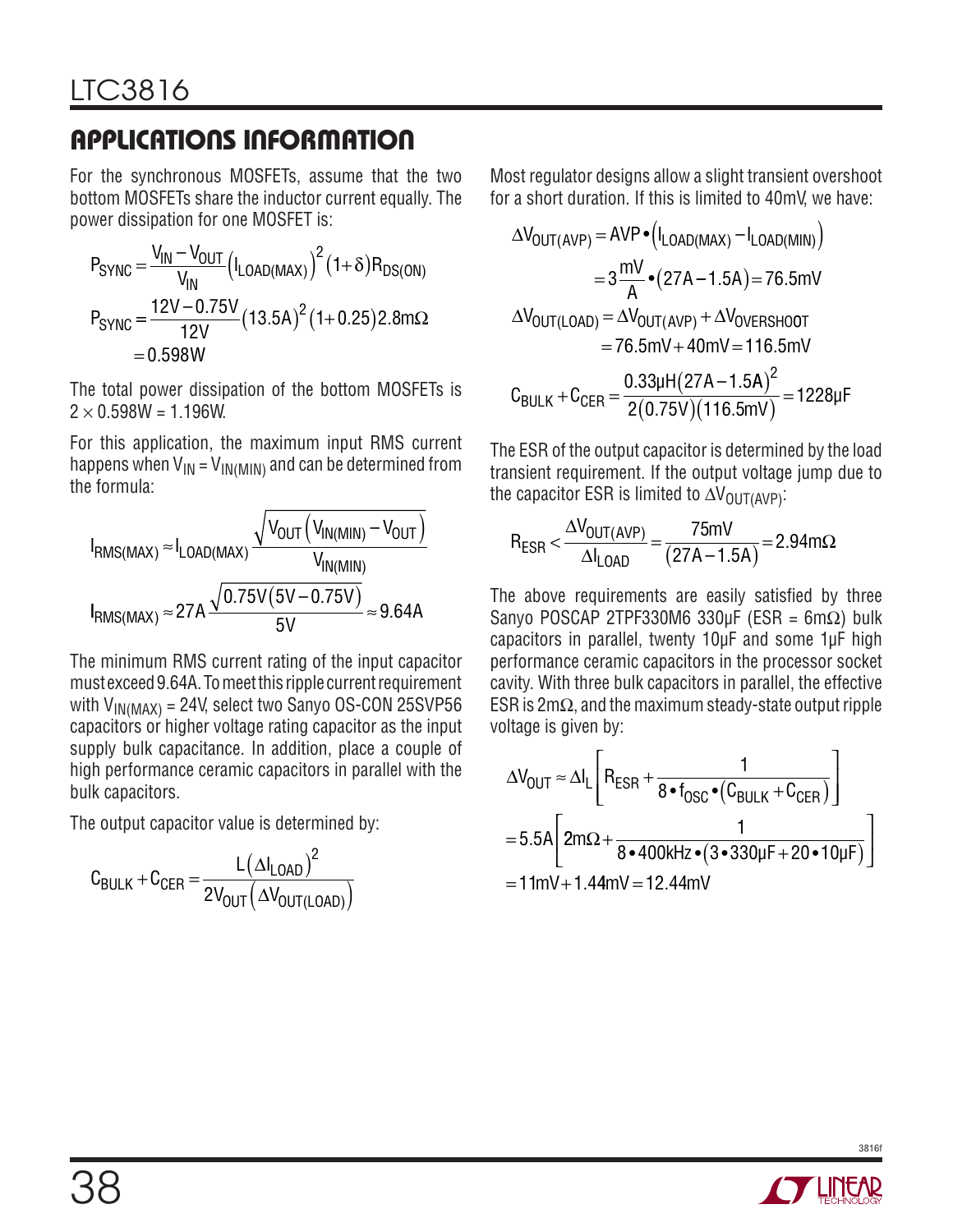For the synchronous MOSFETs, assume that the two bottom MOSFETs share the inductor current equally. The power dissipation for one MOSFET is:

$$
P_{SYNC} = \frac{V_{IN} - V_{OUT}}{V_{IN}} (I_{LOAD(MAX)})^2 (1+\delta) R_{DS(ON)}
$$
  
\n
$$
P_{SYNC} = \frac{12V - 0.75V}{12V} (13.5A)^2 (1+0.25) 2.8m\Omega
$$
  
\n= 0.598W

The total power dissipation of the bottom MOSFETs is  $2 \times 0.598W = 1.196W$ .

For this application, the maximum input RMS current happens when  $V_{IN} = V_{IN(MIN)}$  and can be determined from the formula:

$$
I_{RMS(MAX)} \approx I_{LOAD(MAX)} \frac{\sqrt{V_{OUT} (V_{IN(MIN)} - V_{OUT})}}{V_{IN(MIN)}}
$$

$$
I_{RMS(MAX)} \approx 27A \frac{\sqrt{0.75V(5V - 0.75V)}}{5V} \approx 9.64A
$$

The minimum RMS current rating of the input capacitor must exceed 9.64A. To meet this ripple current requirement with  $V_{IN(MAX)} = 24V$ , select two Sanyo OS-CON 25SVP56 capacitors or higher voltage rating capacitor as the input supply bulk capacitance. In addition, place a couple of high performance ceramic capacitors in parallel with the bulk capacitors.

The output capacitor value is determined by:

$$
C_{BULK} + C_{CER} = \frac{L(\Delta I_{LOAD})^2}{2V_{OUT}(\Delta V_{OUT(LOAD)})}
$$

Most regulator designs allow a slight transient overshoot for a short duration. If this is limited to 40mV, we have:

$$
\Delta V_{\text{OUT(AVP)}} = \text{AVP} \cdot (I_{\text{LOAD(MAX)}} - I_{\text{LOAD(MIN)}})
$$
\n
$$
= 3 \frac{mV}{A} \cdot (27A - 1.5A) = 76.5 mV
$$
\n
$$
\Delta V_{\text{OUT(LOAD)}} = \Delta V_{\text{OUT(AVP)}} + \Delta V_{\text{OVERSHOOT}}
$$
\n
$$
= 76.5 mV + 40 mV = 116.5 mV
$$
\n
$$
C_{\text{BULK}} + C_{\text{CER}} = \frac{0.33 \mu H (27A - 1.5 A)^2}{2(0.75 V)(116.5 mV)} = 1228 \mu F
$$

The ESR of the output capacitor is determined by the load transient requirement. If the output voltage jump due to the capacitor ESR is limited to  $\Delta V_{\text{OUT(AVP)}}$ :

$$
R_{ESR} < \frac{\Delta V_{OUT(AVP)}}{\Delta I_{LOAD}} = \frac{75mV}{(27A - 1.5A)} = 2.94m\Omega
$$

The above requirements are easily satisfied by three Sanyo POSCAP 2TPF330M6 330µF (ESR =  $6m\Omega$ ) bulk capacitors in parallel, twenty 10µF and some 1µF high performance ceramic capacitors in the processor socket cavity. With three bulk capacitors in parallel, the effective ESR is 2mΩ, and the maximum steady-state output ripple voltage is given by:

$$
\Delta V_{OUT} \approx \Delta I_L \left[ R_{ESR} + \frac{1}{8 \cdot f_{OSC} \cdot (C_{BULK} + C_{CER})} \right]
$$
  
= 5.5A 
$$
\left[ 2m\Omega + \frac{1}{8 \cdot 400kHz \cdot (3 \cdot 330\mu F + 20 \cdot 10\mu F)} \right]
$$
  
= 11mV + 1.44mV = 12.44mV

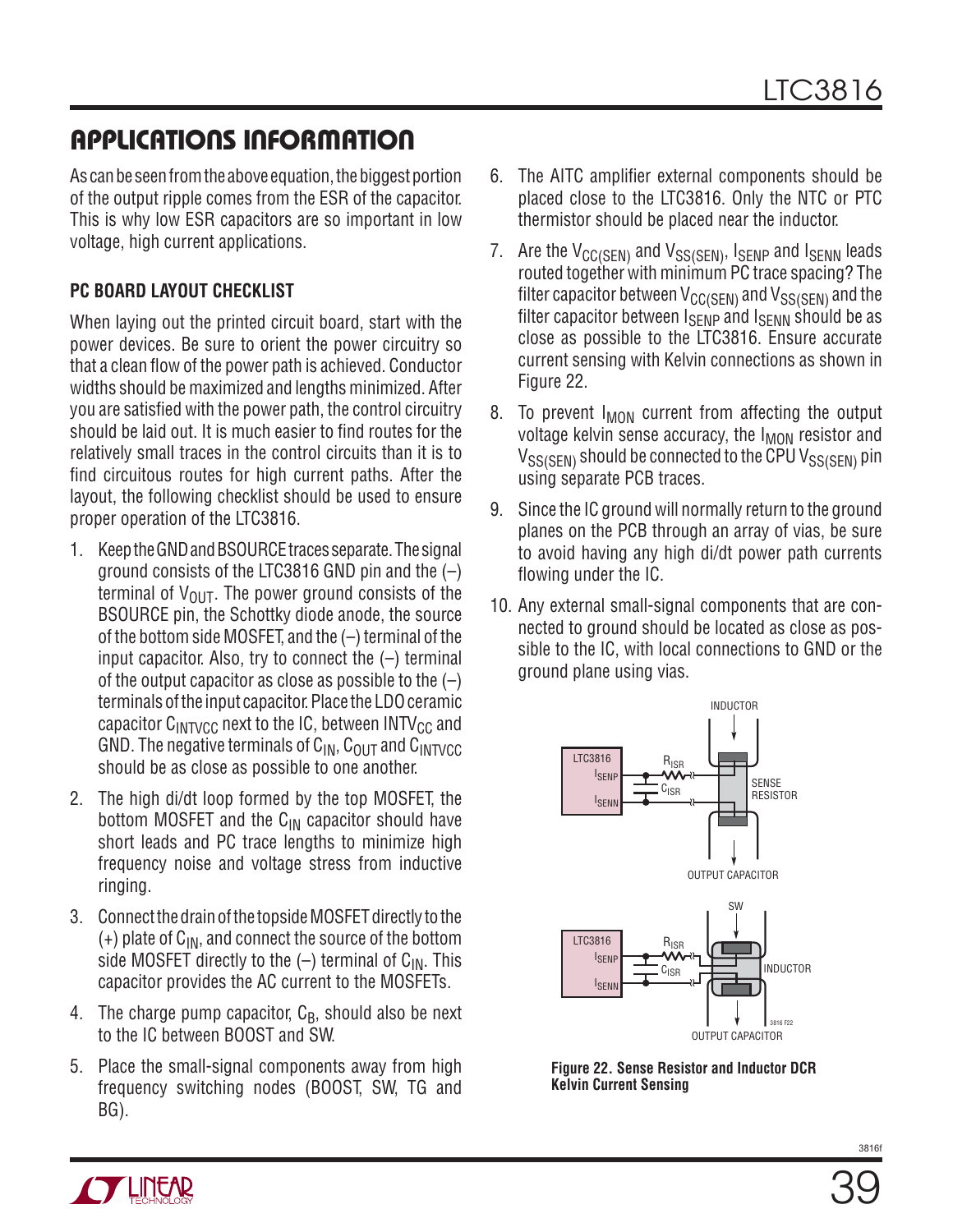As can be seen from the above equation, the biggest portion of the output ripple comes from the ESR of the capacitor. This is why low ESR capacitors are so important in low voltage, high current applications.

#### **PC Board Layout Checklist**

When laying out the printed circuit board, start with the power devices. Be sure to orient the power circuitry so that a clean flow of the power path is achieved. Conductor widths should be maximized and lengths minimized. After you are satisfied with the power path, the control circuitry should be laid out. It is much easier to find routes for the relatively small traces in the control circuits than it is to find circuitous routes for high current paths. After the layout, the following checklist should be used to ensure proper operation of the LTC3816.

- 1. Keep the GND and BSOURCE traces separate. The signal ground consists of the LTC3816 GND pin and the  $(-)$ terminal of  $V_{\text{OUT}}$ . The power ground consists of the BSOURCE pin, the Schottky diode anode, the source of the bottom side MOSFET, and the (–) terminal of the input capacitor. Also, try to connect the  $(-)$  terminal of the output capacitor as close as possible to the  $(-)$ terminals of the input capacitor. Place the LDO ceramic capacitor  $C_{\text{INTVCG}}$  next to the IC, between INTV<sub>CC</sub> and GND. The negative terminals of  $C_{IN}$ ,  $C_{OUT}$  and  $C_{INTVCC}$ should be as close as possible to one another.
- 2. The high di/dt loop formed by the top MOSFET, the bottom MOSFET and the  $C_{IN}$  capacitor should have short leads and PC trace lengths to minimize high frequency noise and voltage stress from inductive ringing.
- 3. Connect the drain of the topside MOSFET directly to the  $(+)$  plate of  $C_{IN}$ , and connect the source of the bottom side MOSFET directly to the  $(-)$  terminal of C<sub>IN</sub>. This capacitor provides the AC current to the MOSFETs.
- 4. The charge pump capacitor,  $C_B$ , should also be next to the IC between BOOST and SW.
- 5. Place the small-signal components away from high frequency switching nodes (BOOST, SW, TG and BG).
- 6. The AITC amplifier external components should be placed close to the LTC3816. Only the NTC or PTC thermistor should be placed near the inductor.
- 7. Are the  $V_{\text{CC(SEN)}}$  and  $V_{SS(SEN)}$ , Isenp and Isenn leads routed together with minimum PC trace spacing? The filter capacitor between  $V_{CC(SEN)}$  and  $V_{SS(SEN)}$  and the filter capacitor between  $I_{\text{SFWP}}$  and  $I_{\text{SFMN}}$  should be as close as possible to the LTC3816. Ensure accurate current sensing with Kelvin connections as shown in Figure 22.
- 8. To prevent  $I_{MON}$  current from affecting the output voltage kelvin sense accuracy, the I<sub>MON</sub> resistor and  $V_{SS(SFN)}$  should be connected to the CPU  $V_{SS(SFN)}$  pin using separate PCB traces.
- 9. Since the IC ground will normally return to the ground planes on the PCB through an array of vias, be sure to avoid having any high di/dt power path currents flowing under the IC.
- 10. Any external small-signal components that are connected to ground should be located as close as possible to the IC, with local connections to GND or the ground plane using vias.



**Figure 22. Sense Resistor and Inductor DCR Kelvin Current Sensing**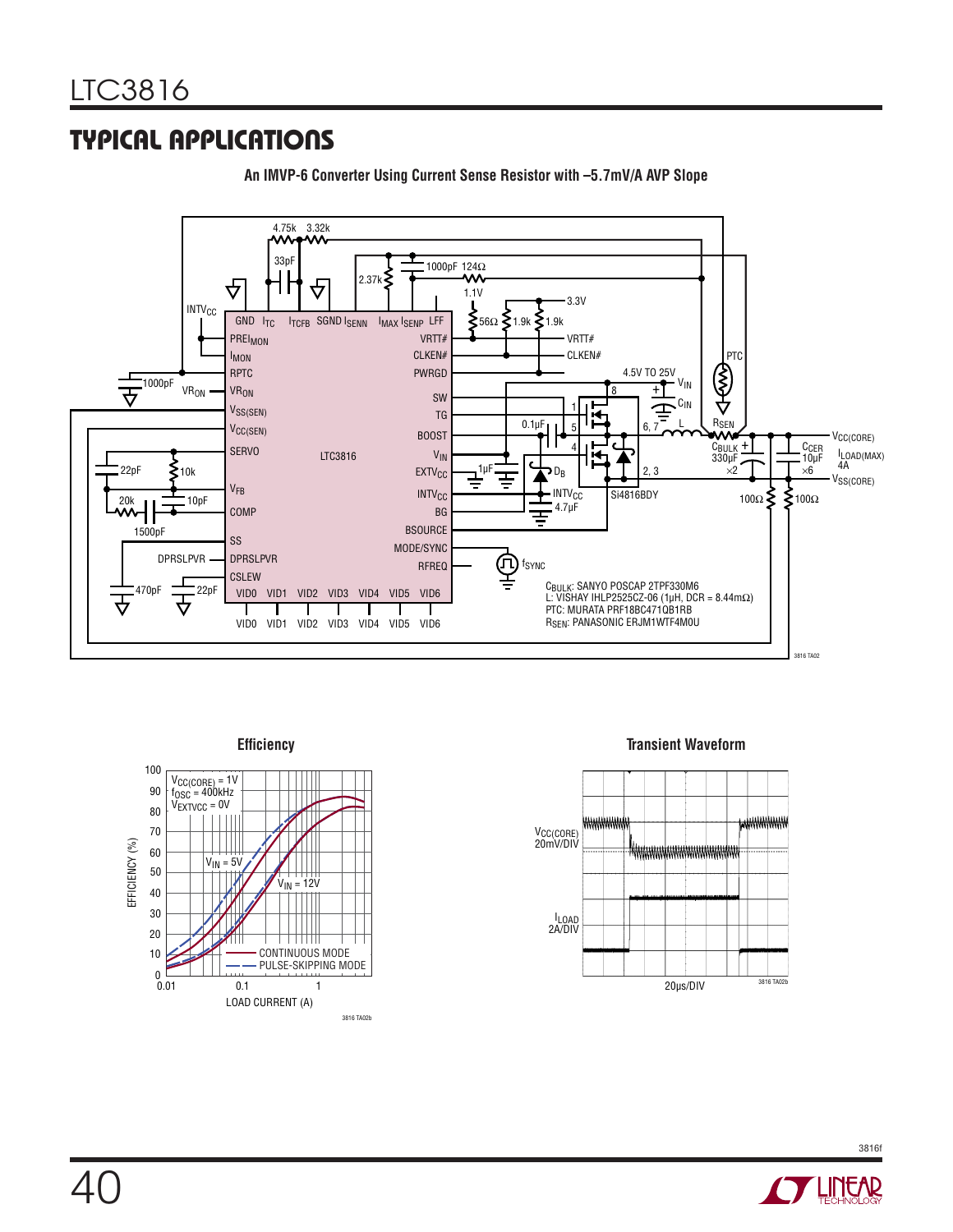### Typical Applications



**An IMVP-6 Converter Using Current Sense Resistor with –5.7mV/A AVP Slope**





3816f **ASSESSMENT**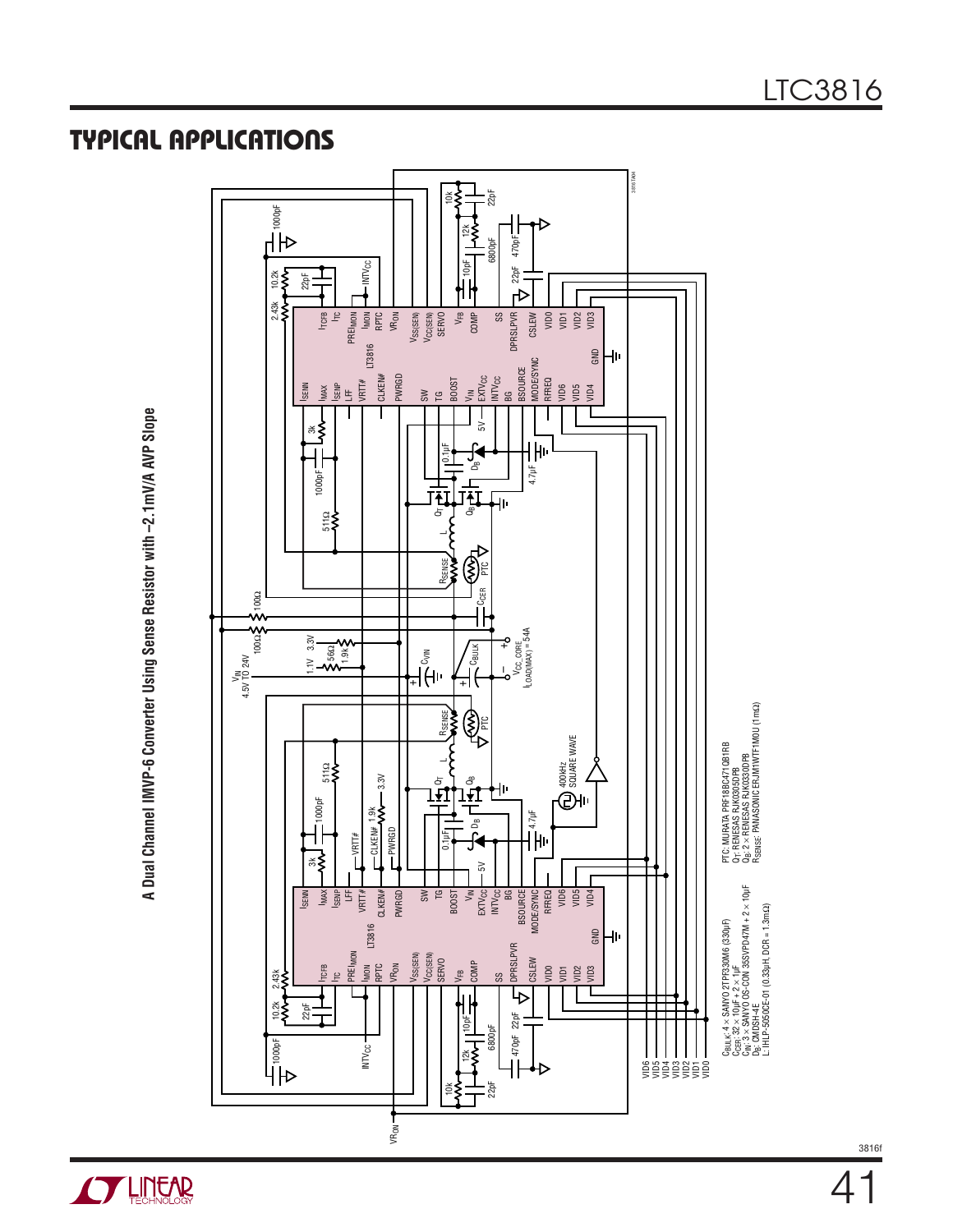A Dual Channel IMVP-6 Converter Using Sense Resistor with -2.1mV/A AVP Slope **A Dual Channel IMVP-6 Converter Using Sense Resistor with –2.1mV/A AVP Slope**



LTC3816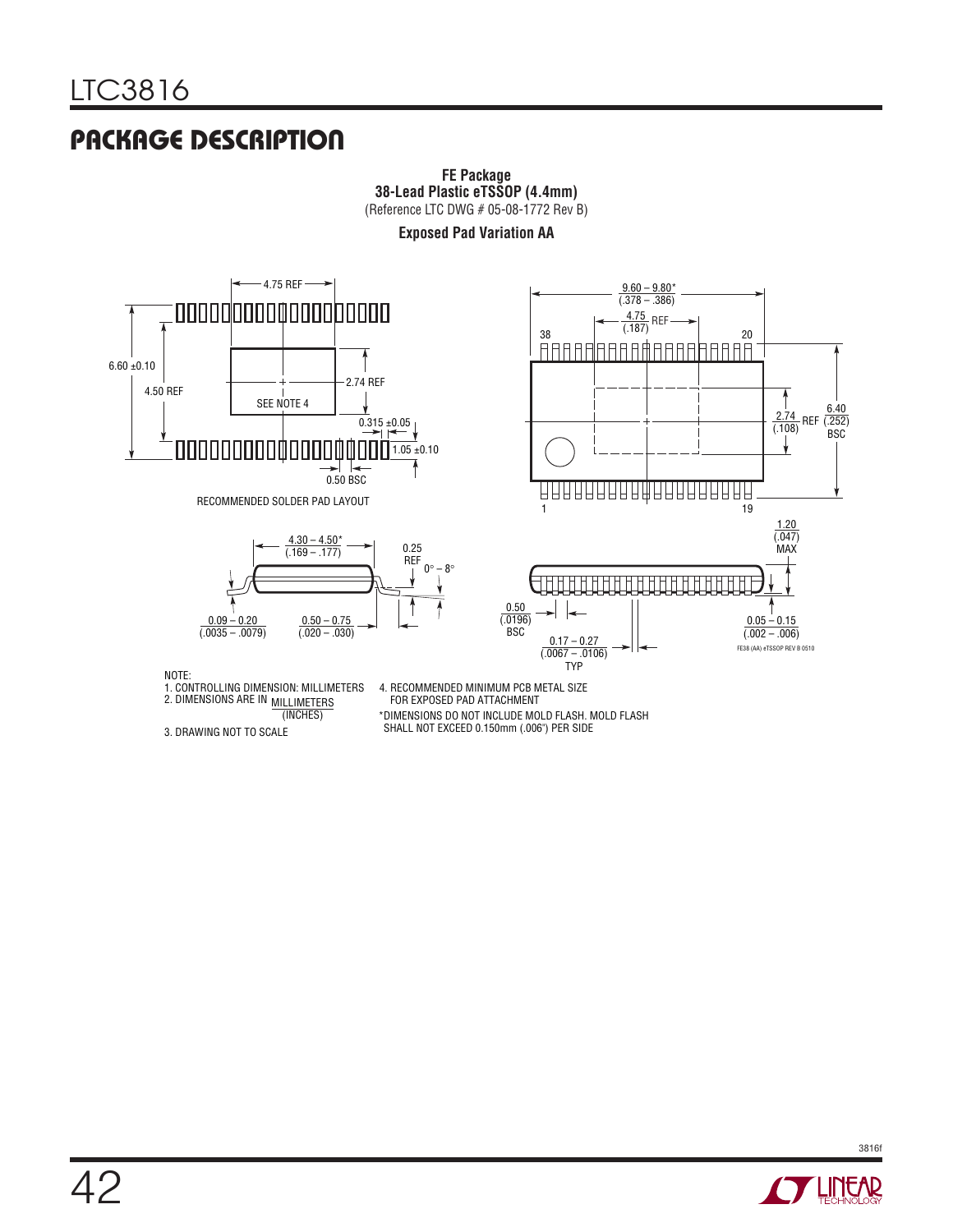## Package Description





RECOMMENDED SOLDER PAD LAYOUT





NOTE:

1. CONTROLLING DIMENSION: MILLIMETERS<br>2. DIMENSIONS ARE IN <sub>MILLIMETERS</sub>

MILLIMETERS

4. RECOMMENDED MINIMUM PCB METAL SIZE FOR EXPOSED PAD ATTACHMENT

(INCHES) \*DIMENSIONS DO NOT INCLUDE MOLD FLASH. MOLD FLASH SHALL NOT EXCEED 0.150mm (.006") PER SIDE

3. DRAWING NOT TO SCALE

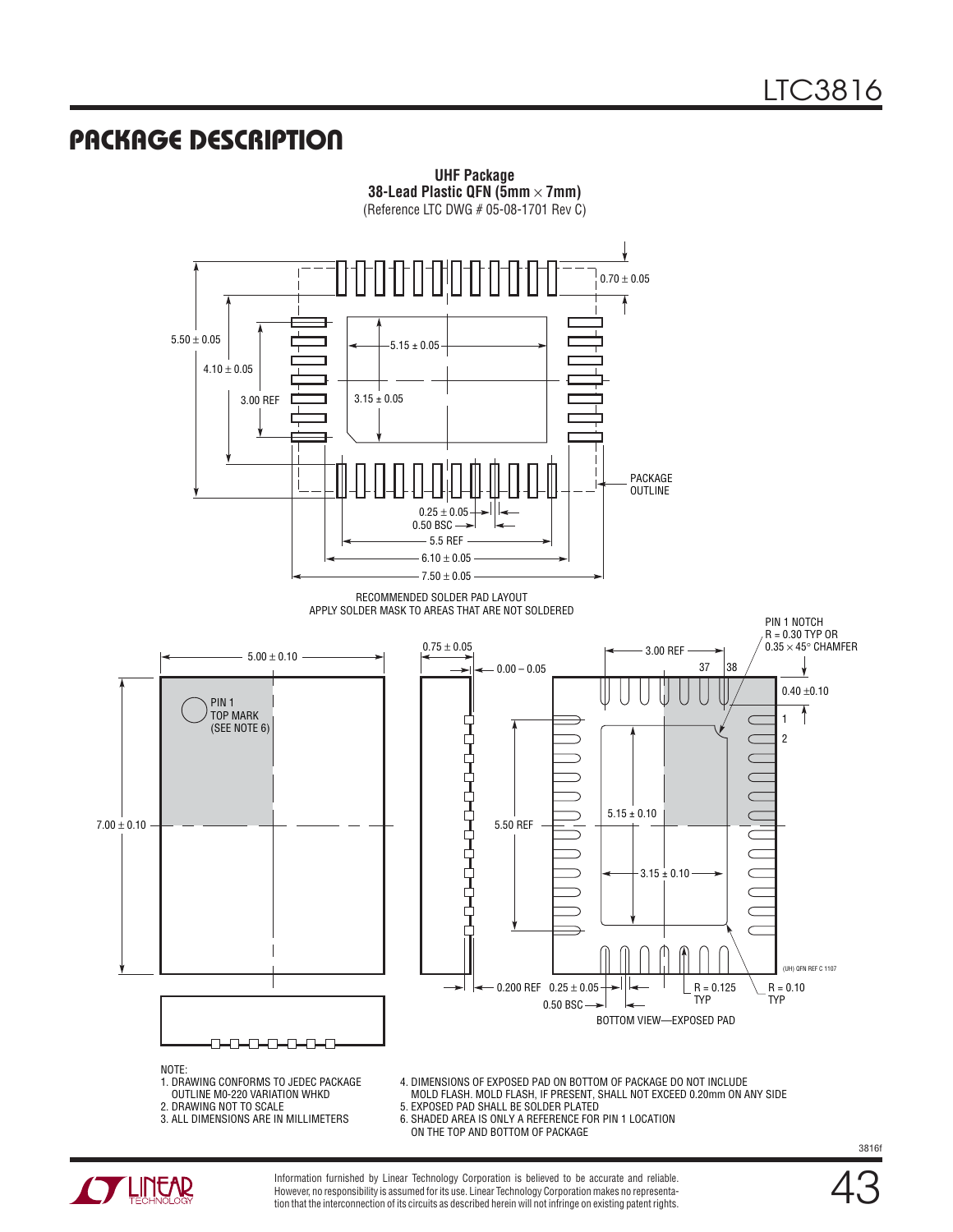### Package Description





Information furnished by Linear Technology Corporation is believed to be accurate and reliable. However, no responsibility is assumed for its use. Linear Technology Corporation makes no representation that the interconnection of its circuits as described herein will not infringe on existing patent rights.

43